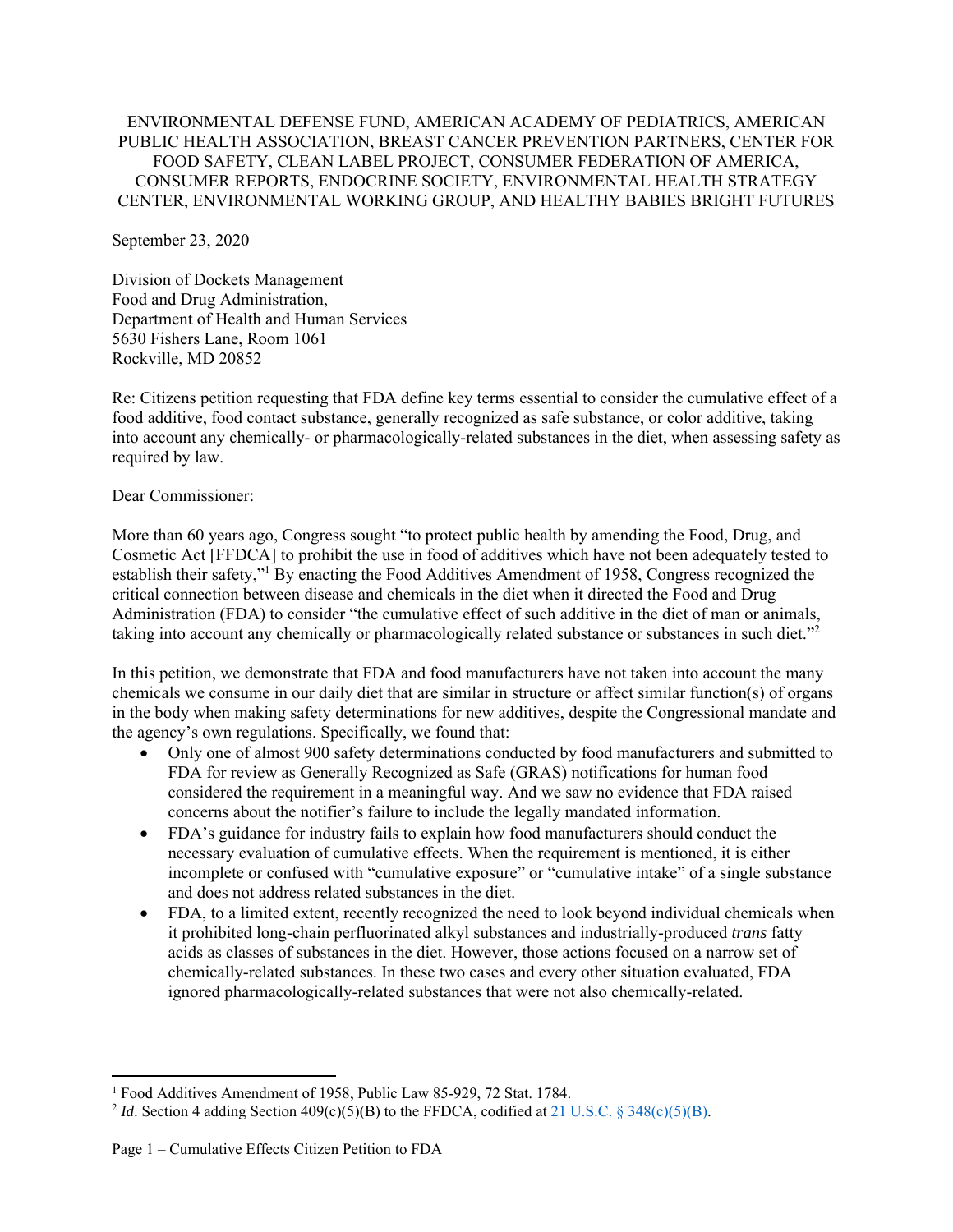#### ENVIRONMENTAL DEFENSE FUND, AMERICAN ACADEMY OF PEDIATRICS, AMERICAN PUBLIC HEALTH ASSOCIATION, BREAST CANCER PREVENTION PARTNERS, CENTER FOR FOOD SAFETY, CLEAN LABEL PROJECT, CONSUMER FEDERATION OF AMERICA, CONSUMER REPORTS, ENDOCRINE SOCIETY, ENVIRONMENTAL HEALTH STRATEGY CENTER, ENVIRONMENTAL WORKING GROUP, AND HEALTHY BABIES BRIGHT FUTURES

September 23, 2020

Division of Dockets Management Food and Drug Administration, Department of Health and Human Services 5630 Fishers Lane, Room 1061 Rockville, MD 20852

Re: Citizens petition requesting that FDA define key terms essential to consider the cumulative effect of a food additive, food contact substance, generally recognized as safe substance, or color additive, taking into account any chemically- or pharmacologically-related substances in the diet, when assessing safety as required by law.

Dear Commissioner:

More than 60 years ago, Congress sought "to protect public health by amending the Food, Drug, and Cosmetic Act [FFDCA] to prohibit the use in food of additives which have not been adequately tested to establish their safety,"<sup>1</sup> By enacting the Food Additives Amendment of 1958, Congress recognized the critical connection between disease and chemicals in the diet when it directed the Food and Drug Administration (FDA) to consider "the cumulative effect of such additive in the diet of man or animals, taking into account any chemically or pharmacologically related substance or substances in such diet."<sup>2</sup>

In this petition, we demonstrate that FDA and food manufacturers have not taken into account the many chemicals we consume in our daily diet that are similar in structure or affect similar function(s) of organs in the body when making safety determinations for new additives, despite the Congressional mandate and the agency's own regulations. Specifically, we found that:

- Only one of almost 900 safety determinations conducted by food manufacturers and submitted to FDA for review as Generally Recognized as Safe (GRAS) notifications for human food considered the requirement in a meaningful way. And we saw no evidence that FDA raised concerns about the notifier's failure to include the legally mandated information.
- FDA's guidance for industry fails to explain how food manufacturers should conduct the necessary evaluation of cumulative effects. When the requirement is mentioned, it is either incomplete or confused with "cumulative exposure" or "cumulative intake" of a single substance and does not address related substances in the diet.
- FDA, to a limited extent, recently recognized the need to look beyond individual chemicals when it prohibited long-chain perfluorinated alkyl substances and industrially-produced *trans* fatty acids as classes of substances in the diet. However, those actions focused on a narrow set of chemically-related substances. In these two cases and every other situation evaluated, FDA ignored pharmacologically-related substances that were not also chemically-related.

<sup>&</sup>lt;sup>1</sup> Food Additives Amendment of 1958, Public Law 85-929, 72 Stat. 1784.

<sup>&</sup>lt;sup>2</sup> Id. Section 4 adding Section  $409(c)(5)(B)$  to the FFDCA, codified at  $21$  U.S.C. § 348(c)(5)(B).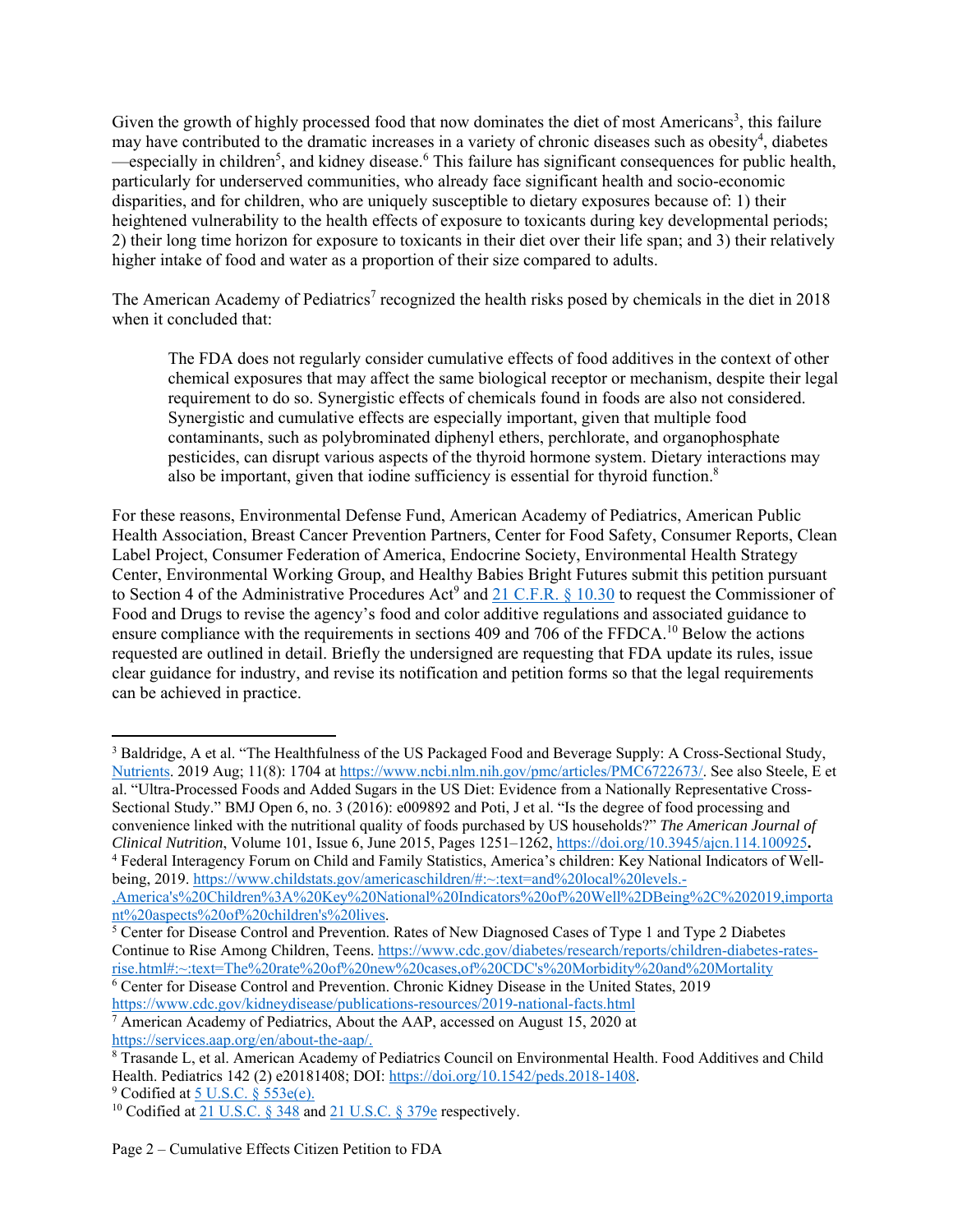Given the growth of highly processed food that now dominates the diet of most Americans<sup>3</sup>, this failure may have contributed to the dramatic increases in a variety of chronic diseases such as obesity<sup>4</sup>, diabetes especially in children<sup>5</sup>, and kidney disease.<sup>6</sup> This failure has significant consequences for public health, particularly for underserved communities, who already face significant health and socio-economic disparities, and for children, who are uniquely susceptible to dietary exposures because of: 1) their heightened vulnerability to the health effects of exposure to toxicants during key developmental periods; 2) their long time horizon for exposure to toxicants in their diet over their life span; and 3) their relatively higher intake of food and water as a proportion of their size compared to adults.

The American Academy of Pediatrics<sup>7</sup> recognized the health risks posed by chemicals in the diet in 2018 when it concluded that:

The FDA does not regularly consider cumulative effects of food additives in the context of other chemical exposures that may affect the same biological receptor or mechanism, despite their legal requirement to do so. Synergistic effects of chemicals found in foods are also not considered. Synergistic and cumulative effects are especially important, given that multiple food contaminants, such as polybrominated diphenyl ethers, perchlorate, and organophosphate pesticides, can disrupt various aspects of the thyroid hormone system. Dietary interactions may also be important, given that iodine sufficiency is essential for thyroid function.<sup>8</sup>

For these reasons, Environmental Defense Fund, American Academy of Pediatrics, American Public Health Association, Breast Cancer Prevention Partners, Center for Food Safety, Consumer Reports, Clean Label Project, Consumer Federation of America, Endocrine Society, Environmental Health Strategy Center, Environmental Working Group, and Healthy Babies Bright Futures submit this petition pursuant to Section 4 of the Administrative Procedures Act<sup>9</sup> and  $21$  C.F.R. § 10.30 to request the Commissioner of Food and Drugs to revise the agency's food and color additive regulations and associated guidance to ensure compliance with the requirements in sections 409 and 706 of the FFDCA.<sup>10</sup> Below the actions requested are outlined in detail. Briefly the undersigned are requesting that FDA update its rules, issue clear guidance for industry, and revise its notification and petition forms so that the legal requirements can be achieved in practice.

,America's%20Children%3A%20Key%20National%20Indicators%20of%20Well%2DBeing%2C%202019,importa nt%20aspects%20of%20children's%20lives.

6 Center for Disease Control and Prevention. Chronic Kidney Disease in the United States, 2019 https://www.cdc.gov/kidneydisease/publications-resources/2019-national-facts.html 7

 $^7$  American Academy of Pediatrics, About the AAP, accessed on August 15, 2020 at https://services.aap.org/en/about-the-aap/. 8

 $9$  Codified at  $5$  U.S.C.  $§$  553e(e).

<sup>&</sup>lt;sup>3</sup> Baldridge, A et al. "The Healthfulness of the US Packaged Food and Beverage Supply: A Cross-Sectional Study, Nutrients. 2019 Aug; 11(8): 1704 at https://www.ncbi.nlm.nih.gov/pmc/articles/PMC6722673/. See also Steele, E et al. "Ultra-Processed Foods and Added Sugars in the US Diet: Evidence from a Nationally Representative Cross-Sectional Study." BMJ Open 6, no. 3 (2016): e009892 and Poti, J et al. "Is the degree of food processing and convenience linked with the nutritional quality of foods purchased by US households?" *The American Journal of Clinical Nutrition*, Volume 101, Issue 6, June 2015, Pages 1251–1262, https://doi.org/10.3945/ajcn.114.100925**.** 4 Federal Interagency Forum on Child and Family Statistics, America's children: Key National Indicators of Wellbeing, 2019. https://www.childstats.gov/americaschildren/#:~:text=and%20local%20levels.-

<sup>&</sup>lt;sup>5</sup> Center for Disease Control and Prevention. Rates of New Diagnosed Cases of Type 1 and Type 2 Diabetes Continue to Rise Among Children, Teens. https://www.cdc.gov/diabetes/research/reports/children-diabetes-ratesrise.html#:~:text=The%20rate%20of%20new%20cases,of%20CDC's%20Morbidity%20and%20Mortality

Trasande L, et al. American Academy of Pediatrics Council on Environmental Health. Food Additives and Child Health. Pediatrics 142 (2) e20181408; DOI: https://doi.org/10.1542/peds.2018-1408. 9

<sup>&</sup>lt;sup>10</sup> Codified at 21 U.S.C. § 348 and 21 U.S.C. § 379e respectively.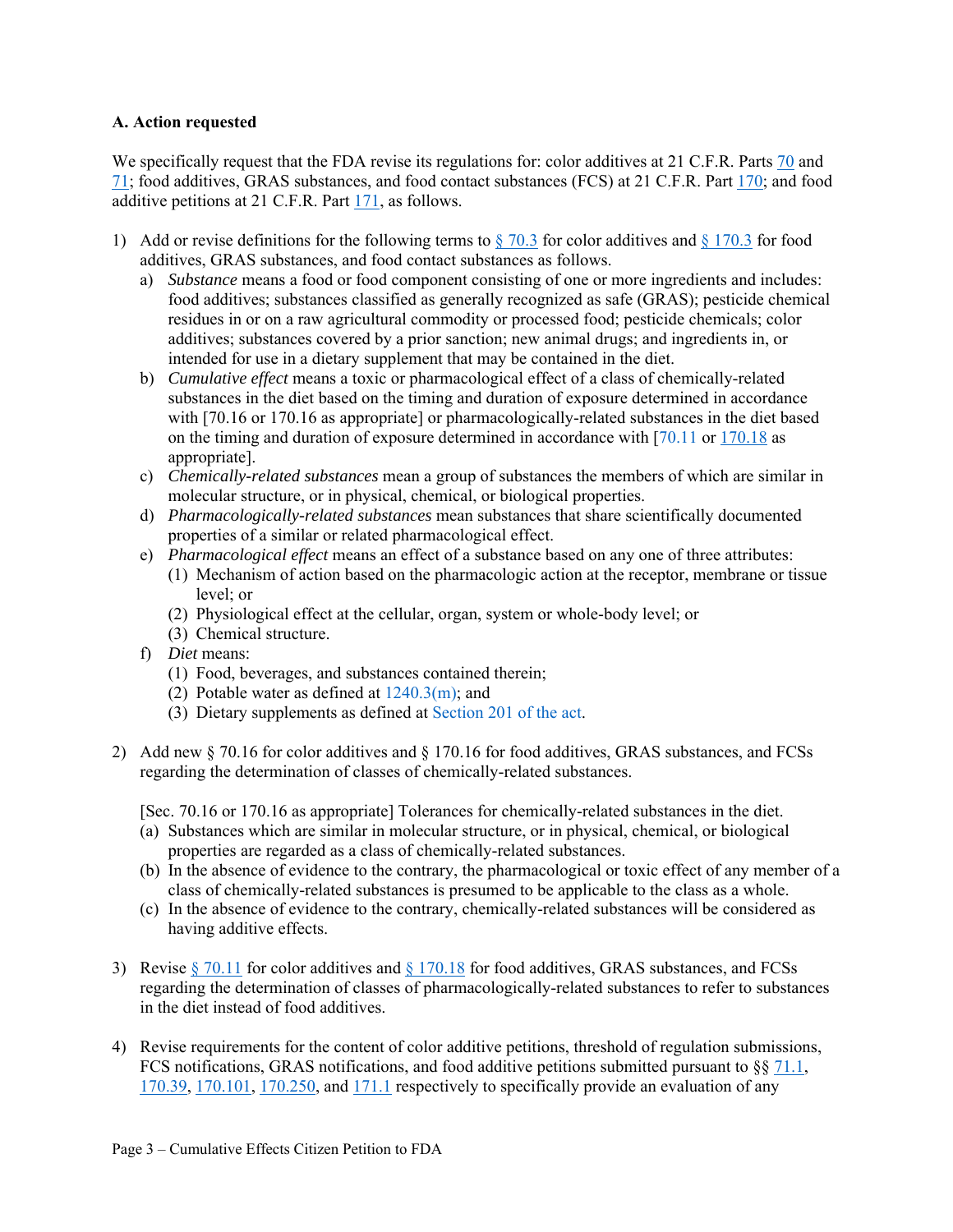#### **A. Action requested**

We specifically request that the FDA revise its regulations for: color additives at 21 C.F.R. Parts 70 and 71; food additives, GRAS substances, and food contact substances (FCS) at 21 C.F.R. Part 170; and food additive petitions at 21 C.F.R. Part 171, as follows.

- 1) Add or revise definitions for the following terms to  $\S$  70.3 for color additives and  $\S$  170.3 for food additives, GRAS substances, and food contact substances as follows.
	- a) *Substance* means a food or food component consisting of one or more ingredients and includes: food additives; substances classified as generally recognized as safe (GRAS); pesticide chemical residues in or on a raw agricultural commodity or processed food; pesticide chemicals; color additives; substances covered by a prior sanction; new animal drugs; and ingredients in, or intended for use in a dietary supplement that may be contained in the diet.
	- b) *Cumulative effect* means a toxic or pharmacological effect of a class of chemically-related substances in the diet based on the timing and duration of exposure determined in accordance with [70.16 or 170.16 as appropriate] or pharmacologically-related substances in the diet based on the timing and duration of exposure determined in accordance with [70.11 or 170.18 as appropriate].
	- c) *Chemically-related substances* mean a group of substances the members of which are similar in molecular structure, or in physical, chemical, or biological properties.
	- d) *Pharmacologically-related substances* mean substances that share scientifically documented properties of a similar or related pharmacological effect.
	- e) *Pharmacological effect* means an effect of a substance based on any one of three attributes:
		- (1) Mechanism of action based on the pharmacologic action at the receptor, membrane or tissue level; or
		- (2) Physiological effect at the cellular, organ, system or whole-body level; or
		- (3) Chemical structure.
	- f) *Diet* means:
		- (1) Food, beverages, and substances contained therein;
		- (2) Potable water as defined at 1240.3(m); and
		- (3) Dietary supplements as defined at Section 201 of the act.
- 2) Add new § 70.16 for color additives and § 170.16 for food additives, GRAS substances, and FCSs regarding the determination of classes of chemically-related substances.

[Sec. 70.16 or 170.16 as appropriate] Tolerances for chemically-related substances in the diet.

- (a) Substances which are similar in molecular structure, or in physical, chemical, or biological properties are regarded as a class of chemically-related substances.
- (b) In the absence of evidence to the contrary, the pharmacological or toxic effect of any member of a class of chemically-related substances is presumed to be applicable to the class as a whole.
- (c) In the absence of evidence to the contrary, chemically-related substances will be considered as having additive effects.
- 3) Revise  $\S 70.11$  for color additives and  $\S 170.18$  for food additives, GRAS substances, and FCSs regarding the determination of classes of pharmacologically-related substances to refer to substances in the diet instead of food additives.
- 4) Revise requirements for the content of color additive petitions, threshold of regulation submissions, FCS notifications, GRAS notifications, and food additive petitions submitted pursuant to  $\S$ § 71.1, 170.39, 170.101, 170.250, and 171.1 respectively to specifically provide an evaluation of any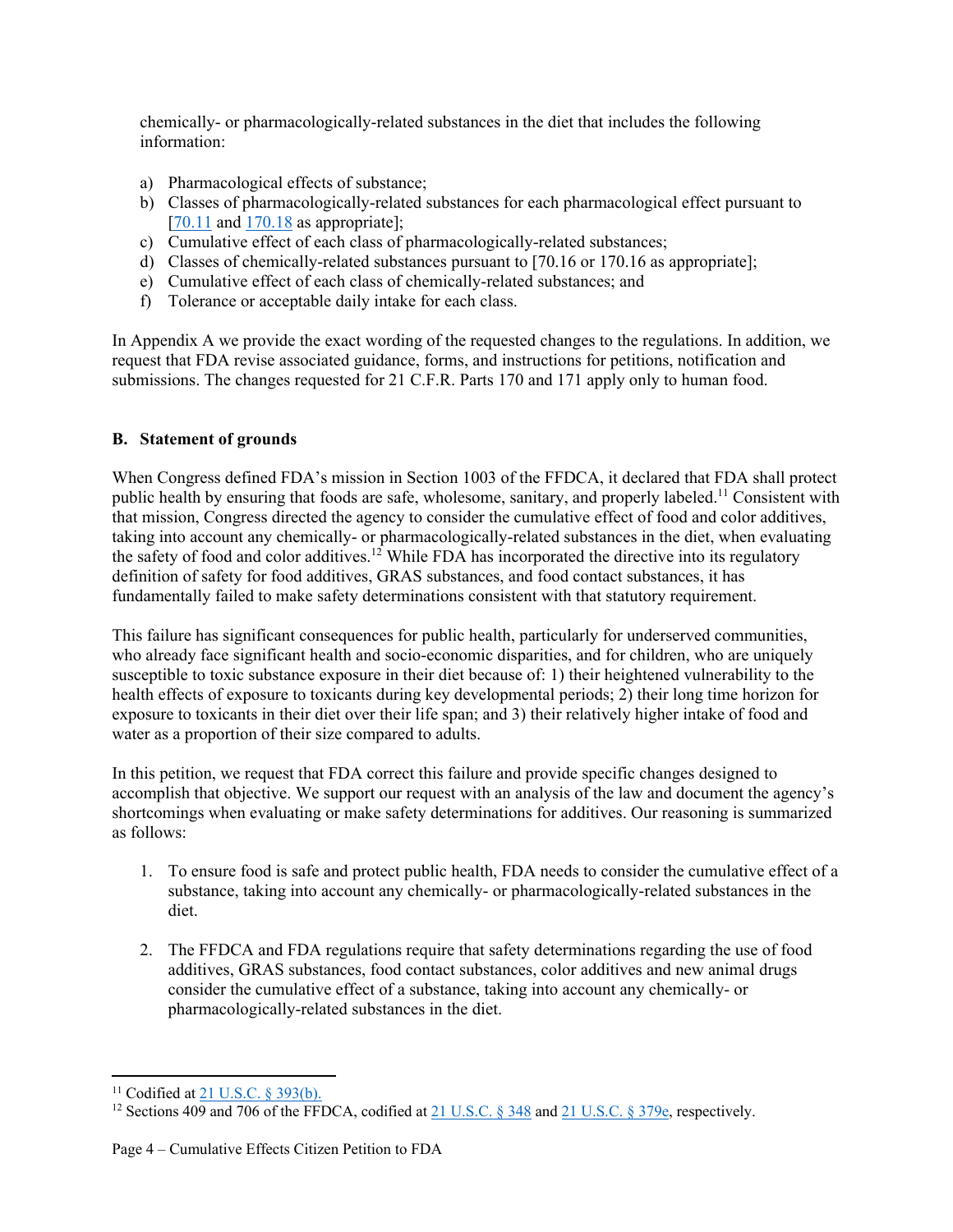chemically- or pharmacologically-related substances in the diet that includes the following information:

- a) Pharmacological effects of substance;
- b) Classes of pharmacologically-related substances for each pharmacological effect pursuant to  $[70.11$  and  $170.18$  as appropriate];
- c) Cumulative effect of each class of pharmacologically-related substances;
- d) Classes of chemically-related substances pursuant to [70.16 or 170.16 as appropriate];
- e) Cumulative effect of each class of chemically-related substances; and
- f) Tolerance or acceptable daily intake for each class.

In Appendix A we provide the exact wording of the requested changes to the regulations. In addition, we request that FDA revise associated guidance, forms, and instructions for petitions, notification and submissions. The changes requested for 21 C.F.R. Parts 170 and 171 apply only to human food.

## **B. Statement of grounds**

When Congress defined FDA's mission in Section 1003 of the FFDCA, it declared that FDA shall protect public health by ensuring that foods are safe, wholesome, sanitary, and properly labeled.11 Consistent with that mission, Congress directed the agency to consider the cumulative effect of food and color additives, taking into account any chemically- or pharmacologically-related substances in the diet, when evaluating the safety of food and color additives.<sup>12</sup> While FDA has incorporated the directive into its regulatory definition of safety for food additives, GRAS substances, and food contact substances, it has fundamentally failed to make safety determinations consistent with that statutory requirement.

This failure has significant consequences for public health, particularly for underserved communities, who already face significant health and socio-economic disparities, and for children, who are uniquely susceptible to toxic substance exposure in their diet because of: 1) their heightened vulnerability to the health effects of exposure to toxicants during key developmental periods; 2) their long time horizon for exposure to toxicants in their diet over their life span; and 3) their relatively higher intake of food and water as a proportion of their size compared to adults.

In this petition, we request that FDA correct this failure and provide specific changes designed to accomplish that objective. We support our request with an analysis of the law and document the agency's shortcomings when evaluating or make safety determinations for additives. Our reasoning is summarized as follows:

- 1. To ensure food is safe and protect public health, FDA needs to consider the cumulative effect of a substance, taking into account any chemically- or pharmacologically-related substances in the diet.
- 2. The FFDCA and FDA regulations require that safety determinations regarding the use of food additives, GRAS substances, food contact substances, color additives and new animal drugs consider the cumulative effect of a substance, taking into account any chemically- or pharmacologically-related substances in the diet.

<sup>&</sup>lt;sup>11</sup> Codified at 21 U.S.C. § 393(b).

<sup>&</sup>lt;sup>12</sup> Sections 409 and 706 of the FFDCA, codified at 21 U.S.C.  $\S$  348 and 21 U.S.C.  $\S$  379e, respectively.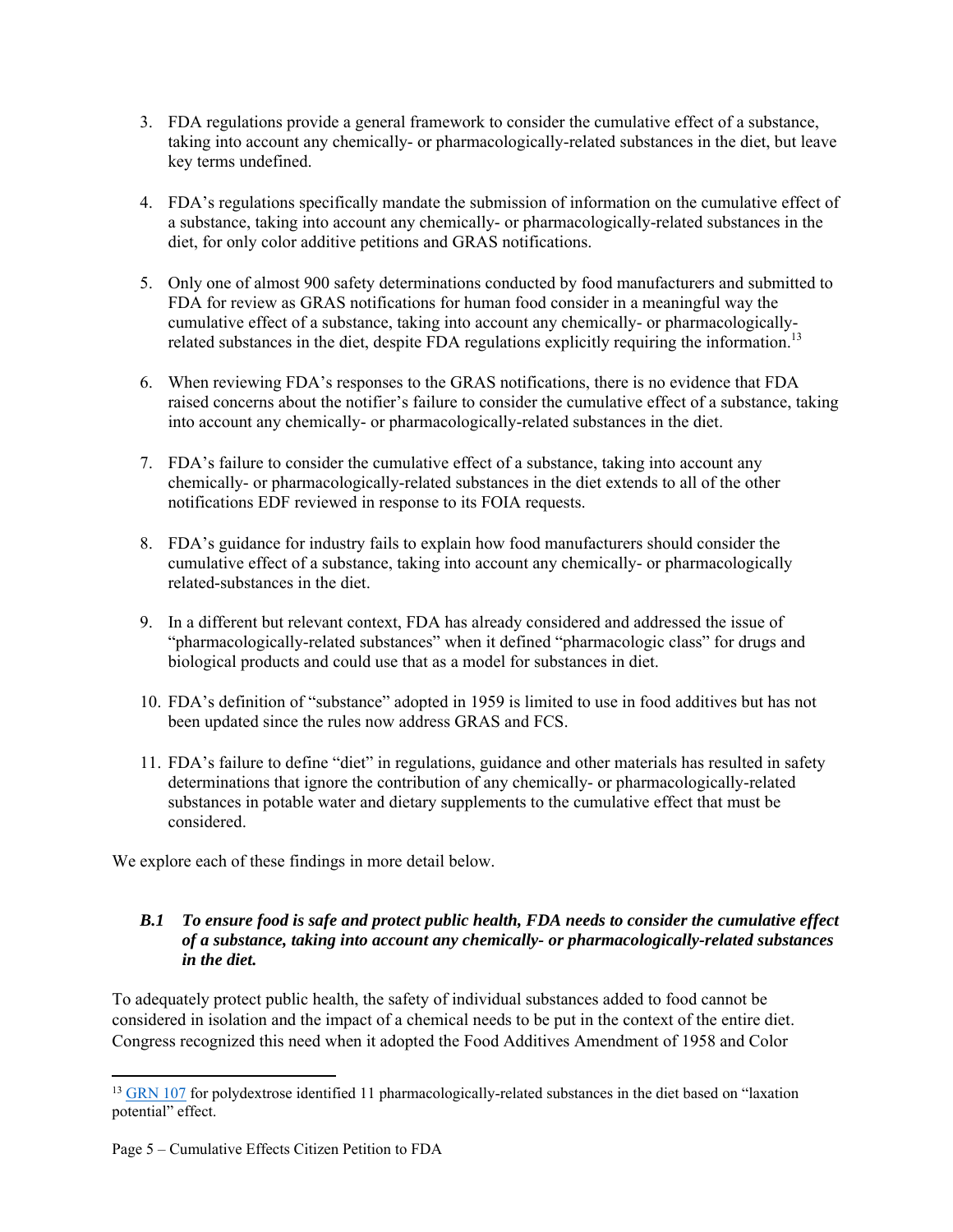- 3. FDA regulations provide a general framework to consider the cumulative effect of a substance, taking into account any chemically- or pharmacologically-related substances in the diet, but leave key terms undefined.
- 4. FDA's regulations specifically mandate the submission of information on the cumulative effect of a substance, taking into account any chemically- or pharmacologically-related substances in the diet, for only color additive petitions and GRAS notifications.
- 5. Only one of almost 900 safety determinations conducted by food manufacturers and submitted to FDA for review as GRAS notifications for human food consider in a meaningful way the cumulative effect of a substance, taking into account any chemically- or pharmacologicallyrelated substances in the diet, despite FDA regulations explicitly requiring the information.<sup>13</sup>
- 6. When reviewing FDA's responses to the GRAS notifications, there is no evidence that FDA raised concerns about the notifier's failure to consider the cumulative effect of a substance, taking into account any chemically- or pharmacologically-related substances in the diet.
- 7. FDA's failure to consider the cumulative effect of a substance, taking into account any chemically- or pharmacologically-related substances in the diet extends to all of the other notifications EDF reviewed in response to its FOIA requests.
- 8. FDA's guidance for industry fails to explain how food manufacturers should consider the cumulative effect of a substance, taking into account any chemically- or pharmacologically related-substances in the diet.
- 9. In a different but relevant context, FDA has already considered and addressed the issue of "pharmacologically-related substances" when it defined "pharmacologic class" for drugs and biological products and could use that as a model for substances in diet.
- 10. FDA's definition of "substance" adopted in 1959 is limited to use in food additives but has not been updated since the rules now address GRAS and FCS.
- 11. FDA's failure to define "diet" in regulations, guidance and other materials has resulted in safety determinations that ignore the contribution of any chemically- or pharmacologically-related substances in potable water and dietary supplements to the cumulative effect that must be considered.

We explore each of these findings in more detail below.

## *B.1 To ensure food is safe and protect public health, FDA needs to consider the cumulative effect of a substance, taking into account any chemically- or pharmacologically-related substances in the diet.*

To adequately protect public health, the safety of individual substances added to food cannot be considered in isolation and the impact of a chemical needs to be put in the context of the entire diet. Congress recognized this need when it adopted the Food Additives Amendment of 1958 and Color

<sup>&</sup>lt;sup>13</sup> GRN 107 for polydextrose identified 11 pharmacologically-related substances in the diet based on "laxation" potential" effect.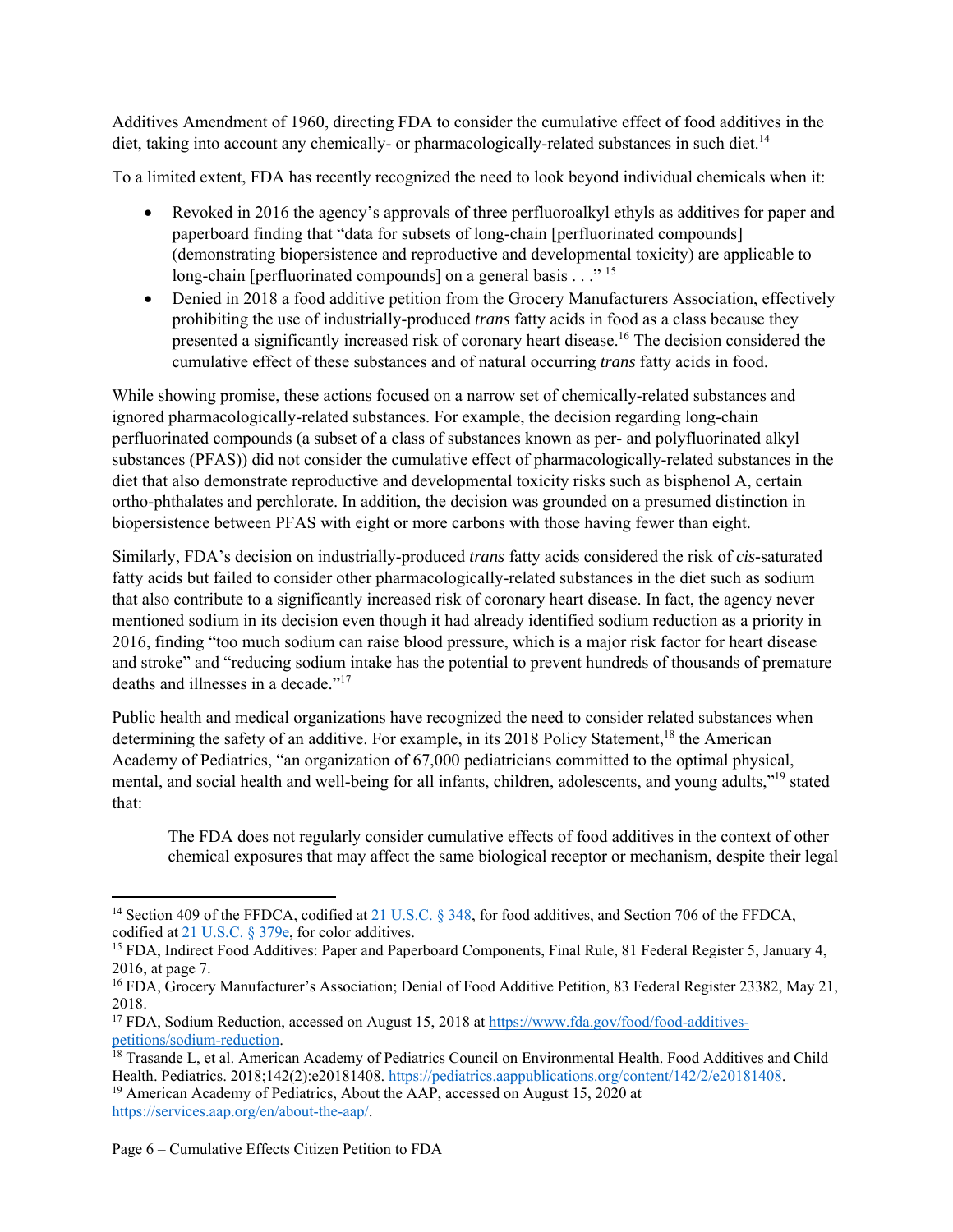Additives Amendment of 1960, directing FDA to consider the cumulative effect of food additives in the diet, taking into account any chemically- or pharmacologically-related substances in such diet.<sup>14</sup>

To a limited extent, FDA has recently recognized the need to look beyond individual chemicals when it:

- Revoked in 2016 the agency's approvals of three perfluoroalkyl ethyls as additives for paper and paperboard finding that "data for subsets of long-chain [perfluorinated compounds] (demonstrating biopersistence and reproductive and developmental toxicity) are applicable to long-chain [perfluorinated compounds] on a general basis  $\ldots$ <sup>"15</sup>
- Denied in 2018 a food additive petition from the Grocery Manufacturers Association, effectively prohibiting the use of industrially-produced *trans* fatty acids in food as a class because they presented a significantly increased risk of coronary heart disease.<sup>16</sup> The decision considered the cumulative effect of these substances and of natural occurring *trans* fatty acids in food.

While showing promise, these actions focused on a narrow set of chemically-related substances and ignored pharmacologically-related substances. For example, the decision regarding long-chain perfluorinated compounds (a subset of a class of substances known as per- and polyfluorinated alkyl substances (PFAS)) did not consider the cumulative effect of pharmacologically-related substances in the diet that also demonstrate reproductive and developmental toxicity risks such as bisphenol A, certain ortho-phthalates and perchlorate. In addition, the decision was grounded on a presumed distinction in biopersistence between PFAS with eight or more carbons with those having fewer than eight.

Similarly, FDA's decision on industrially-produced *trans* fatty acids considered the risk of *cis-*saturated fatty acids but failed to consider other pharmacologically-related substances in the diet such as sodium that also contribute to a significantly increased risk of coronary heart disease. In fact, the agency never mentioned sodium in its decision even though it had already identified sodium reduction as a priority in 2016, finding "too much sodium can raise blood pressure, which is a major risk factor for heart disease and stroke" and "reducing sodium intake has the potential to prevent hundreds of thousands of premature deaths and illnesses in a decade."<sup>17</sup>

Public health and medical organizations have recognized the need to consider related substances when determining the safety of an additive. For example, in its 2018 Policy Statement,<sup>18</sup> the American Academy of Pediatrics, "an organization of 67,000 pediatricians committed to the optimal physical, mental, and social health and well-being for all infants, children, adolescents, and young adults,"19 stated that:

The FDA does not regularly consider cumulative effects of food additives in the context of other chemical exposures that may affect the same biological receptor or mechanism, despite their legal

<sup>&</sup>lt;sup>14</sup> Section 409 of the FFDCA, codified at 21 U.S.C. § 348, for food additives, and Section 706 of the FFDCA, codified at  $21$  U.S.C. § 379e, for color additives.

<sup>&</sup>lt;sup>15</sup> FDA, Indirect Food Additives: Paper and Paperboard Components, Final Rule, 81 Federal Register 5, January 4, 2016, at page 7.

<sup>&</sup>lt;sup>16</sup> FDA, Grocery Manufacturer's Association; Denial of Food Additive Petition, 83 Federal Register 23382, May 21, 2018.

<sup>&</sup>lt;sup>17</sup> FDA, Sodium Reduction, accessed on August 15, 2018 at https://www.fda.gov/food/food-additives-<br>petitions/sodium-reduction.

<sup>&</sup>lt;sup>18</sup> Trasande L, et al. American Academy of Pediatrics Council on Environmental Health. Food Additives and Child Health. Pediatrics. 2018;142(2):e20181408. https://pediatrics.aappublications.org/content/142/2/e20181408.<br><sup>19</sup> American Academy of Pediatrics, About the AAP, accessed on August 15, 2020 at

https://services.aap.org/en/about-the-aap/.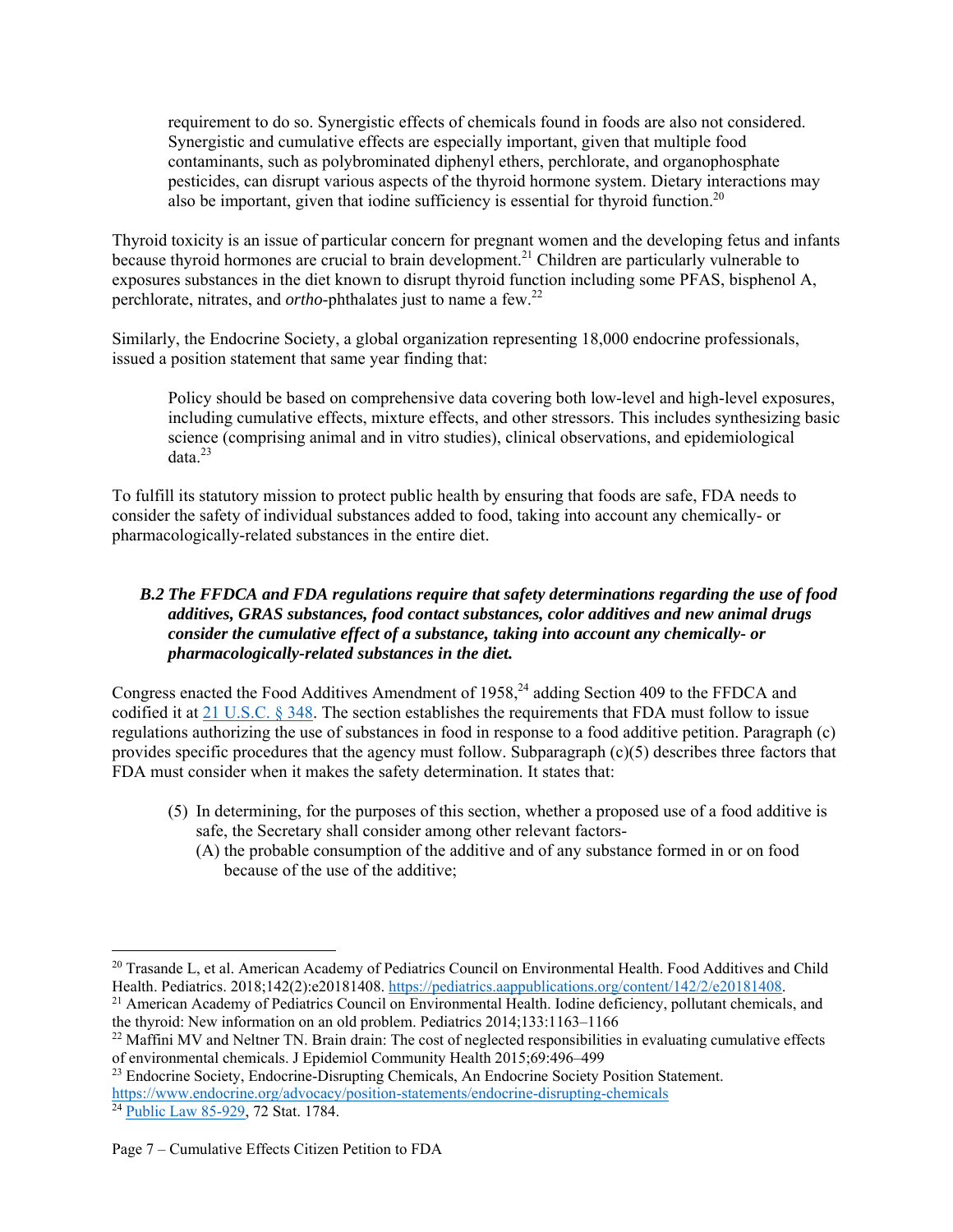requirement to do so. Synergistic effects of chemicals found in foods are also not considered. Synergistic and cumulative effects are especially important, given that multiple food contaminants, such as polybrominated diphenyl ethers, perchlorate, and organophosphate pesticides, can disrupt various aspects of the thyroid hormone system. Dietary interactions may also be important, given that iodine sufficiency is essential for thyroid function.<sup>20</sup>

Thyroid toxicity is an issue of particular concern for pregnant women and the developing fetus and infants because thyroid hormones are crucial to brain development.<sup>21</sup> Children are particularly vulnerable to exposures substances in the diet known to disrupt thyroid function including some PFAS, bisphenol A, perchlorate, nitrates, and *ortho*-phthalates just to name a few.22

Similarly, the Endocrine Society, a global organization representing 18,000 endocrine professionals, issued a position statement that same year finding that:

Policy should be based on comprehensive data covering both low-level and high-level exposures, including cumulative effects, mixture effects, and other stressors. This includes synthesizing basic science (comprising animal and in vitro studies), clinical observations, and epidemiological  $data.<sup>23</sup>$ 

To fulfill its statutory mission to protect public health by ensuring that foods are safe, FDA needs to consider the safety of individual substances added to food, taking into account any chemically- or pharmacologically-related substances in the entire diet.

## *B.2 The FFDCA and FDA regulations require that safety determinations regarding the use of food additives, GRAS substances, food contact substances, color additives and new animal drugs consider the cumulative effect of a substance, taking into account any chemically- or pharmacologically-related substances in the diet.*

Congress enacted the Food Additives Amendment of 1958,<sup>24</sup> adding Section 409 to the FFDCA and codified it at 21 U.S.C. § 348. The section establishes the requirements that FDA must follow to issue regulations authorizing the use of substances in food in response to a food additive petition. Paragraph (c) provides specific procedures that the agency must follow. Subparagraph (c)(5) describes three factors that FDA must consider when it makes the safety determination. It states that:

- (5) In determining, for the purposes of this section, whether a proposed use of a food additive is safe, the Secretary shall consider among other relevant factors-
	- (A) the probable consumption of the additive and of any substance formed in or on food because of the use of the additive;

<sup>&</sup>lt;sup>20</sup> Trasande L, et al. American Academy of Pediatrics Council on Environmental Health. Food Additives and Child Health. Pediatrics. 2018;142(2):e20181408. https://pediatrics.aappublications.org/content/142/2/e20181408.

 $^{21}$  American Academy of Pediatrics Council on Environmental Health. Iodine deficiency, pollutant chemicals, and the thyroid: New information on an old problem. Pediatrics 2014;133:1163–1166<br><sup>22</sup> Maffini MV and Neltner TN. Brain drain: The cost of neglected responsibilities in evaluating cumulative effects

of environmental chemicals. J Epidemiol Community Health 2015;69:496–499

<sup>&</sup>lt;sup>23</sup> Endocrine Society, Endocrine-Disrupting Chemicals, An Endocrine Society Position Statement. https://www.endocrine.org/advocacy/position-statements/endocrine-disrupting-chemicals 24 Public Law 85-929, 72 Stat. 1784.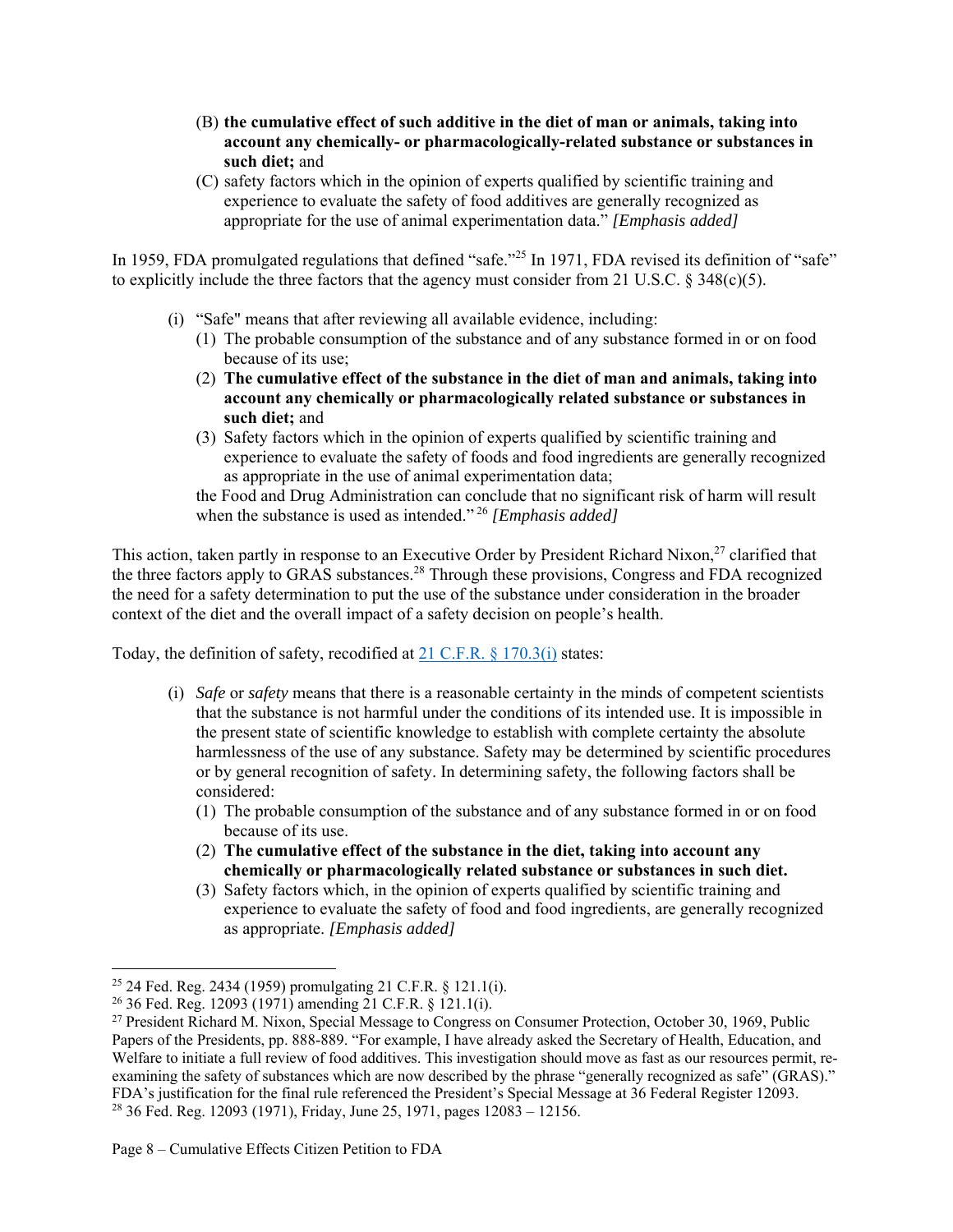- (B) **the cumulative effect of such additive in the diet of man or animals, taking into account any chemically- or pharmacologically-related substance or substances in such diet;** and
- (C) safety factors which in the opinion of experts qualified by scientific training and experience to evaluate the safety of food additives are generally recognized as appropriate for the use of animal experimentation data." *[Emphasis added]*

In 1959, FDA promulgated regulations that defined "safe."<sup>25</sup> In 1971, FDA revised its definition of "safe" to explicitly include the three factors that the agency must consider from 21 U.S.C.  $\S$  348(c)(5).

- (i) "Safe" means that after reviewing all available evidence, including:
	- (1) The probable consumption of the substance and of any substance formed in or on food because of its use;
	- (2) **The cumulative effect of the substance in the diet of man and animals, taking into account any chemically or pharmacologically related substance or substances in such diet;** and
	- (3) Safety factors which in the opinion of experts qualified by scientific training and experience to evaluate the safety of foods and food ingredients are generally recognized as appropriate in the use of animal experimentation data;

the Food and Drug Administration can conclude that no significant risk of harm will result when the substance is used as intended." 26 *[Emphasis added]*

This action, taken partly in response to an Executive Order by President Richard Nixon,<sup>27</sup> clarified that the three factors apply to GRAS substances.<sup>28</sup> Through these provisions, Congress and FDA recognized the need for a safety determination to put the use of the substance under consideration in the broader context of the diet and the overall impact of a safety decision on people's health.

Today, the definition of safety, recodified at 21 C.F.R. § 170.3(i) states:

- (i) *Safe* or *safety* means that there is a reasonable certainty in the minds of competent scientists that the substance is not harmful under the conditions of its intended use. It is impossible in the present state of scientific knowledge to establish with complete certainty the absolute harmlessness of the use of any substance. Safety may be determined by scientific procedures or by general recognition of safety. In determining safety, the following factors shall be considered:
	- (1) The probable consumption of the substance and of any substance formed in or on food because of its use.
	- (2) **The cumulative effect of the substance in the diet, taking into account any chemically or pharmacologically related substance or substances in such diet.**
	- (3) Safety factors which, in the opinion of experts qualified by scientific training and experience to evaluate the safety of food and food ingredients, are generally recognized as appropriate. *[Emphasis added]*

<sup>&</sup>lt;sup>25</sup> 24 Fed. Reg. 2434 (1959) promulgating 21 C.F.R. § 121.1(j).

<sup>26 36</sup> Fed. Reg. 12093 (1971) amending 21 C.F.R. § 121.1(i).

<sup>27</sup> President Richard M. Nixon, Special Message to Congress on Consumer Protection, October 30, 1969, Public Papers of the Presidents, pp. 888-889. "For example, I have already asked the Secretary of Health, Education, and Welfare to initiate a full review of food additives. This investigation should move as fast as our resources permit, reexamining the safety of substances which are now described by the phrase "generally recognized as safe" (GRAS)." FDA's justification for the final rule referenced the President's Special Message at 36 Federal Register 12093. 28 36 Fed. Reg. 12093 (1971), Friday, June 25, 1971, pages 12083 – 12156.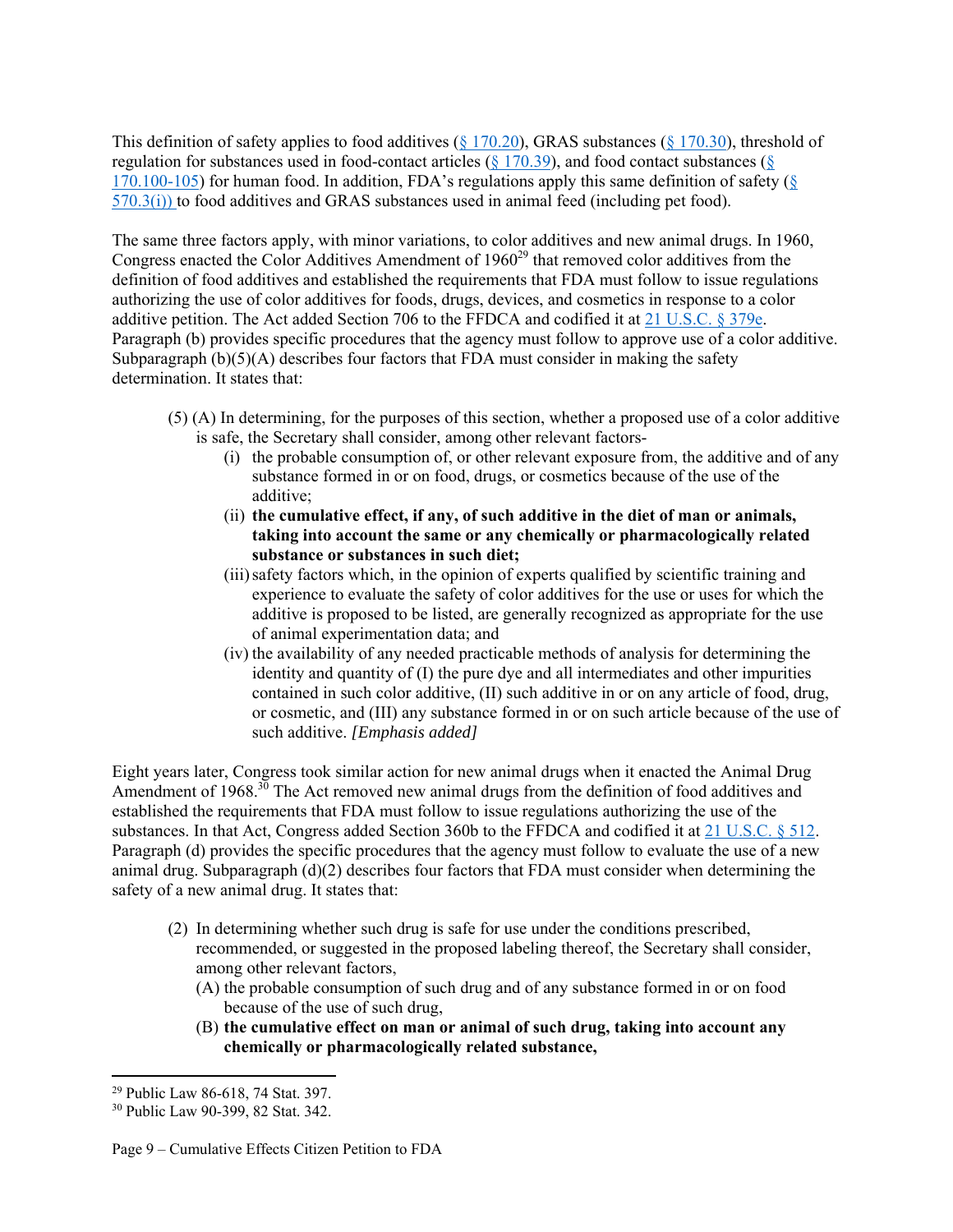This definition of safety applies to food additives ( $\S$  170.20), GRAS substances ( $\S$  170.30), threshold of regulation for substances used in food-contact articles ( $\S$  170.39), and food contact substances ( $\S$ 170.100-105) for human food. In addition, FDA's regulations apply this same definition of safety ( $\S$ 570.3(i)) to food additives and GRAS substances used in animal feed (including pet food).

The same three factors apply, with minor variations, to color additives and new animal drugs. In 1960, Congress enacted the Color Additives Amendment of 1960<sup>29</sup> that removed color additives from the definition of food additives and established the requirements that FDA must follow to issue regulations authorizing the use of color additives for foods, drugs, devices, and cosmetics in response to a color additive petition. The Act added Section 706 to the FFDCA and codified it at 21 U.S.C. § 379e. Paragraph (b) provides specific procedures that the agency must follow to approve use of a color additive. Subparagraph  $(b)(5)(A)$  describes four factors that FDA must consider in making the safety determination. It states that:

- (5) (A) In determining, for the purposes of this section, whether a proposed use of a color additive is safe, the Secretary shall consider, among other relevant factors-
	- (i) the probable consumption of, or other relevant exposure from, the additive and of any substance formed in or on food, drugs, or cosmetics because of the use of the additive;
	- (ii) **the cumulative effect, if any, of such additive in the diet of man or animals, taking into account the same or any chemically or pharmacologically related substance or substances in such diet;**
	- (iii) safety factors which, in the opinion of experts qualified by scientific training and experience to evaluate the safety of color additives for the use or uses for which the additive is proposed to be listed, are generally recognized as appropriate for the use of animal experimentation data; and
	- (iv) the availability of any needed practicable methods of analysis for determining the identity and quantity of (I) the pure dye and all intermediates and other impurities contained in such color additive, (II) such additive in or on any article of food, drug, or cosmetic, and (III) any substance formed in or on such article because of the use of such additive. *[Emphasis added]*

Eight years later, Congress took similar action for new animal drugs when it enacted the Animal Drug Amendment of 1968.<sup>30</sup> The Act removed new animal drugs from the definition of food additives and established the requirements that FDA must follow to issue regulations authorizing the use of the substances. In that Act, Congress added Section 360b to the FFDCA and codified it at 21 U.S.C. § 512. Paragraph (d) provides the specific procedures that the agency must follow to evaluate the use of a new animal drug. Subparagraph  $(d)(2)$  describes four factors that FDA must consider when determining the safety of a new animal drug. It states that:

- (2) In determining whether such drug is safe for use under the conditions prescribed, recommended, or suggested in the proposed labeling thereof, the Secretary shall consider, among other relevant factors,
	- (A) the probable consumption of such drug and of any substance formed in or on food because of the use of such drug,
	- (B) **the cumulative effect on man or animal of such drug, taking into account any chemically or pharmacologically related substance,**

<sup>29</sup> Public Law 86-618, 74 Stat. 397.

<sup>30</sup> Public Law 90-399, 82 Stat. 342.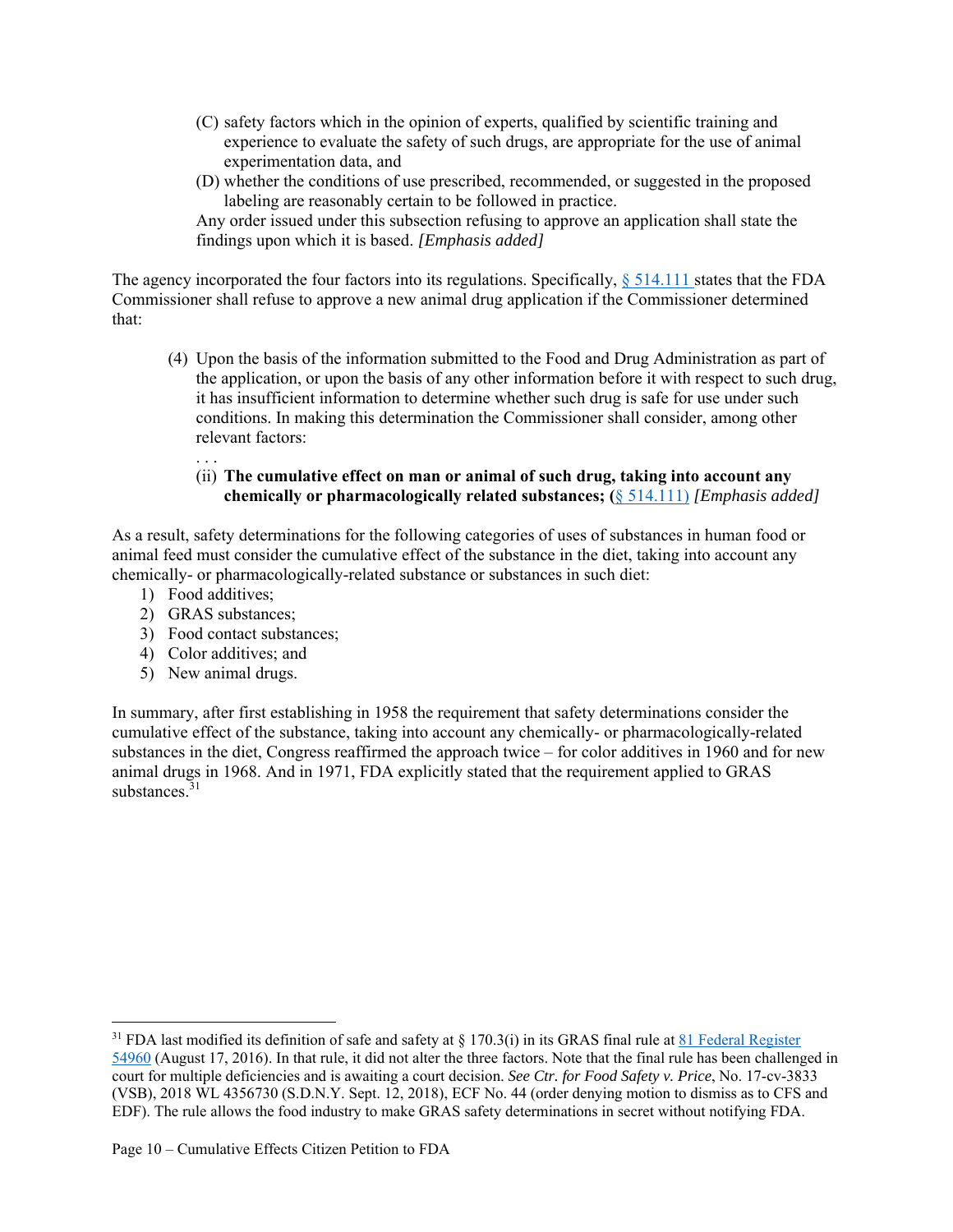- (C) safety factors which in the opinion of experts, qualified by scientific training and experience to evaluate the safety of such drugs, are appropriate for the use of animal experimentation data, and
- (D) whether the conditions of use prescribed, recommended, or suggested in the proposed labeling are reasonably certain to be followed in practice.

Any order issued under this subsection refusing to approve an application shall state the findings upon which it is based. *[Emphasis added]*

The agency incorporated the four factors into its regulations. Specifically,  $\S$  514.111 states that the FDA Commissioner shall refuse to approve a new animal drug application if the Commissioner determined that:

(4) Upon the basis of the information submitted to the Food and Drug Administration as part of the application, or upon the basis of any other information before it with respect to such drug, it has insufficient information to determine whether such drug is safe for use under such conditions. In making this determination the Commissioner shall consider, among other relevant factors:

#### $\mathbf{r}$  . . . (ii) **The cumulative effect on man or animal of such drug, taking into account any chemically or pharmacologically related substances; (**§ 514.111) *[Emphasis added]*

As a result, safety determinations for the following categories of uses of substances in human food or animal feed must consider the cumulative effect of the substance in the diet, taking into account any chemically- or pharmacologically-related substance or substances in such diet:

- 1) Food additives;
- 2) GRAS substances;
- 3) Food contact substances;
- 4) Color additives; and
- 5) New animal drugs.

In summary, after first establishing in 1958 the requirement that safety determinations consider the cumulative effect of the substance, taking into account any chemically- or pharmacologically-related substances in the diet, Congress reaffirmed the approach twice – for color additives in 1960 and for new animal drugs in 1968. And in 1971, FDA explicitly stated that the requirement applied to GRAS substances.<sup>31</sup>

<sup>&</sup>lt;sup>31</sup> FDA last modified its definition of safe and safety at  $\S$  170.3(i) in its GRAS final rule at 81 Federal Register 54960 (August 17, 2016). In that rule, it did not alter the three factors. Note that the final rule has been challenged in court for multiple deficiencies and is awaiting a court decision. *See Ctr. for Food Safety v. Price*, No. 17-cv-3833 (VSB), 2018 WL 4356730 (S.D.N.Y. Sept. 12, 2018), ECF No. 44 (order denying motion to dismiss as to CFS and EDF). The rule allows the food industry to make GRAS safety determinations in secret without notifying FDA.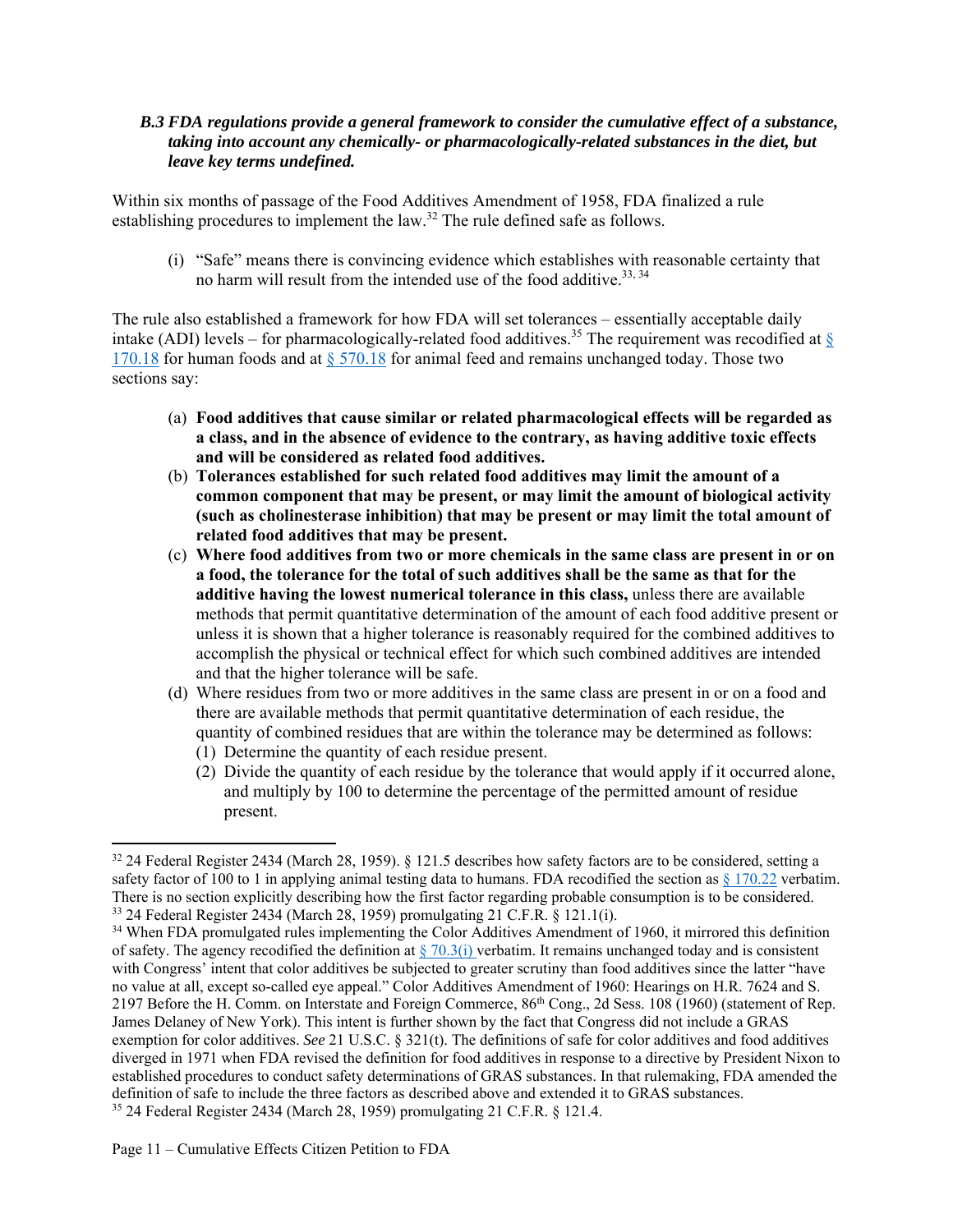#### *B.3 FDA regulations provide a general framework to consider the cumulative effect of a substance, taking into account any chemically- or pharmacologically-related substances in the diet, but leave key terms undefined.*

Within six months of passage of the Food Additives Amendment of 1958, FDA finalized a rule establishing procedures to implement the law.<sup>32</sup> The rule defined safe as follows.

(i) "Safe" means there is convincing evidence which establishes with reasonable certainty that no harm will result from the intended use of the food additive.<sup>33, 34</sup>

The rule also established a framework for how FDA will set tolerances – essentially acceptable daily intake (ADI) levels – for pharmacologically-related food additives.<sup>35</sup> The requirement was recodified at  $\frac{8}{3}$ 170.18 for human foods and at  $\S 570.18$  for animal feed and remains unchanged today. Those two sections say:

- (a) **Food additives that cause similar or related pharmacological effects will be regarded as a class, and in the absence of evidence to the contrary, as having additive toxic effects and will be considered as related food additives.**
- (b) **Tolerances established for such related food additives may limit the amount of a common component that may be present, or may limit the amount of biological activity (such as cholinesterase inhibition) that may be present or may limit the total amount of related food additives that may be present.**
- (c) **Where food additives from two or more chemicals in the same class are present in or on a food, the tolerance for the total of such additives shall be the same as that for the additive having the lowest numerical tolerance in this class,** unless there are available methods that permit quantitative determination of the amount of each food additive present or unless it is shown that a higher tolerance is reasonably required for the combined additives to accomplish the physical or technical effect for which such combined additives are intended and that the higher tolerance will be safe.
- (d) Where residues from two or more additives in the same class are present in or on a food and there are available methods that permit quantitative determination of each residue, the quantity of combined residues that are within the tolerance may be determined as follows:
	- (1) Determine the quantity of each residue present.
	- (2) Divide the quantity of each residue by the tolerance that would apply if it occurred alone, and multiply by 100 to determine the percentage of the permitted amount of residue present.

<sup>32 24</sup> Federal Register 2434 (March 28, 1959). § 121.5 describes how safety factors are to be considered, setting a safety factor of 100 to 1 in applying animal testing data to humans. FDA recodified the section as  $\S 170.22$  verbatim. There is no section explicitly describing how the first factor regarding probable consumption is to be considered. 33 24 Federal Register 2434 (March 28, 1959) promulgating 21 C.F.R. § 121.1(i).

<sup>&</sup>lt;sup>34</sup> When FDA promulgated rules implementing the Color Additives Amendment of 1960, it mirrored this definition of safety. The agency recodified the definition at  $\S$  70.3(i) verbatim. It remains unchanged today and is consistent with Congress' intent that color additives be subjected to greater scrutiny than food additives since the latter "have no value at all, except so-called eye appeal." Color Additives Amendment of 1960: Hearings on H.R. 7624 and S. 2197 Before the H. Comm. on Interstate and Foreign Commerce, 86th Cong., 2d Sess. 108 (1960) (statement of Rep. James Delaney of New York). This intent is further shown by the fact that Congress did not include a GRAS exemption for color additives. *See* 21 U.S.C. § 321(t). The definitions of safe for color additives and food additives diverged in 1971 when FDA revised the definition for food additives in response to a directive by President Nixon to established procedures to conduct safety determinations of GRAS substances. In that rulemaking, FDA amended the definition of safe to include the three factors as described above and extended it to GRAS substances. 35 24 Federal Register 2434 (March 28, 1959) promulgating 21 C.F.R. § 121.4.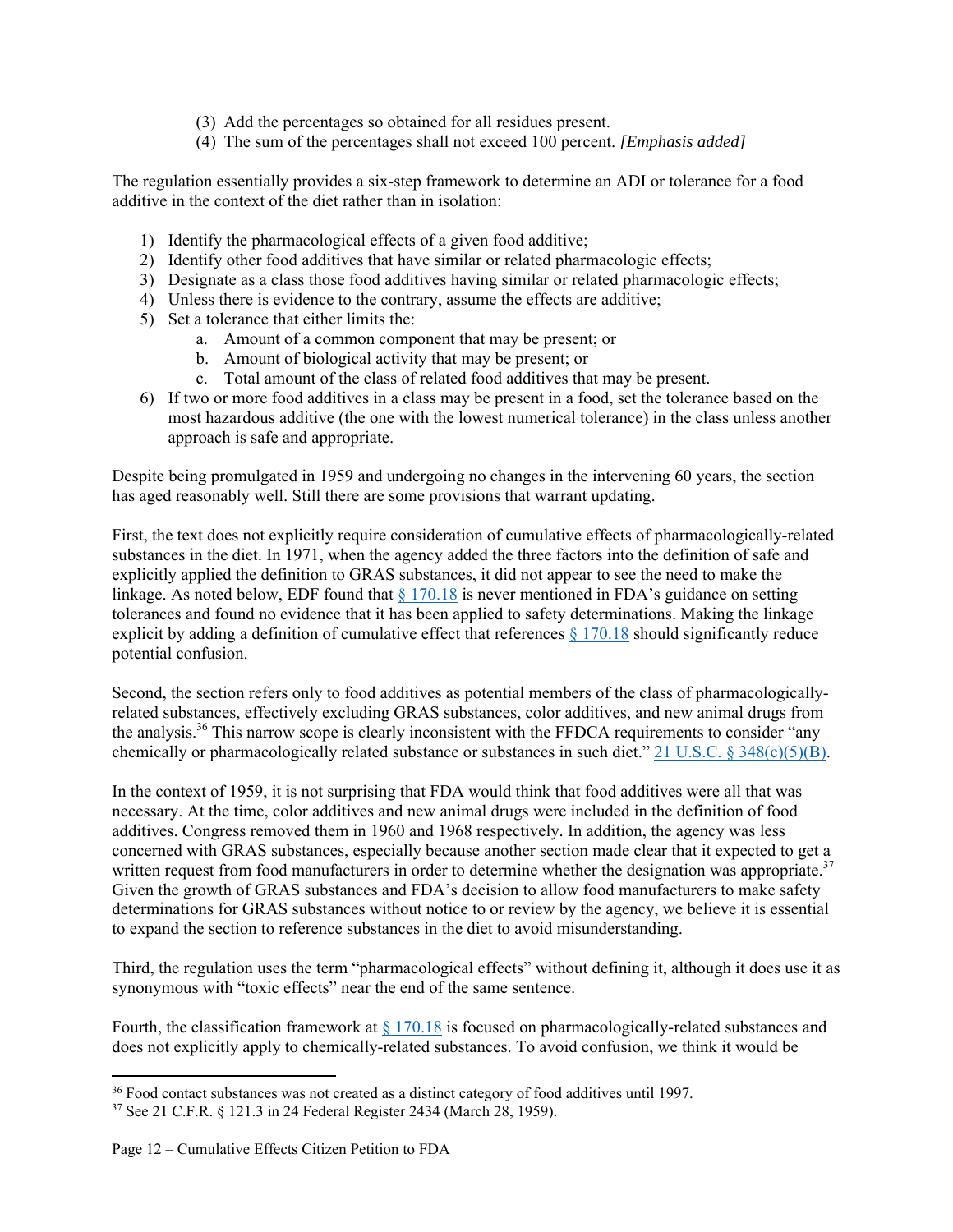- (3) Add the percentages so obtained for all residues present.
- (4) The sum of the percentages shall not exceed 100 percent. *[Emphasis added]*

The regulation essentially provides a six-step framework to determine an ADI or tolerance for a food additive in the context of the diet rather than in isolation:

- 1) Identify the pharmacological effects of a given food additive;
- 2) Identify other food additives that have similar or related pharmacologic effects;
- 3) Designate as a class those food additives having similar or related pharmacologic effects;
- 4) Unless there is evidence to the contrary, assume the effects are additive;
- 5) Set a tolerance that either limits the:
	- a. Amount of a common component that may be present; or
	- b. Amount of biological activity that may be present; or
	- c. Total amount of the class of related food additives that may be present.
- 6) If two or more food additives in a class may be present in a food, set the tolerance based on the most hazardous additive (the one with the lowest numerical tolerance) in the class unless another approach is safe and appropriate.

Despite being promulgated in 1959 and undergoing no changes in the intervening 60 years, the section has aged reasonably well. Still there are some provisions that warrant updating.

First, the text does not explicitly require consideration of cumulative effects of pharmacologically-related substances in the diet. In 1971, when the agency added the three factors into the definition of safe and explicitly applied the definition to GRAS substances, it did not appear to see the need to make the linkage. As noted below, EDF found that  $\S 170.18$  is never mentioned in FDA's guidance on setting tolerances and found no evidence that it has been applied to safety determinations. Making the linkage explicit by adding a definition of cumulative effect that references § 170.18 should significantly reduce potential confusion.

Second, the section refers only to food additives as potential members of the class of pharmacologicallyrelated substances, effectively excluding GRAS substances, color additives, and new animal drugs from the analysis.36 This narrow scope is clearly inconsistent with the FFDCA requirements to consider "any chemically or pharmacologically related substance or substances in such diet." 21 U.S.C. § 348(c)(5)(B).

In the context of 1959, it is not surprising that FDA would think that food additives were all that was necessary. At the time, color additives and new animal drugs were included in the definition of food additives. Congress removed them in 1960 and 1968 respectively. In addition, the agency was less concerned with GRAS substances, especially because another section made clear that it expected to get a written request from food manufacturers in order to determine whether the designation was appropriate.<sup>37</sup> Given the growth of GRAS substances and FDA's decision to allow food manufacturers to make safety determinations for GRAS substances without notice to or review by the agency, we believe it is essential to expand the section to reference substances in the diet to avoid misunderstanding.

Third, the regulation uses the term "pharmacological effects" without defining it, although it does use it as synonymous with "toxic effects" near the end of the same sentence.

Fourth, the classification framework at § 170.18 is focused on pharmacologically-related substances and does not explicitly apply to chemically-related substances. To avoid confusion, we think it would be

<sup>&</sup>lt;sup>36</sup> Food contact substances was not created as a distinct category of food additives until 1997.

<sup>37</sup> See 21 C.F.R. § 121.3 in 24 Federal Register 2434 (March 28, 1959).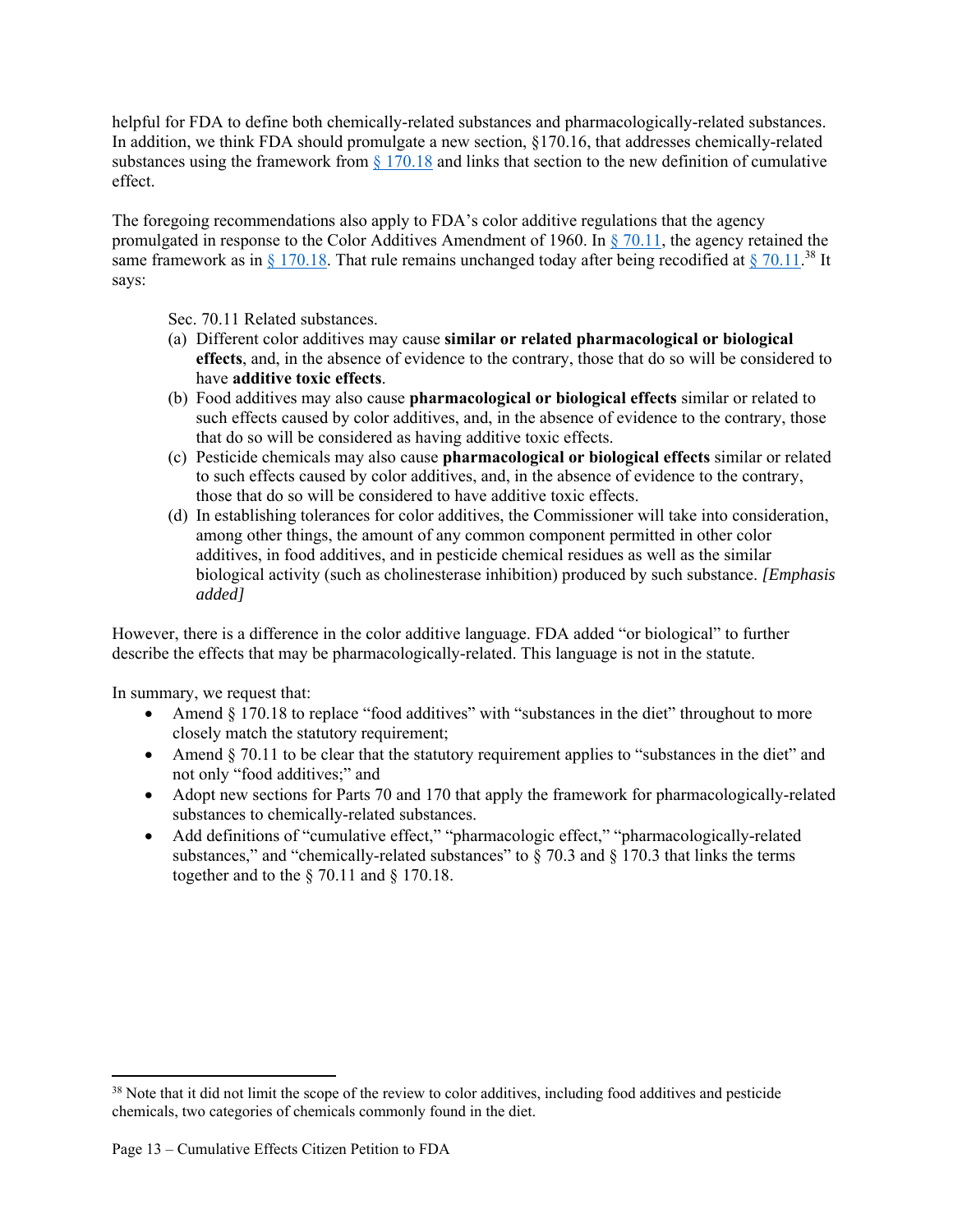helpful for FDA to define both chemically-related substances and pharmacologically-related substances. In addition, we think FDA should promulgate a new section, §170.16, that addresses chemically-related substances using the framework from § 170.18 and links that section to the new definition of cumulative effect.

The foregoing recommendations also apply to FDA's color additive regulations that the agency promulgated in response to the Color Additives Amendment of 1960. In § 70.11, the agency retained the same framework as in § 170.18. That rule remains unchanged today after being recodified at § 70.11.<sup>38</sup> It says:

Sec. 70.11 Related substances.

- (a) Different color additives may cause **similar or related pharmacological or biological effects**, and, in the absence of evidence to the contrary, those that do so will be considered to have **additive toxic effects**.
- (b) Food additives may also cause **pharmacological or biological effects** similar or related to such effects caused by color additives, and, in the absence of evidence to the contrary, those that do so will be considered as having additive toxic effects.
- (c) Pesticide chemicals may also cause **pharmacological or biological effects** similar or related to such effects caused by color additives, and, in the absence of evidence to the contrary, those that do so will be considered to have additive toxic effects.
- (d) In establishing tolerances for color additives, the Commissioner will take into consideration, among other things, the amount of any common component permitted in other color additives, in food additives, and in pesticide chemical residues as well as the similar biological activity (such as cholinesterase inhibition) produced by such substance. *[Emphasis added]*

However, there is a difference in the color additive language. FDA added "or biological" to further describe the effects that may be pharmacologically-related. This language is not in the statute.

In summary, we request that:

- Amend § 170.18 to replace "food additives" with "substances in the diet" throughout to more closely match the statutory requirement;
- Amend § 70.11 to be clear that the statutory requirement applies to "substances in the diet" and not only "food additives;" and
- Adopt new sections for Parts 70 and 170 that apply the framework for pharmacologically-related substances to chemically-related substances.
- Add definitions of "cumulative effect," "pharmacologic effect," "pharmacologically-related substances," and "chemically-related substances" to  $\S$  70.3 and  $\S$  170.3 that links the terms together and to the § 70.11 and § 170.18.

<sup>&</sup>lt;sup>38</sup> Note that it did not limit the scope of the review to color additives, including food additives and pesticide chemicals, two categories of chemicals commonly found in the diet.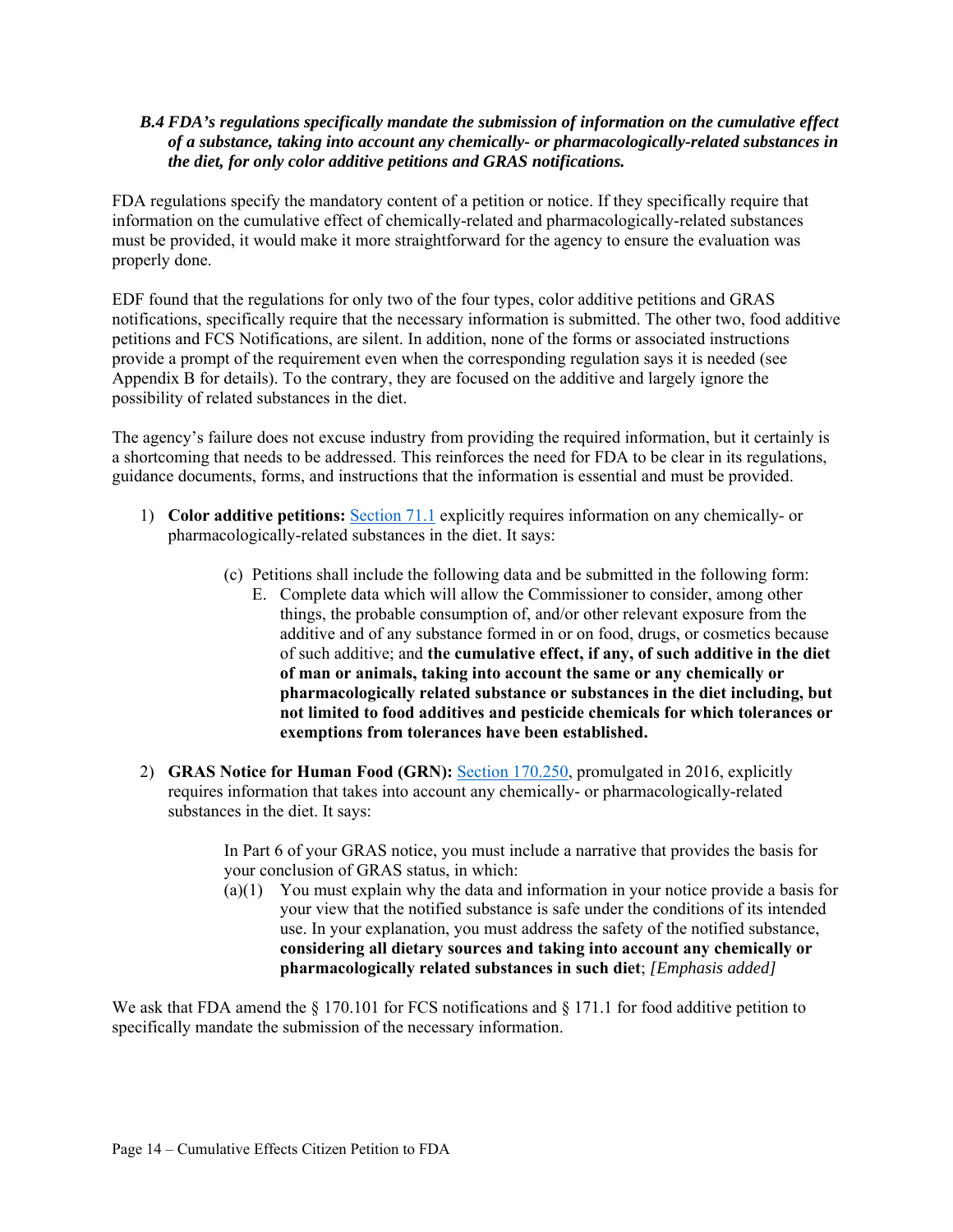#### *B.4 FDA's regulations specifically mandate the submission of information on the cumulative effect of a substance, taking into account any chemically- or pharmacologically-related substances in the diet, for only color additive petitions and GRAS notifications.*

FDA regulations specify the mandatory content of a petition or notice. If they specifically require that information on the cumulative effect of chemically-related and pharmacologically-related substances must be provided, it would make it more straightforward for the agency to ensure the evaluation was properly done.

EDF found that the regulations for only two of the four types, color additive petitions and GRAS notifications, specifically require that the necessary information is submitted. The other two, food additive petitions and FCS Notifications, are silent. In addition, none of the forms or associated instructions provide a prompt of the requirement even when the corresponding regulation says it is needed (see Appendix B for details). To the contrary, they are focused on the additive and largely ignore the possibility of related substances in the diet.

The agency's failure does not excuse industry from providing the required information, but it certainly is a shortcoming that needs to be addressed. This reinforces the need for FDA to be clear in its regulations, guidance documents, forms, and instructions that the information is essential and must be provided.

- 1) **Color additive petitions:** Section 71.1 explicitly requires information on any chemically- or pharmacologically-related substances in the diet. It says:
	- (c) Petitions shall include the following data and be submitted in the following form:
		- E. Complete data which will allow the Commissioner to consider, among other things, the probable consumption of, and/or other relevant exposure from the additive and of any substance formed in or on food, drugs, or cosmetics because of such additive; and **the cumulative effect, if any, of such additive in the diet of man or animals, taking into account the same or any chemically or pharmacologically related substance or substances in the diet including, but not limited to food additives and pesticide chemicals for which tolerances or exemptions from tolerances have been established.**
- 2) **GRAS Notice for Human Food (GRN):** Section 170.250, promulgated in 2016, explicitly requires information that takes into account any chemically- or pharmacologically-related substances in the diet. It says:

In Part 6 of your GRAS notice, you must include a narrative that provides the basis for your conclusion of GRAS status, in which:

(a)(1) You must explain why the data and information in your notice provide a basis for your view that the notified substance is safe under the conditions of its intended use. In your explanation, you must address the safety of the notified substance, **considering all dietary sources and taking into account any chemically or pharmacologically related substances in such diet**; *[Emphasis added]*

We ask that FDA amend the  $\S 170.101$  for FCS notifications and  $\S 171.1$  for food additive petition to specifically mandate the submission of the necessary information.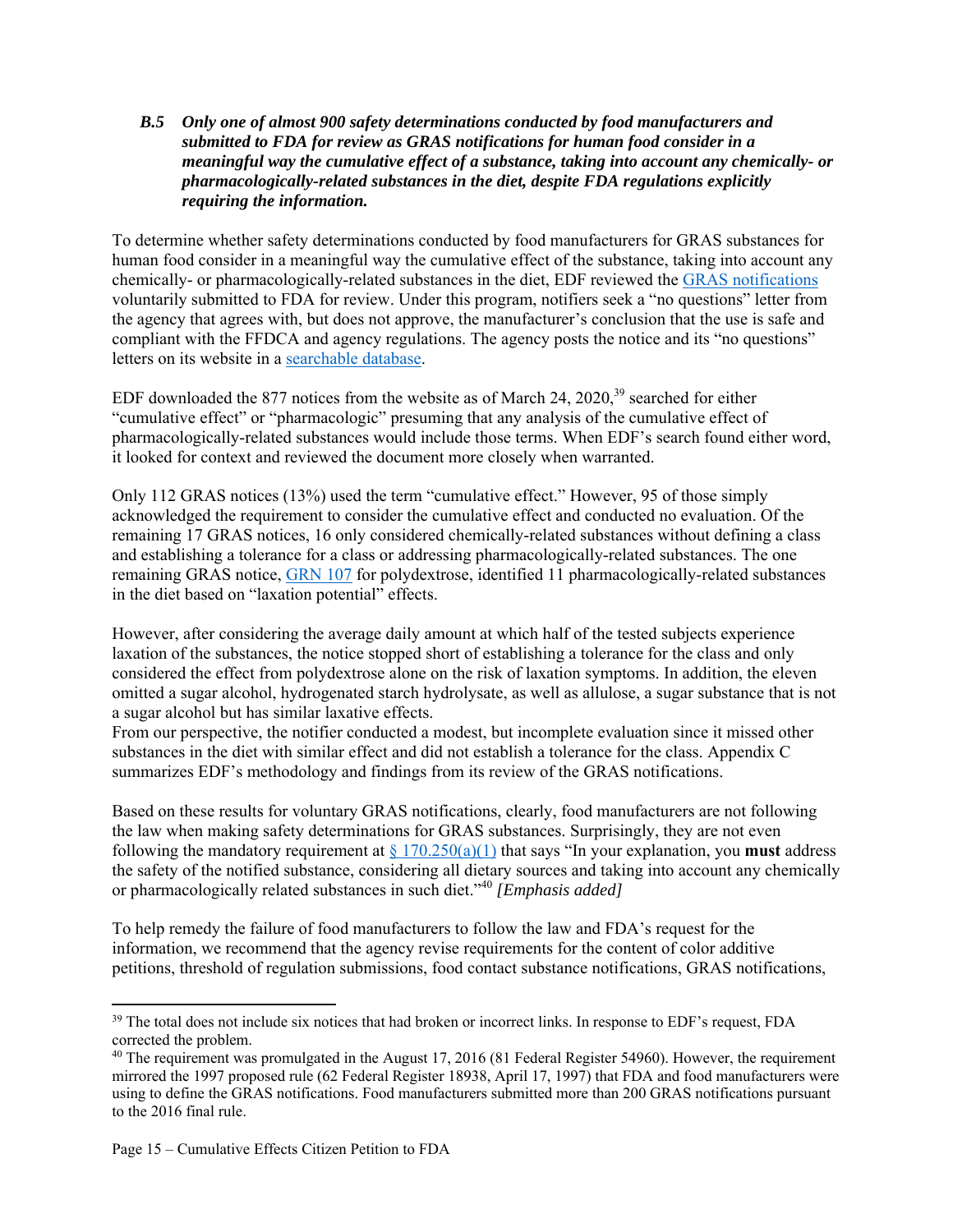#### *B.5 Only one of almost 900 safety determinations conducted by food manufacturers and submitted to FDA for review as GRAS notifications for human food consider in a meaningful way the cumulative effect of a substance, taking into account any chemically- or pharmacologically-related substances in the diet, despite FDA regulations explicitly requiring the information.*

To determine whether safety determinations conducted by food manufacturers for GRAS substances for human food consider in a meaningful way the cumulative effect of the substance, taking into account any chemically- or pharmacologically-related substances in the diet, EDF reviewed the GRAS notifications voluntarily submitted to FDA for review. Under this program, notifiers seek a "no questions" letter from the agency that agrees with, but does not approve, the manufacturer's conclusion that the use is safe and compliant with the FFDCA and agency regulations. The agency posts the notice and its "no questions" letters on its website in a searchable database.

EDF downloaded the 877 notices from the website as of March 24, 2020,  $39$  searched for either "cumulative effect" or "pharmacologic" presuming that any analysis of the cumulative effect of pharmacologically-related substances would include those terms. When EDF's search found either word, it looked for context and reviewed the document more closely when warranted.

Only 112 GRAS notices (13%) used the term "cumulative effect." However, 95 of those simply acknowledged the requirement to consider the cumulative effect and conducted no evaluation. Of the remaining 17 GRAS notices, 16 only considered chemically-related substances without defining a class and establishing a tolerance for a class or addressing pharmacologically-related substances. The one remaining GRAS notice, GRN 107 for polydextrose, identified 11 pharmacologically-related substances in the diet based on "laxation potential" effects.

However, after considering the average daily amount at which half of the tested subjects experience laxation of the substances, the notice stopped short of establishing a tolerance for the class and only considered the effect from polydextrose alone on the risk of laxation symptoms. In addition, the eleven omitted a sugar alcohol, hydrogenated starch hydrolysate, as well as allulose, a sugar substance that is not a sugar alcohol but has similar laxative effects.

From our perspective, the notifier conducted a modest, but incomplete evaluation since it missed other substances in the diet with similar effect and did not establish a tolerance for the class. Appendix C summarizes EDF's methodology and findings from its review of the GRAS notifications.

Based on these results for voluntary GRAS notifications, clearly, food manufacturers are not following the law when making safety determinations for GRAS substances. Surprisingly, they are not even following the mandatory requirement at § 170.250(a)(1) that says "In your explanation, you **must** address the safety of the notified substance, considering all dietary sources and taking into account any chemically or pharmacologically related substances in such diet."40 *[Emphasis added]* 

To help remedy the failure of food manufacturers to follow the law and FDA's request for the information, we recommend that the agency revise requirements for the content of color additive petitions, threshold of regulation submissions, food contact substance notifications, GRAS notifications,

<sup>&</sup>lt;sup>39</sup> The total does not include six notices that had broken or incorrect links. In response to EDF's request, FDA corrected the problem.

 $40$  The requirement was promulgated in the August 17, 2016 (81 Federal Register 54960). However, the requirement mirrored the 1997 proposed rule (62 Federal Register 18938, April 17, 1997) that FDA and food manufacturers were using to define the GRAS notifications. Food manufacturers submitted more than 200 GRAS notifications pursuant to the 2016 final rule.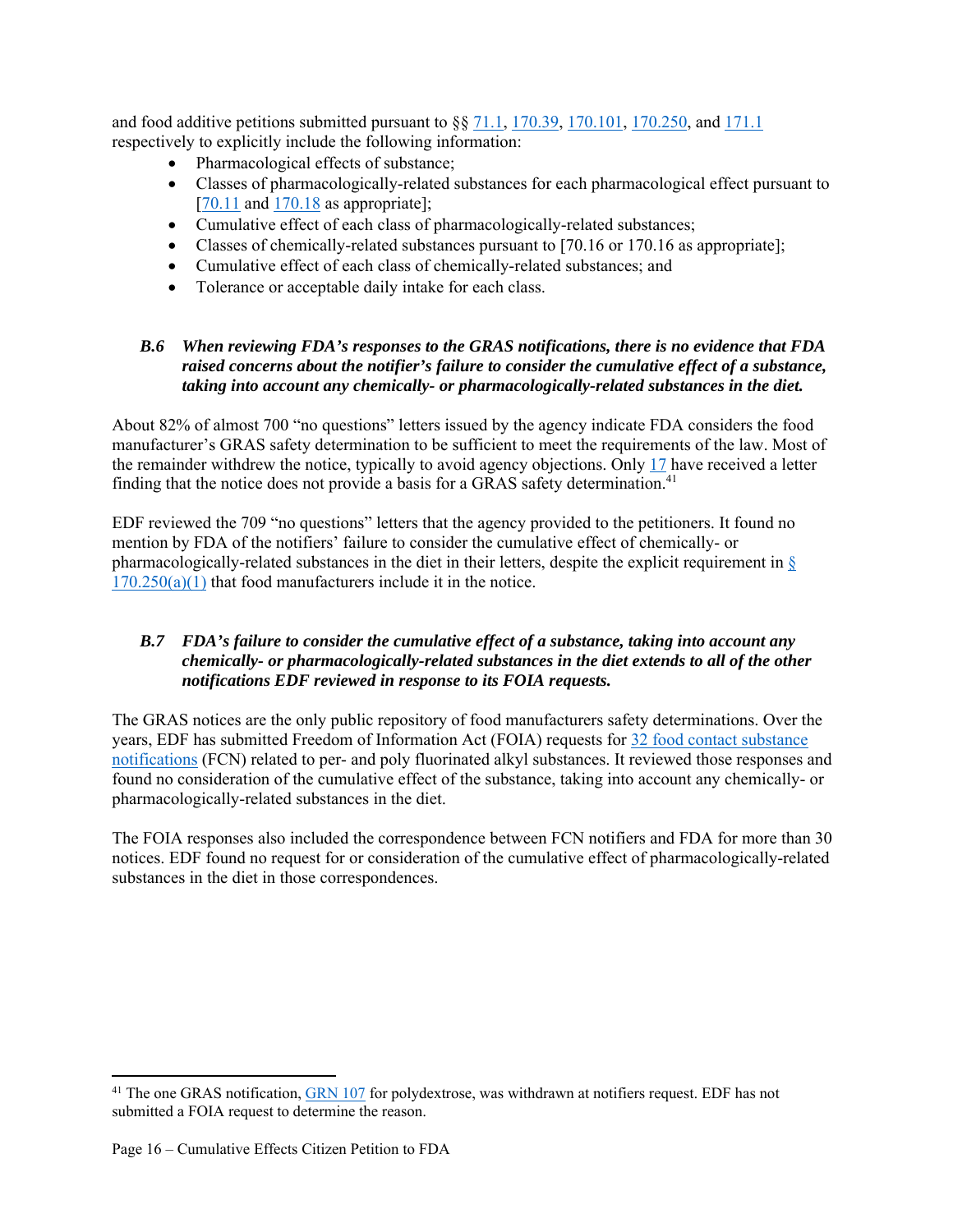and food additive petitions submitted pursuant to  $\S$ § 71.1, 170.39, 170.101, 170.250, and 171.1 respectively to explicitly include the following information:

- Pharmacological effects of substance;
- Classes of pharmacologically-related substances for each pharmacological effect pursuant to  $[70.11]$  and  $170.18$  as appropriate];
- Cumulative effect of each class of pharmacologically-related substances;
- Classes of chemically-related substances pursuant to [70.16 or 170.16 as appropriate];
- Cumulative effect of each class of chemically-related substances; and
- Tolerance or acceptable daily intake for each class.

#### *B.6 When reviewing FDA's responses to the GRAS notifications, there is no evidence that FDA raised concerns about the notifier's failure to consider the cumulative effect of a substance, taking into account any chemically- or pharmacologically-related substances in the diet.*

About 82% of almost 700 "no questions" letters issued by the agency indicate FDA considers the food manufacturer's GRAS safety determination to be sufficient to meet the requirements of the law. Most of the remainder withdrew the notice, typically to avoid agency objections. Only 17 have received a letter finding that the notice does not provide a basis for a GRAS safety determination.<sup>41</sup>

EDF reviewed the 709 "no questions" letters that the agency provided to the petitioners. It found no mention by FDA of the notifiers' failure to consider the cumulative effect of chemically- or pharmacologically-related substances in the diet in their letters, despite the explicit requirement in  $\S$  $170.250(a)(1)$  that food manufacturers include it in the notice.

## *B.7 FDA's failure to consider the cumulative effect of a substance, taking into account any chemically- or pharmacologically-related substances in the diet extends to all of the other notifications EDF reviewed in response to its FOIA requests.*

The GRAS notices are the only public repository of food manufacturers safety determinations. Over the years, EDF has submitted Freedom of Information Act (FOIA) requests for 32 food contact substance notifications (FCN) related to per- and poly fluorinated alkyl substances. It reviewed those responses and found no consideration of the cumulative effect of the substance, taking into account any chemically- or pharmacologically-related substances in the diet.

The FOIA responses also included the correspondence between FCN notifiers and FDA for more than 30 notices. EDF found no request for or consideration of the cumulative effect of pharmacologically-related substances in the diet in those correspondences.

<sup>&</sup>lt;sup>41</sup> The one GRAS notification, **GRN 107** for polydextrose, was withdrawn at notifiers request. EDF has not submitted a FOIA request to determine the reason.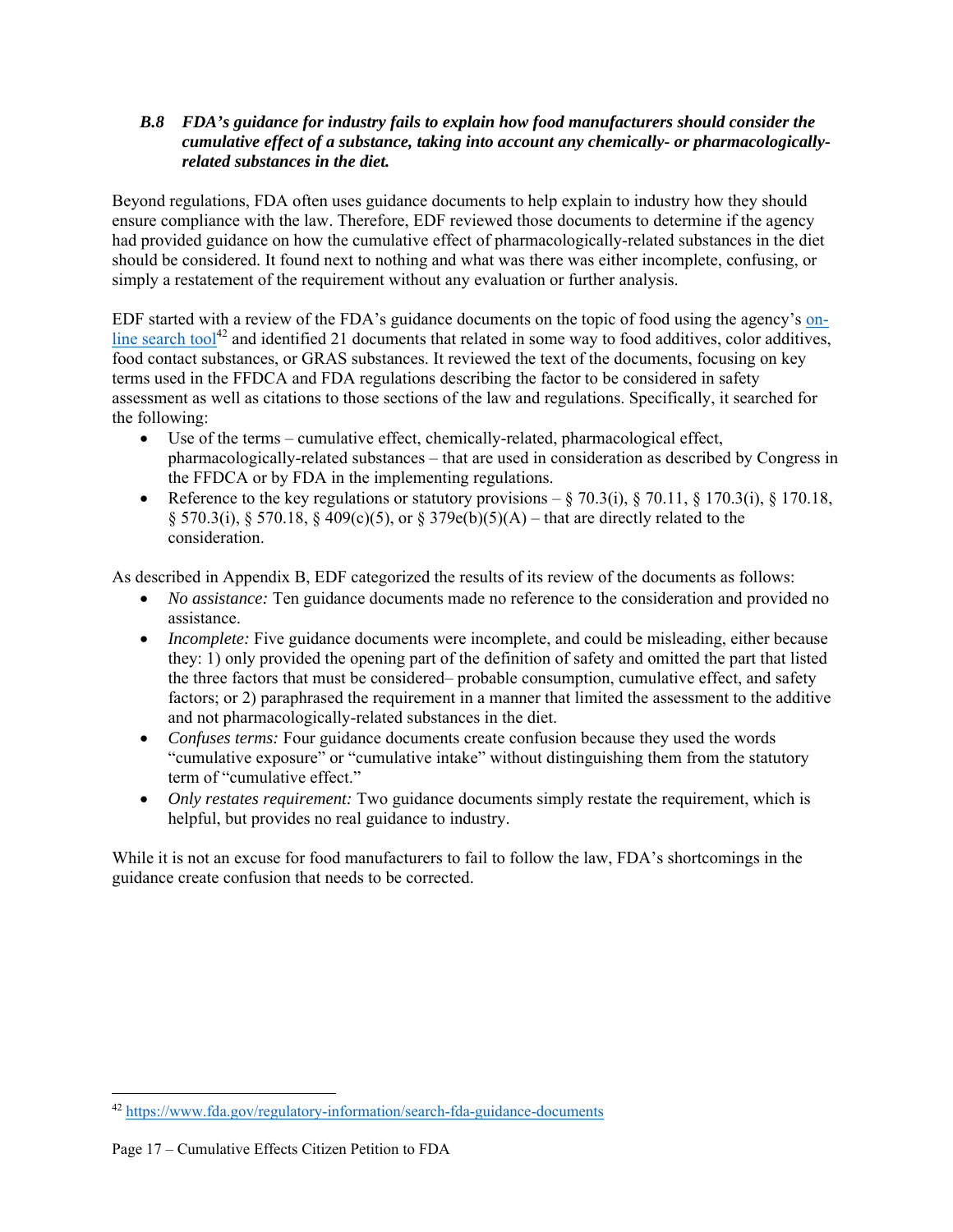### *B.8 FDA's guidance for industry fails to explain how food manufacturers should consider the cumulative effect of a substance, taking into account any chemically- or pharmacologicallyrelated substances in the diet.*

Beyond regulations, FDA often uses guidance documents to help explain to industry how they should ensure compliance with the law. Therefore, EDF reviewed those documents to determine if the agency had provided guidance on how the cumulative effect of pharmacologically-related substances in the diet should be considered. It found next to nothing and what was there was either incomplete, confusing, or simply a restatement of the requirement without any evaluation or further analysis.

EDF started with a review of the FDA's guidance documents on the topic of food using the agency's online search tool<sup>42</sup> and identified 21 documents that related in some way to food additives, color additives, food contact substances, or GRAS substances. It reviewed the text of the documents, focusing on key terms used in the FFDCA and FDA regulations describing the factor to be considered in safety assessment as well as citations to those sections of the law and regulations. Specifically, it searched for the following:

- Use of the terms cumulative effect, chemically-related, pharmacological effect, pharmacologically-related substances – that are used in consideration as described by Congress in the FFDCA or by FDA in the implementing regulations.
- Reference to the key regulations or statutory provisions  $\S 70.3(i)$ ,  $\S 70.11$ ,  $\S 170.3(i)$ ,  $\S 170.18$ ,  $\S 570.3(i)$ ,  $\S 570.18$ ,  $\S 409(c)(5)$ , or  $\S 379e(b)(5)(A)$  – that are directly related to the consideration.

As described in Appendix B, EDF categorized the results of its review of the documents as follows:

- *No assistance:* Ten guidance documents made no reference to the consideration and provided no assistance.
- *Incomplete:* Five guidance documents were incomplete, and could be misleading, either because they: 1) only provided the opening part of the definition of safety and omitted the part that listed the three factors that must be considered– probable consumption, cumulative effect, and safety factors; or 2) paraphrased the requirement in a manner that limited the assessment to the additive and not pharmacologically-related substances in the diet.
- *Confuses terms:* Four guidance documents create confusion because they used the words "cumulative exposure" or "cumulative intake" without distinguishing them from the statutory term of "cumulative effect."
- *Only restates requirement:* Two guidance documents simply restate the requirement, which is helpful, but provides no real guidance to industry.

While it is not an excuse for food manufacturers to fail to follow the law, FDA's shortcomings in the guidance create confusion that needs to be corrected.

<sup>42</sup> https://www.fda.gov/regulatory-information/search-fda-guidance-documents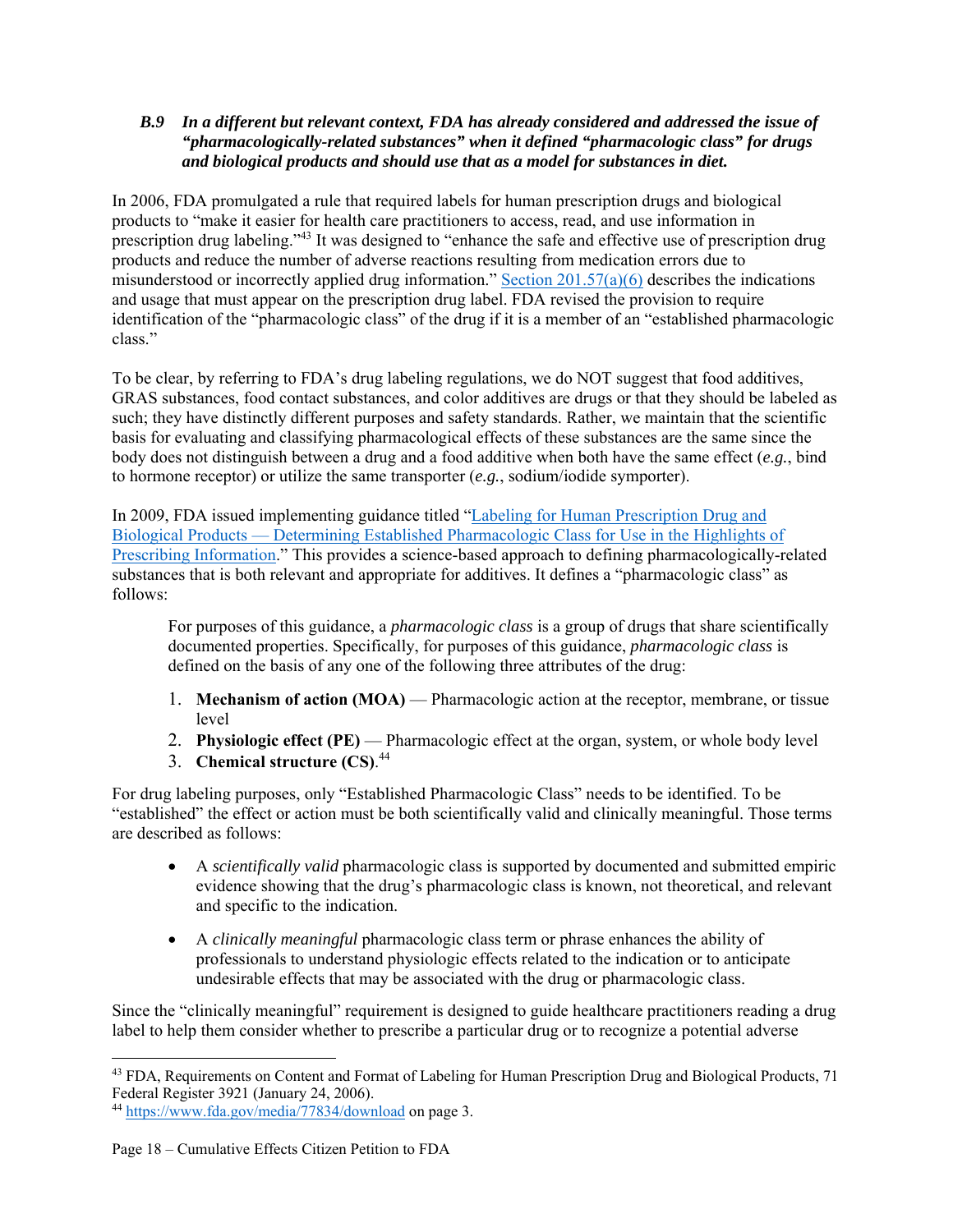## *B.9 In a different but relevant context, FDA has already considered and addressed the issue of "pharmacologically-related substances" when it defined "pharmacologic class" for drugs and biological products and should use that as a model for substances in diet.*

In 2006, FDA promulgated a rule that required labels for human prescription drugs and biological products to "make it easier for health care practitioners to access, read, and use information in prescription drug labeling."43 It was designed to "enhance the safe and effective use of prescription drug products and reduce the number of adverse reactions resulting from medication errors due to misunderstood or incorrectly applied drug information." Section 201.57(a)(6) describes the indications and usage that must appear on the prescription drug label. FDA revised the provision to require identification of the "pharmacologic class" of the drug if it is a member of an "established pharmacologic class."

To be clear, by referring to FDA's drug labeling regulations, we do NOT suggest that food additives, GRAS substances, food contact substances, and color additives are drugs or that they should be labeled as such; they have distinctly different purposes and safety standards. Rather, we maintain that the scientific basis for evaluating and classifying pharmacological effects of these substances are the same since the body does not distinguish between a drug and a food additive when both have the same effect (*e.g.*, bind to hormone receptor) or utilize the same transporter (*e.g.*, sodium/iodide symporter).

In 2009, FDA issued implementing guidance titled "Labeling for Human Prescription Drug and Biological Products — Determining Established Pharmacologic Class for Use in the Highlights of Prescribing Information." This provides a science-based approach to defining pharmacologically-related substances that is both relevant and appropriate for additives. It defines a "pharmacologic class" as follows:

For purposes of this guidance, a *pharmacologic class* is a group of drugs that share scientifically documented properties. Specifically, for purposes of this guidance, *pharmacologic class* is defined on the basis of any one of the following three attributes of the drug:

- 1. **Mechanism of action (MOA)** Pharmacologic action at the receptor, membrane, or tissue level
- 2. Physiologic effect (PE) Pharmacologic effect at the organ, system, or whole body level
- 3. **Chemical structure (CS)**. 44

For drug labeling purposes, only "Established Pharmacologic Class" needs to be identified. To be "established" the effect or action must be both scientifically valid and clinically meaningful. Those terms are described as follows:

- A *scientifically valid* pharmacologic class is supported by documented and submitted empiric evidence showing that the drug's pharmacologic class is known, not theoretical, and relevant and specific to the indication.
- A *clinically meaningful* pharmacologic class term or phrase enhances the ability of professionals to understand physiologic effects related to the indication or to anticipate undesirable effects that may be associated with the drug or pharmacologic class.

Since the "clinically meaningful" requirement is designed to guide healthcare practitioners reading a drug label to help them consider whether to prescribe a particular drug or to recognize a potential adverse

<sup>&</sup>lt;sup>43</sup> FDA, Requirements on Content and Format of Labeling for Human Prescription Drug and Biological Products, 71 Federal Register 3921 (January 24, 2006).

<sup>44</sup> https://www.fda.gov/media/77834/download on page 3.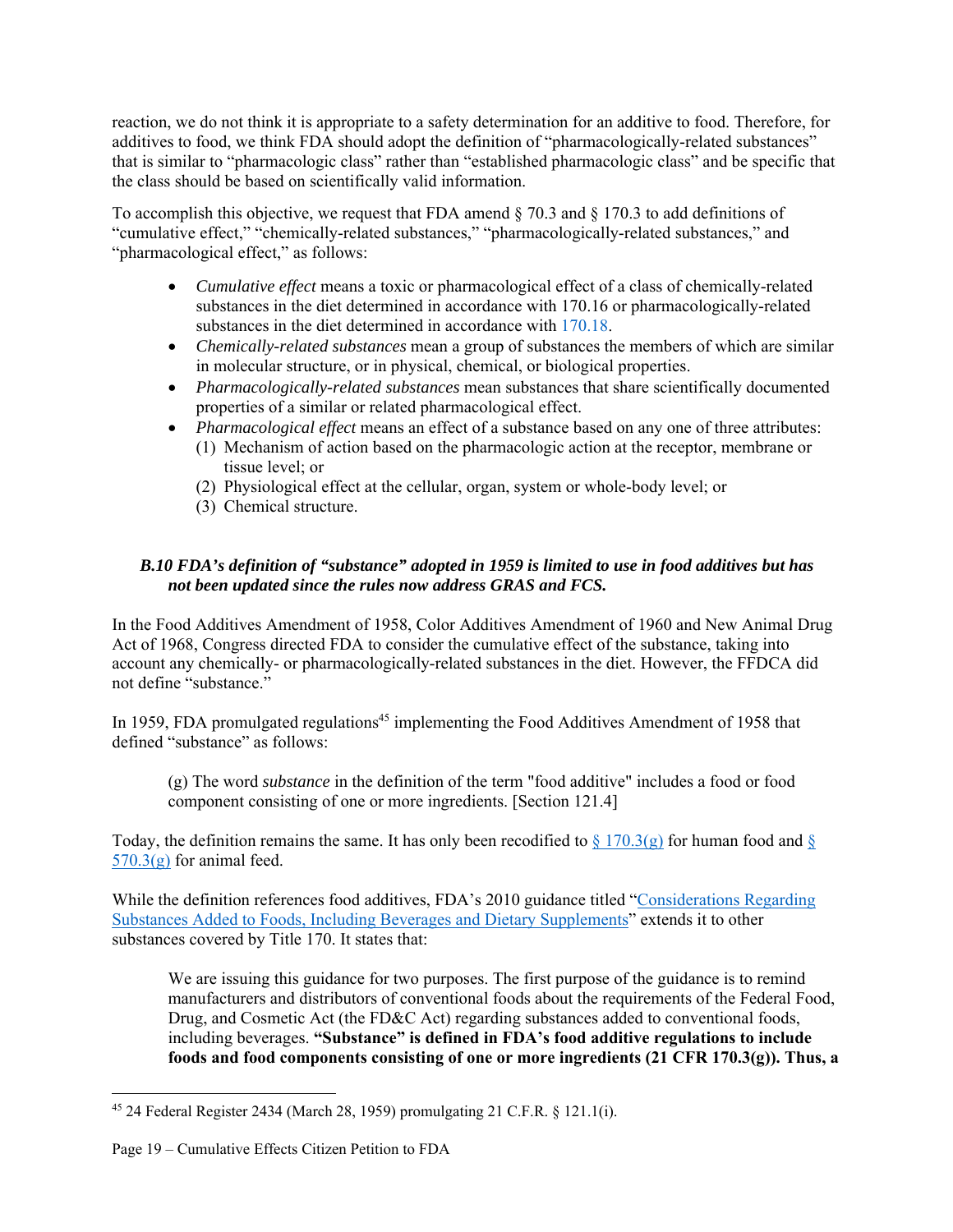reaction, we do not think it is appropriate to a safety determination for an additive to food. Therefore, for additives to food, we think FDA should adopt the definition of "pharmacologically-related substances" that is similar to "pharmacologic class" rather than "established pharmacologic class" and be specific that the class should be based on scientifically valid information.

To accomplish this objective, we request that FDA amend § 70.3 and § 170.3 to add definitions of "cumulative effect," "chemically-related substances," "pharmacologically-related substances," and "pharmacological effect," as follows:

- *Cumulative effect* means a toxic or pharmacological effect of a class of chemically-related substances in the diet determined in accordance with 170.16 or pharmacologically-related substances in the diet determined in accordance with 170.18.
- *Chemically-related substances* mean a group of substances the members of which are similar in molecular structure, or in physical, chemical, or biological properties.
- *Pharmacologically-related substances* mean substances that share scientifically documented properties of a similar or related pharmacological effect.
- *Pharmacological effect* means an effect of a substance based on any one of three attributes:
	- (1) Mechanism of action based on the pharmacologic action at the receptor, membrane or tissue level; or
	- (2) Physiological effect at the cellular, organ, system or whole-body level; or
	- (3) Chemical structure.

## *B.10 FDA's definition of "substance" adopted in 1959 is limited to use in food additives but has not been updated since the rules now address GRAS and FCS.*

In the Food Additives Amendment of 1958, Color Additives Amendment of 1960 and New Animal Drug Act of 1968, Congress directed FDA to consider the cumulative effect of the substance, taking into account any chemically- or pharmacologically-related substances in the diet. However, the FFDCA did not define "substance."

In 1959, FDA promulgated regulations<sup>45</sup> implementing the Food Additives Amendment of 1958 that defined "substance" as follows:

(g) The word *substance* in the definition of the term "food additive" includes a food or food component consisting of one or more ingredients. [Section 121.4]

Today, the definition remains the same. It has only been recodified to  $\S 170.3(g)$  for human food and  $\S$  $570.3(g)$  for animal feed.

While the definition references food additives, FDA's 2010 guidance titled "Considerations Regarding Substances Added to Foods, Including Beverages and Dietary Supplements" extends it to other substances covered by Title 170. It states that:

We are issuing this guidance for two purposes. The first purpose of the guidance is to remind manufacturers and distributors of conventional foods about the requirements of the Federal Food, Drug, and Cosmetic Act (the FD&C Act) regarding substances added to conventional foods, including beverages. **"Substance" is defined in FDA's food additive regulations to include foods and food components consisting of one or more ingredients (21 CFR 170.3(g)). Thus, a** 

<sup>45 24</sup> Federal Register 2434 (March 28, 1959) promulgating 21 C.F.R. § 121.1(i).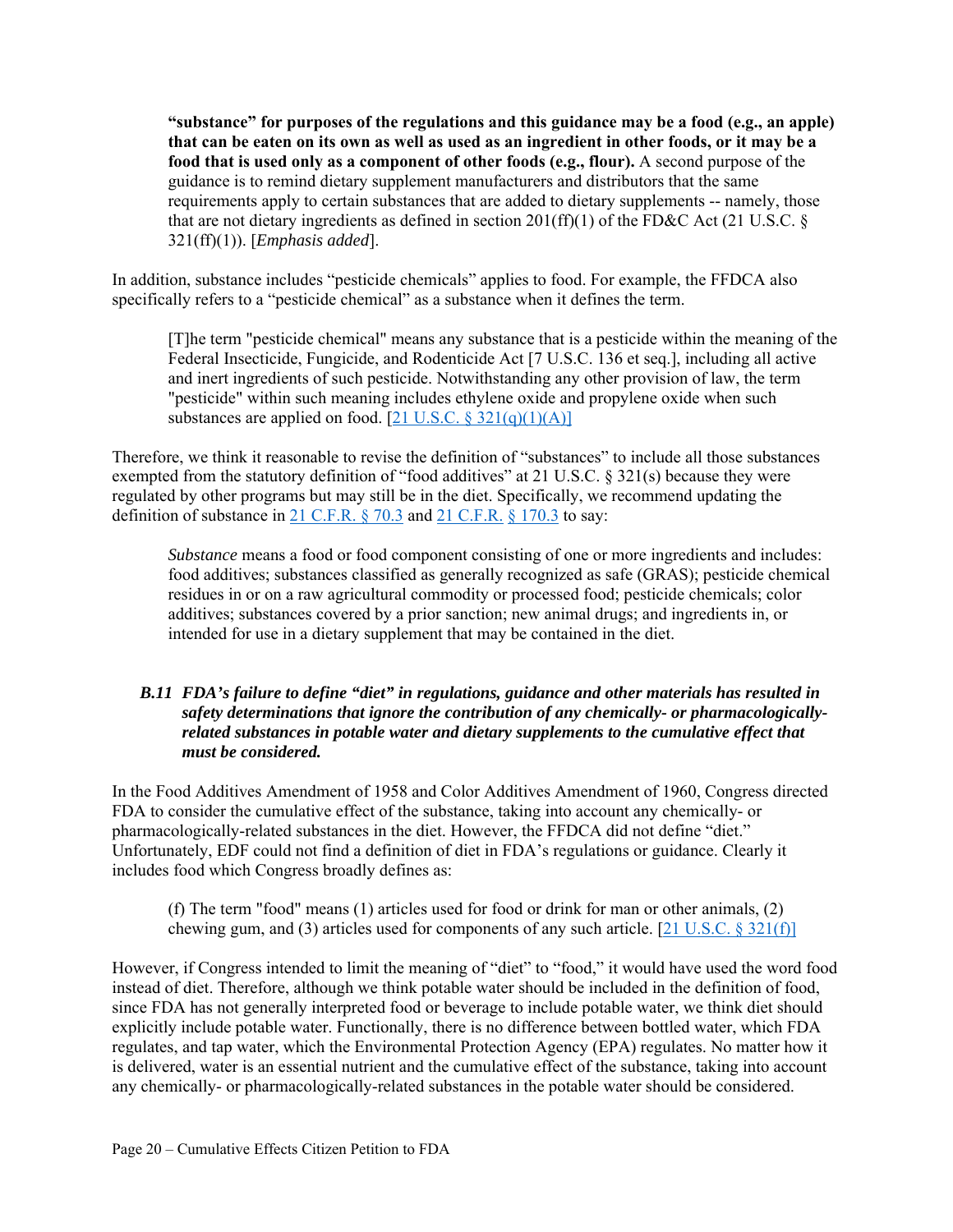**"substance" for purposes of the regulations and this guidance may be a food (e.g., an apple) that can be eaten on its own as well as used as an ingredient in other foods, or it may be a food that is used only as a component of other foods (e.g., flour).** A second purpose of the guidance is to remind dietary supplement manufacturers and distributors that the same requirements apply to certain substances that are added to dietary supplements -- namely, those that are not dietary ingredients as defined in section 201(ff)(1) of the FD&C Act (21 U.S.C.  $\S$ 321(ff)(1)). [*Emphasis added*].

In addition, substance includes "pesticide chemicals" applies to food. For example, the FFDCA also specifically refers to a "pesticide chemical" as a substance when it defines the term.

[T]he term "pesticide chemical" means any substance that is a pesticide within the meaning of the Federal Insecticide, Fungicide, and Rodenticide Act [7 U.S.C. 136 et seq.], including all active and inert ingredients of such pesticide. Notwithstanding any other provision of law, the term "pesticide" within such meaning includes ethylene oxide and propylene oxide when such substances are applied on food.  $[21 \text{ U.S.C.} \$ 321(q)(1)(A)]$ 

Therefore, we think it reasonable to revise the definition of "substances" to include all those substances exempted from the statutory definition of "food additives" at 21 U.S.C. § 321(s) because they were regulated by other programs but may still be in the diet. Specifically, we recommend updating the definition of substance in 21 C.F.R. § 70.3 and 21 C.F.R. § 170.3 to say:

*Substance* means a food or food component consisting of one or more ingredients and includes: food additives; substances classified as generally recognized as safe (GRAS); pesticide chemical residues in or on a raw agricultural commodity or processed food; pesticide chemicals; color additives; substances covered by a prior sanction; new animal drugs; and ingredients in, or intended for use in a dietary supplement that may be contained in the diet.

#### *B.11 FDA's failure to define "diet" in regulations, guidance and other materials has resulted in safety determinations that ignore the contribution of any chemically- or pharmacologicallyrelated substances in potable water and dietary supplements to the cumulative effect that must be considered.*

In the Food Additives Amendment of 1958 and Color Additives Amendment of 1960, Congress directed FDA to consider the cumulative effect of the substance, taking into account any chemically- or pharmacologically-related substances in the diet. However, the FFDCA did not define "diet." Unfortunately, EDF could not find a definition of diet in FDA's regulations or guidance. Clearly it includes food which Congress broadly defines as:

(f) The term "food" means (1) articles used for food or drink for man or other animals, (2) chewing gum, and (3) articles used for components of any such article. [21 U.S.C.  $\S 321(f)$ ]

However, if Congress intended to limit the meaning of "diet" to "food," it would have used the word food instead of diet. Therefore, although we think potable water should be included in the definition of food, since FDA has not generally interpreted food or beverage to include potable water, we think diet should explicitly include potable water. Functionally, there is no difference between bottled water, which FDA regulates, and tap water, which the Environmental Protection Agency (EPA) regulates. No matter how it is delivered, water is an essential nutrient and the cumulative effect of the substance, taking into account any chemically- or pharmacologically-related substances in the potable water should be considered.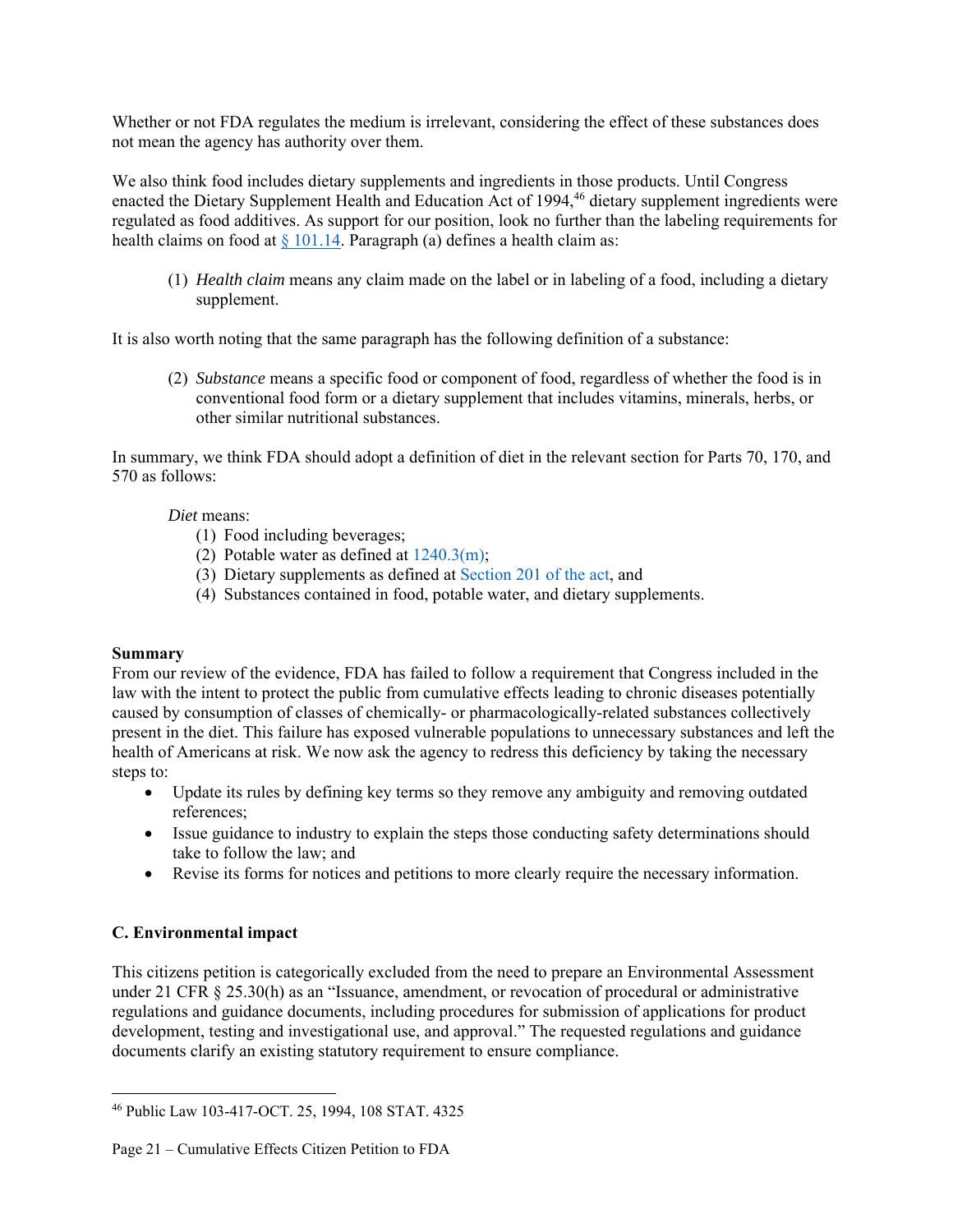Whether or not FDA regulates the medium is irrelevant, considering the effect of these substances does not mean the agency has authority over them.

We also think food includes dietary supplements and ingredients in those products. Until Congress enacted the Dietary Supplement Health and Education Act of 1994, 46 dietary supplement ingredients were regulated as food additives. As support for our position, look no further than the labeling requirements for health claims on food at  $\frac{101.14}{9}$ . Paragraph (a) defines a health claim as:

(1) *Health claim* means any claim made on the label or in labeling of a food, including a dietary supplement.

It is also worth noting that the same paragraph has the following definition of a substance:

(2) *Substance* means a specific food or component of food, regardless of whether the food is in conventional food form or a dietary supplement that includes vitamins, minerals, herbs, or other similar nutritional substances.

In summary, we think FDA should adopt a definition of diet in the relevant section for Parts 70, 170, and 570 as follows:

## *Diet* means:

- (1) Food including beverages;
- (2) Potable water as defined at  $1240.3(m)$ ;
- (3) Dietary supplements as defined at Section 201 of the act, and
- (4) Substances contained in food, potable water, and dietary supplements.

#### **Summary**

From our review of the evidence, FDA has failed to follow a requirement that Congress included in the law with the intent to protect the public from cumulative effects leading to chronic diseases potentially caused by consumption of classes of chemically- or pharmacologically-related substances collectively present in the diet. This failure has exposed vulnerable populations to unnecessary substances and left the health of Americans at risk. We now ask the agency to redress this deficiency by taking the necessary steps to:

- Update its rules by defining key terms so they remove any ambiguity and removing outdated references;
- Issue guidance to industry to explain the steps those conducting safety determinations should take to follow the law; and
- Revise its forms for notices and petitions to more clearly require the necessary information.

## **C. Environmental impact**

This citizens petition is categorically excluded from the need to prepare an Environmental Assessment under 21 CFR § 25.30(h) as an "Issuance, amendment, or revocation of procedural or administrative regulations and guidance documents, including procedures for submission of applications for product development, testing and investigational use, and approval." The requested regulations and guidance documents clarify an existing statutory requirement to ensure compliance.

<sup>46</sup> Public Law 103-417-OCT. 25, 1994, 108 STAT. 4325

Page 21 – Cumulative Effects Citizen Petition to FDA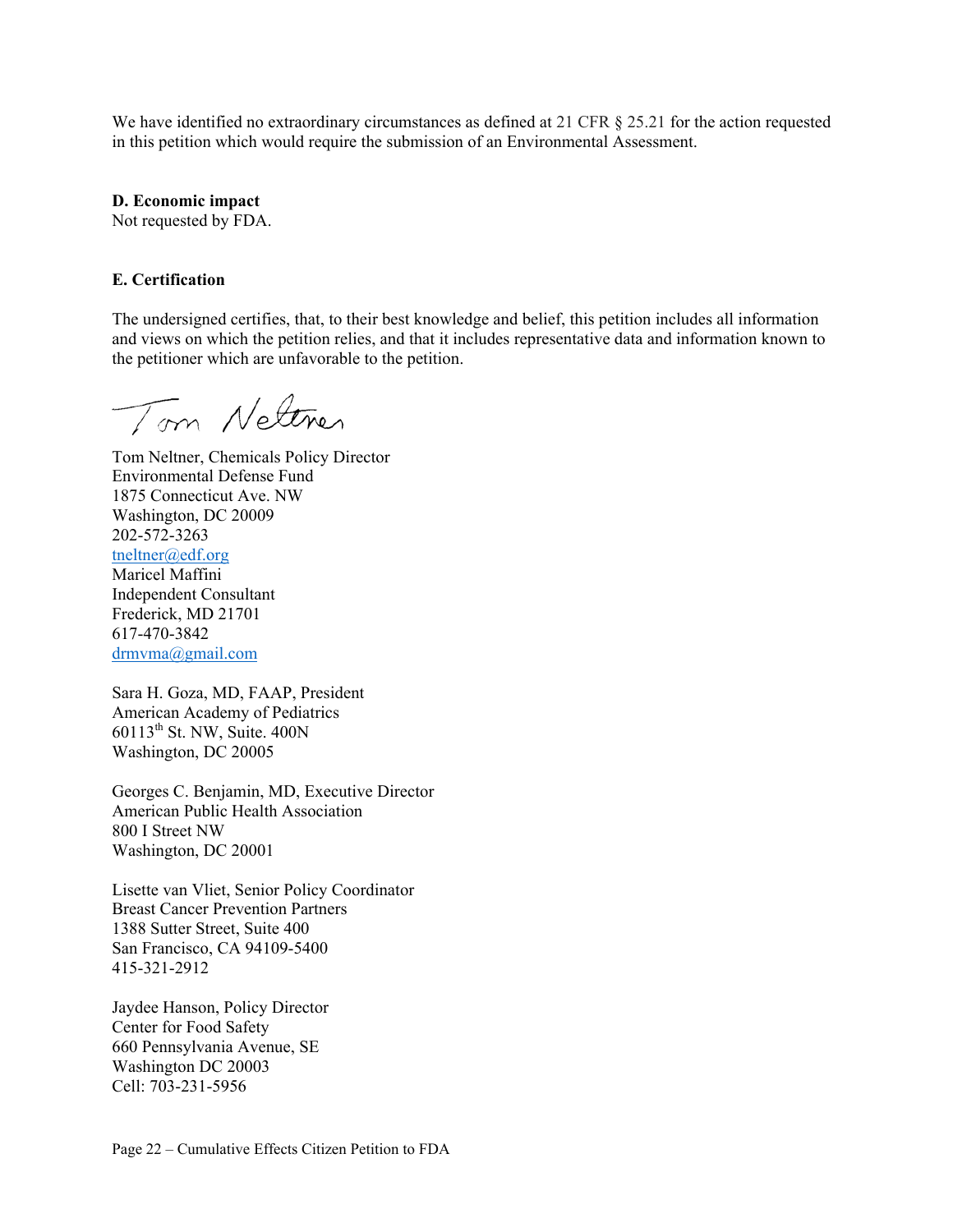We have identified no extraordinary circumstances as defined at 21 CFR § 25.21 for the action requested in this petition which would require the submission of an Environmental Assessment.

**D. Economic impact** 

Not requested by FDA.

#### **E. Certification**

The undersigned certifies, that, to their best knowledge and belief, this petition includes all information and views on which the petition relies, and that it includes representative data and information known to the petitioner which are unfavorable to the petition.

Tom Nettres

Tom Neltner, Chemicals Policy Director Environmental Defense Fund 1875 Connecticut Ave. NW Washington, DC 20009 202-572-3263 tneltner@edf.org Maricel Maffini Independent Consultant Frederick, MD 21701 617-470-3842 drmvma@gmail.com

Sara H. Goza, MD, FAAP, President American Academy of Pediatrics 60113th St. NW, Suite. 400N Washington, DC 20005

Georges C. Benjamin, MD, Executive Director American Public Health Association 800 I Street NW Washington, DC 20001

Lisette van Vliet, Senior Policy Coordinator Breast Cancer Prevention Partners 1388 Sutter Street, Suite 400 San Francisco, CA 94109-5400 415-321-2912

Jaydee Hanson, Policy Director Center for Food Safety 660 Pennsylvania Avenue, SE Washington DC 20003 Cell: 703-231-5956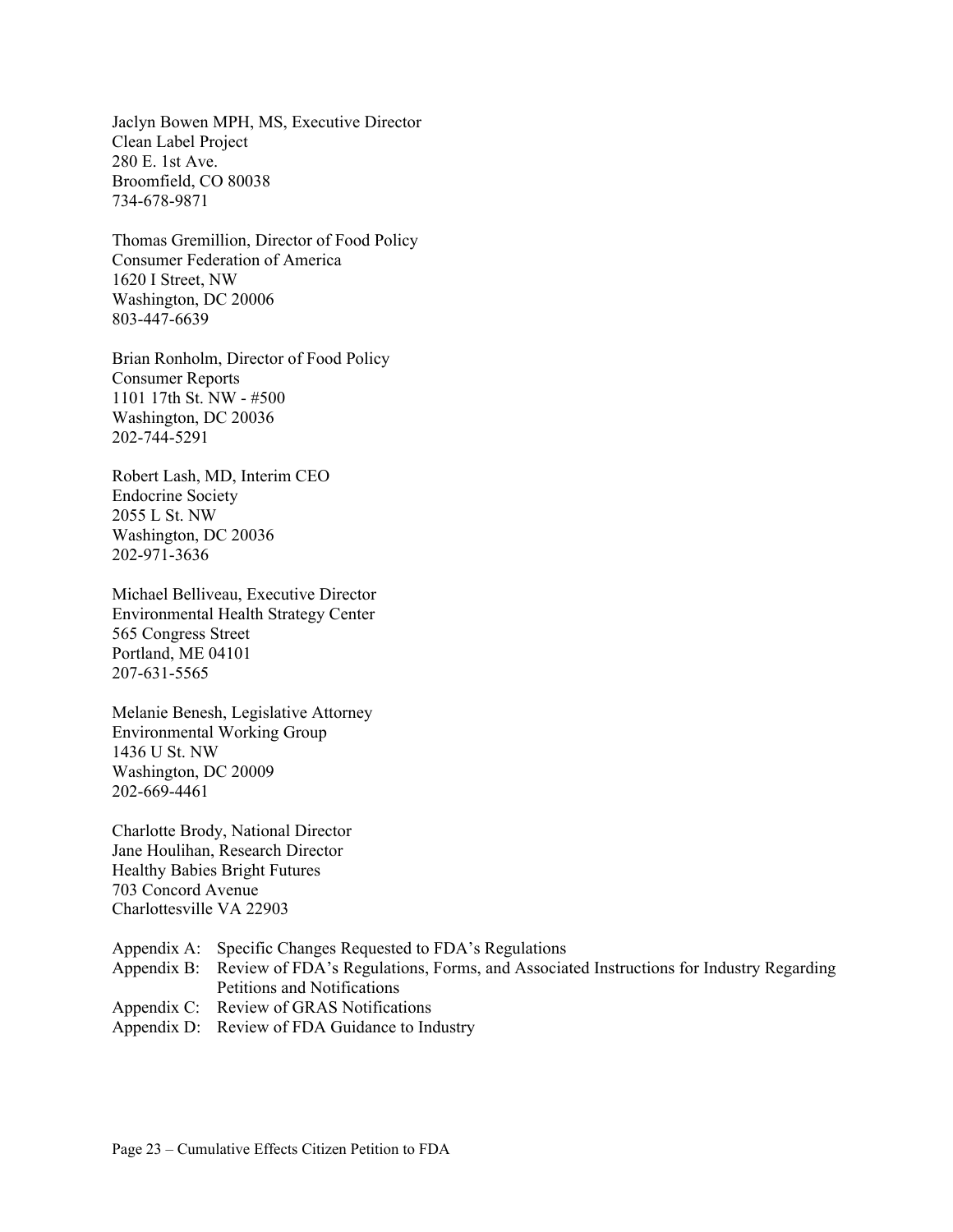Jaclyn Bowen MPH, MS, Executive Director Clean Label Project 280 E. 1st Ave. Broomfield, CO 80038 734-678-9871

Thomas Gremillion, Director of Food Policy Consumer Federation of America 1620 I Street, NW Washington, DC 20006 803-447-6639

Brian Ronholm, Director of Food Policy Consumer Reports 1101 17th St. NW - #500 Washington, DC 20036 202-744-5291

Robert Lash, MD, Interim CEO Endocrine Society 2055 L St. NW Washington, DC 20036 202-971-3636

Michael Belliveau, Executive Director Environmental Health Strategy Center 565 Congress Street Portland, ME 04101 207-631-5565

Melanie Benesh, Legislative Attorney Environmental Working Group 1436 U St. NW Washington, DC 20009 202-669-4461

Charlotte Brody, National Director Jane Houlihan, Research Director Healthy Babies Bright Futures 703 Concord Avenue Charlottesville VA 22903

- Appendix A: Specific Changes Requested to FDA's Regulations
- Appendix B: Review of FDA's Regulations, Forms, and Associated Instructions for Industry Regarding Petitions and Notifications
- Appendix C: Review of GRAS Notifications
- Appendix D: Review of FDA Guidance to Industry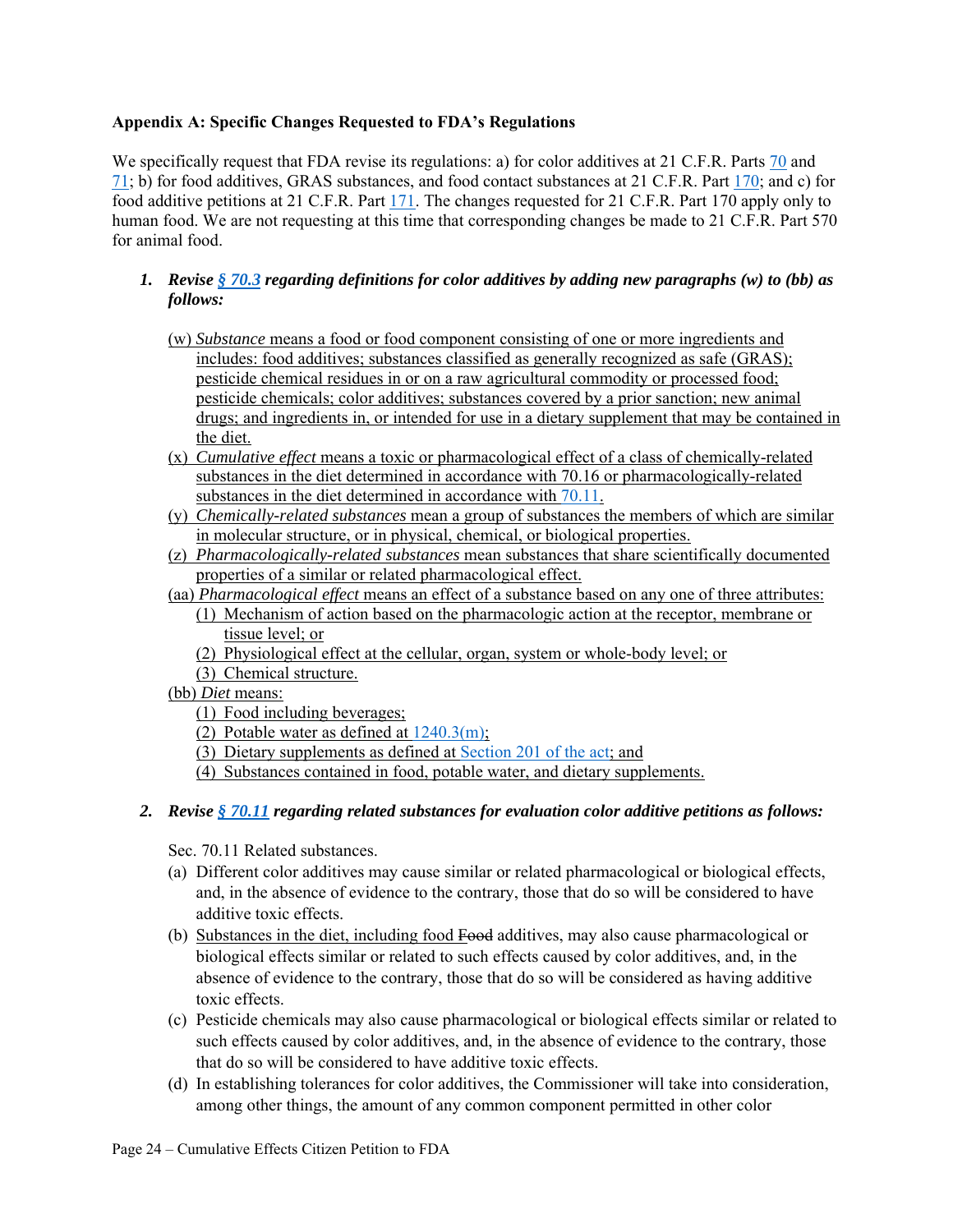#### **Appendix A: Specific Changes Requested to FDA's Regulations**

We specifically request that FDA revise its regulations: a) for color additives at 21 C.F.R. Parts 70 and 71; b) for food additives, GRAS substances, and food contact substances at 21 C.F.R. Part 170; and c) for food additive petitions at 21 C.F.R. Part 171. The changes requested for 21 C.F.R. Part 170 apply only to human food. We are not requesting at this time that corresponding changes be made to 21 C.F.R. Part 570 for animal food.

- *1. Revise § 70.3 regarding definitions for color additives by adding new paragraphs (w) to (bb) as follows:* 
	- (w) *Substance* means a food or food component consisting of one or more ingredients and includes: food additives; substances classified as generally recognized as safe (GRAS); pesticide chemical residues in or on a raw agricultural commodity or processed food; pesticide chemicals; color additives; substances covered by a prior sanction; new animal drugs; and ingredients in, or intended for use in a dietary supplement that may be contained in the diet.
	- (x) *Cumulative effect* means a toxic or pharmacological effect of a class of chemically-related substances in the diet determined in accordance with 70.16 or pharmacologically-related substances in the diet determined in accordance with 70.11.
	- (y) *Chemically-related substances* mean a group of substances the members of which are similar in molecular structure, or in physical, chemical, or biological properties.
	- (z) *Pharmacologically-related substances* mean substances that share scientifically documented properties of a similar or related pharmacological effect.
	- (aa) *Pharmacological effect* means an effect of a substance based on any one of three attributes:
		- (1) Mechanism of action based on the pharmacologic action at the receptor, membrane or tissue level; or
		- (2) Physiological effect at the cellular, organ, system or whole-body level; or
		- (3) Chemical structure.
	- (bb) *Diet* means:
		- (1) Food including beverages;
		- (2) Potable water as defined at  $1240.3(m)$ ;
		- (3) Dietary supplements as defined at Section 201 of the act; and
		- (4) Substances contained in food, potable water, and dietary supplements.

#### *2. Revise § 70.11 regarding related substances for evaluation color additive petitions as follows:*

Sec. 70.11 Related substances.

- (a) Different color additives may cause similar or related pharmacological or biological effects, and, in the absence of evidence to the contrary, those that do so will be considered to have additive toxic effects.
- (b) Substances in the diet, including food Food additives, may also cause pharmacological or biological effects similar or related to such effects caused by color additives, and, in the absence of evidence to the contrary, those that do so will be considered as having additive toxic effects.
- (c) Pesticide chemicals may also cause pharmacological or biological effects similar or related to such effects caused by color additives, and, in the absence of evidence to the contrary, those that do so will be considered to have additive toxic effects.
- (d) In establishing tolerances for color additives, the Commissioner will take into consideration, among other things, the amount of any common component permitted in other color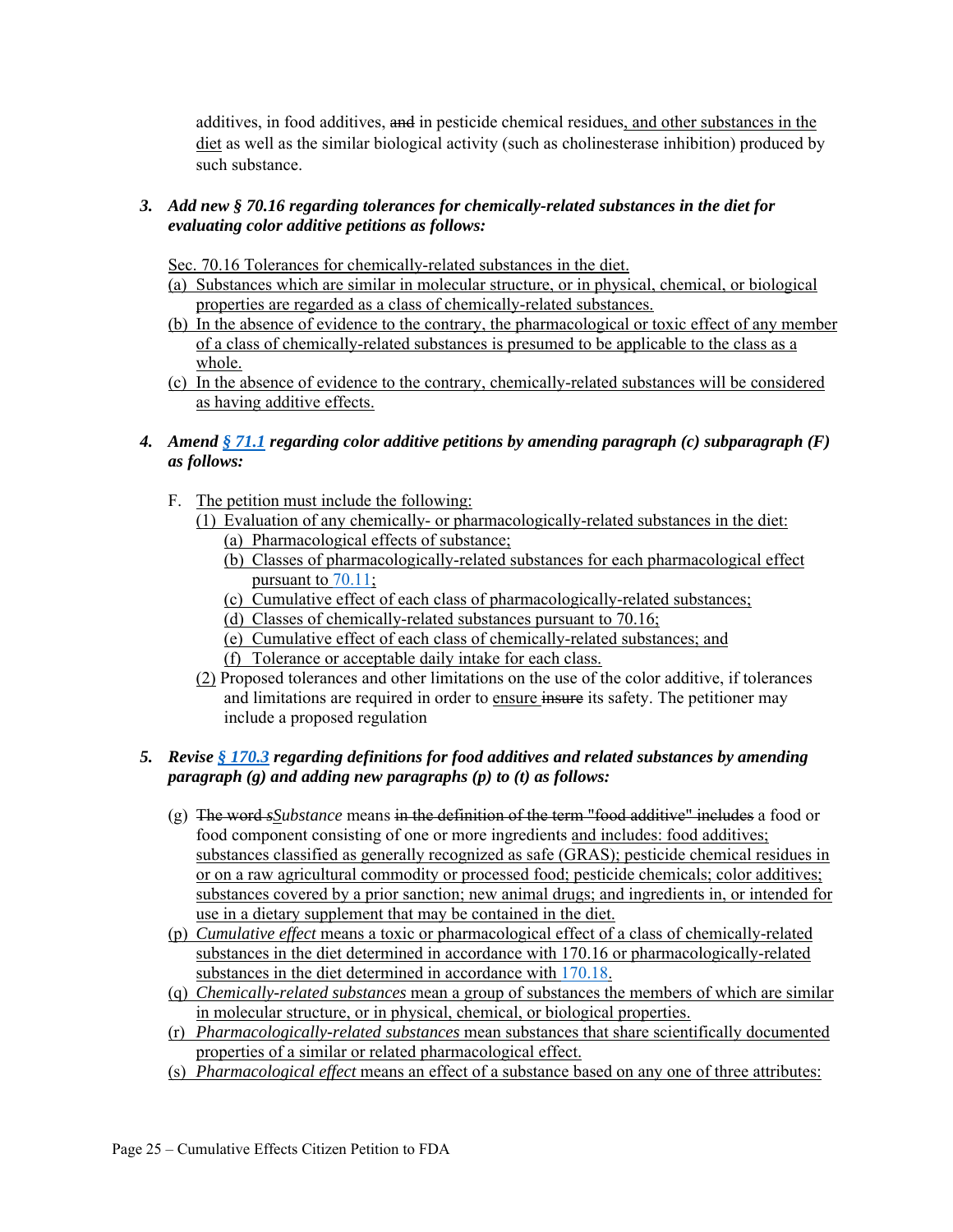additives, in food additives, and in pesticide chemical residues, and other substances in the diet as well as the similar biological activity (such as cholinesterase inhibition) produced by such substance.

## *3. Add new § 70.16 regarding tolerances for chemically-related substances in the diet for evaluating color additive petitions as follows:*

Sec. 70.16 Tolerances for chemically-related substances in the diet.

- (a) Substances which are similar in molecular structure, or in physical, chemical, or biological properties are regarded as a class of chemically-related substances.
- (b) In the absence of evidence to the contrary, the pharmacological or toxic effect of any member of a class of chemically-related substances is presumed to be applicable to the class as a whole.
- (c) In the absence of evidence to the contrary, chemically-related substances will be considered as having additive effects.
- *4. Amend § 71.1 regarding color additive petitions by amending paragraph (c) subparagraph (F) as follows:* 
	- F. The petition must include the following:
		- (1) Evaluation of any chemically- or pharmacologically-related substances in the diet: (a) Pharmacological effects of substance;
			- (b) Classes of pharmacologically-related substances for each pharmacological effect pursuant to 70.11;
			- (c) Cumulative effect of each class of pharmacologically-related substances;
			- (d) Classes of chemically-related substances pursuant to 70.16;
			- (e) Cumulative effect of each class of chemically-related substances; and
			- (f) Tolerance or acceptable daily intake for each class.
		- (2) Proposed tolerances and other limitations on the use of the color additive, if tolerances and limitations are required in order to ensure insure its safety. The petitioner may include a proposed regulation

## *5. Revise § 170.3 regarding definitions for food additives and related substances by amending paragraph (g) and adding new paragraphs (p) to (t) as follows:*

- (g) The word *sSubstance* means in the definition of the term "food additive" includes a food or food component consisting of one or more ingredients and includes: food additives; substances classified as generally recognized as safe (GRAS); pesticide chemical residues in or on a raw agricultural commodity or processed food; pesticide chemicals; color additives; substances covered by a prior sanction; new animal drugs; and ingredients in, or intended for use in a dietary supplement that may be contained in the diet.
- (p) *Cumulative effect* means a toxic or pharmacological effect of a class of chemically-related substances in the diet determined in accordance with 170.16 or pharmacologically-related substances in the diet determined in accordance with 170.18.
- (q) *Chemically-related substances* mean a group of substances the members of which are similar in molecular structure, or in physical, chemical, or biological properties.
- (r) *Pharmacologically-related substances* mean substances that share scientifically documented properties of a similar or related pharmacological effect.
- (s) *Pharmacological effect* means an effect of a substance based on any one of three attributes: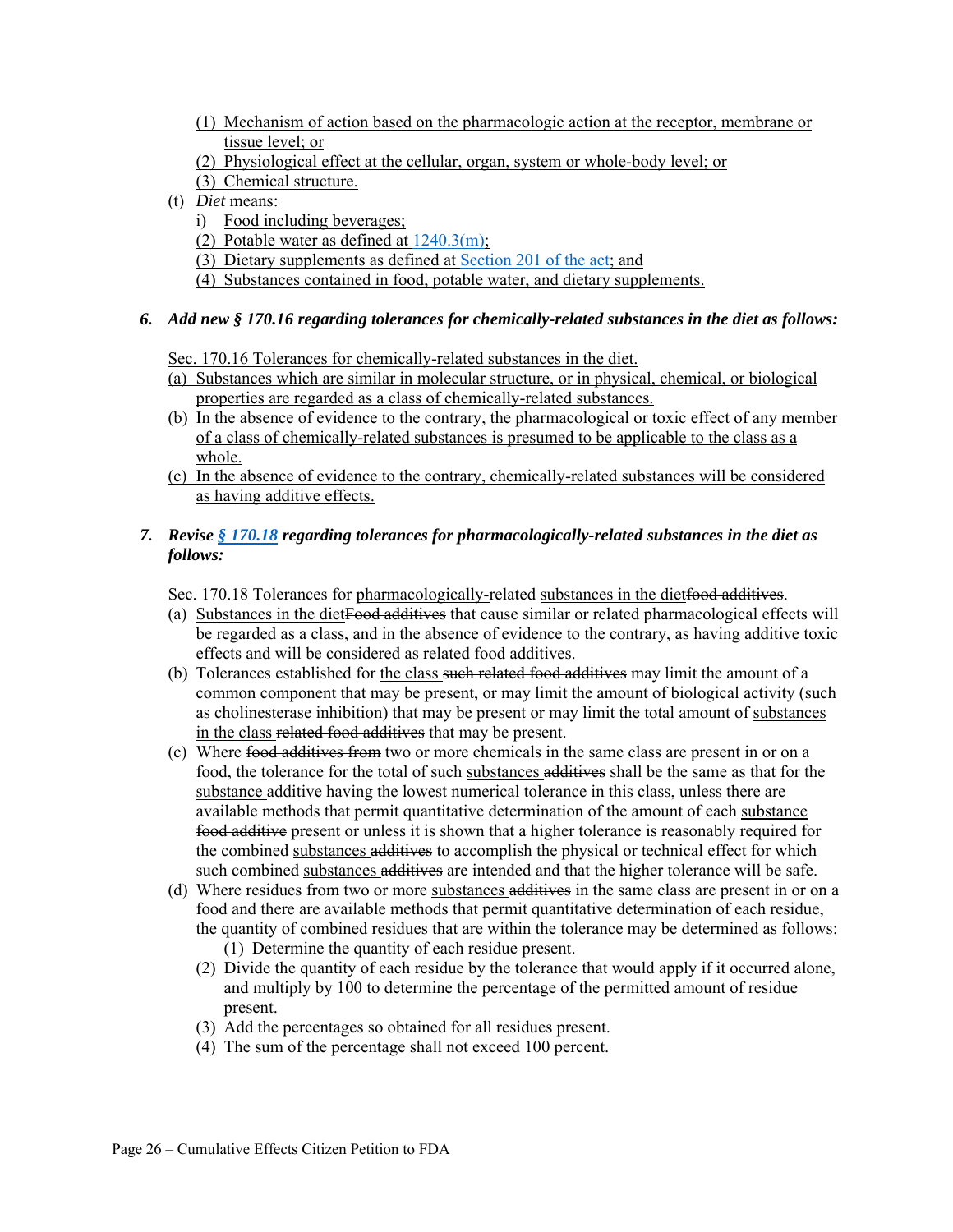- (1) Mechanism of action based on the pharmacologic action at the receptor, membrane or tissue level; or
- (2) Physiological effect at the cellular, organ, system or whole-body level; or
- (3) Chemical structure.
- (t) *Diet* means:
	- i) Food including beverages;
	- (2) Potable water as defined at  $1240.3(m)$ ;
	- (3) Dietary supplements as defined at Section 201 of the act; and
	- (4) Substances contained in food, potable water, and dietary supplements.

#### *6. Add new § 170.16 regarding tolerances for chemically-related substances in the diet as follows:*

Sec. 170.16 Tolerances for chemically-related substances in the diet.

- (a) Substances which are similar in molecular structure, or in physical, chemical, or biological properties are regarded as a class of chemically-related substances.
- (b) In the absence of evidence to the contrary, the pharmacological or toxic effect of any member of a class of chemically-related substances is presumed to be applicable to the class as a whole.
- (c) In the absence of evidence to the contrary, chemically-related substances will be considered as having additive effects.

## *7. Revise § 170.18 regarding tolerances for pharmacologically-related substances in the diet as follows:*

Sec. 170.18 Tolerances for pharmacologically-related substances in the dietfood additives.

- (a) Substances in the dietFood additives that cause similar or related pharmacological effects will be regarded as a class, and in the absence of evidence to the contrary, as having additive toxic effects and will be considered as related food additives.
- (b) Tolerances established for the class such related food additives may limit the amount of a common component that may be present, or may limit the amount of biological activity (such as cholinesterase inhibition) that may be present or may limit the total amount of substances in the class related food additives that may be present.
- (c) Where food additives from two or more chemicals in the same class are present in or on a food, the tolerance for the total of such substances additives shall be the same as that for the substance additive having the lowest numerical tolerance in this class, unless there are available methods that permit quantitative determination of the amount of each substance food additive present or unless it is shown that a higher tolerance is reasonably required for the combined substances additives to accomplish the physical or technical effect for which such combined substances additives are intended and that the higher tolerance will be safe.
- (d) Where residues from two or more substances additives in the same class are present in or on a food and there are available methods that permit quantitative determination of each residue, the quantity of combined residues that are within the tolerance may be determined as follows:
	- (1) Determine the quantity of each residue present.
	- (2) Divide the quantity of each residue by the tolerance that would apply if it occurred alone, and multiply by 100 to determine the percentage of the permitted amount of residue present.
	- (3) Add the percentages so obtained for all residues present.
	- (4) The sum of the percentage shall not exceed 100 percent.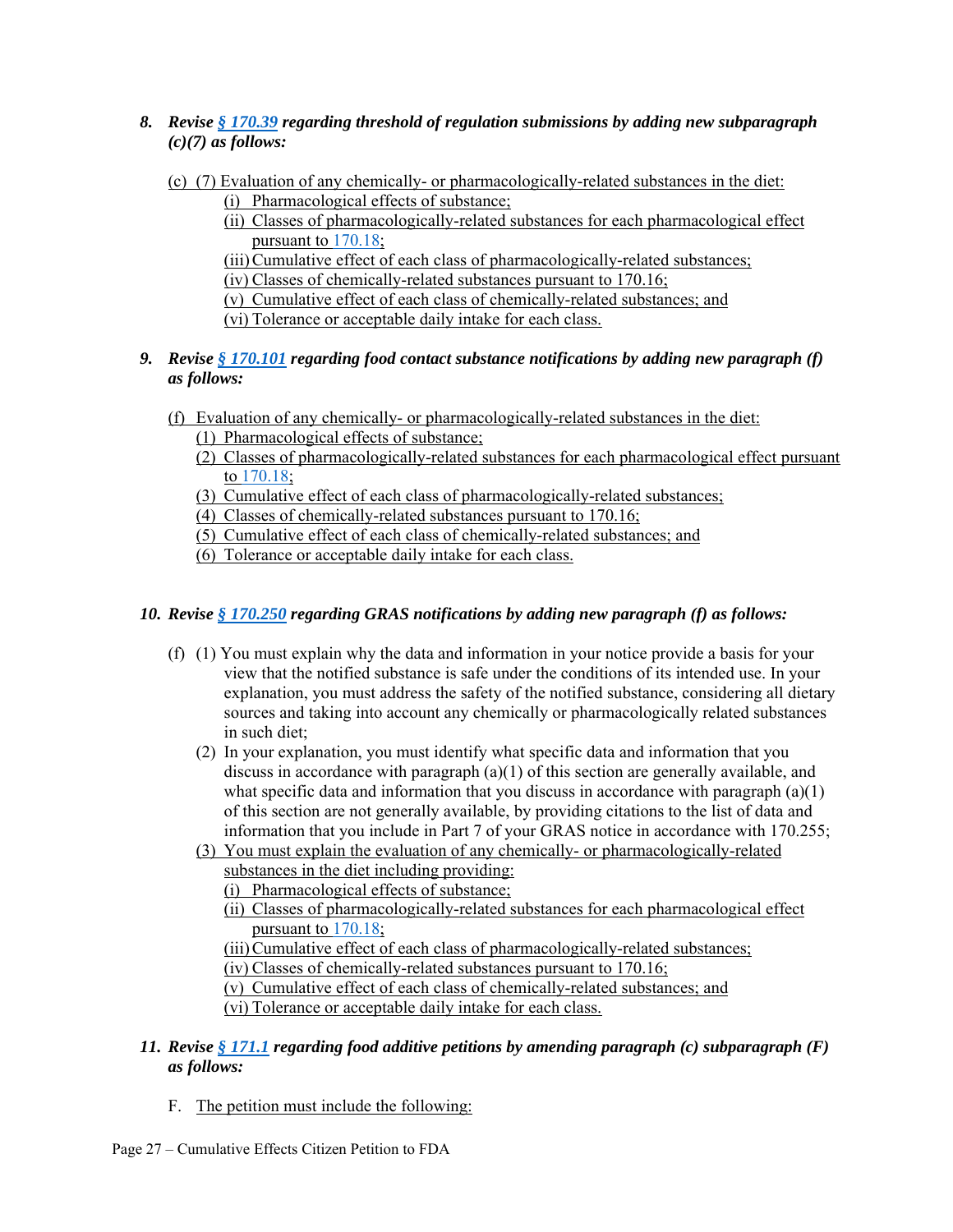- *8. Revise § 170.39 regarding threshold of regulation submissions by adding new subparagraph (c)(7) as follows:* 
	- (c) (7) Evaluation of any chemically- or pharmacologically-related substances in the diet:

(i) Pharmacological effects of substance;

(ii) Classes of pharmacologically-related substances for each pharmacological effect pursuant to 170.18;

(iii) Cumulative effect of each class of pharmacologically-related substances;

(iv) Classes of chemically-related substances pursuant to 170.16;

(v) Cumulative effect of each class of chemically-related substances; and

(vi) Tolerance or acceptable daily intake for each class.

## *9. Revise § 170.101 regarding food contact substance notifications by adding new paragraph (f) as follows:*

- (f) Evaluation of any chemically- or pharmacologically-related substances in the diet:
	- (1) Pharmacological effects of substance;
	- (2) Classes of pharmacologically-related substances for each pharmacological effect pursuant to 170.18;
	- (3) Cumulative effect of each class of pharmacologically-related substances;

(4) Classes of chemically-related substances pursuant to 170.16;

(5) Cumulative effect of each class of chemically-related substances; and

(6) Tolerance or acceptable daily intake for each class.

# *10. Revise § 170.250 regarding GRAS notifications by adding new paragraph (f) as follows:*

- (f) (1) You must explain why the data and information in your notice provide a basis for your view that the notified substance is safe under the conditions of its intended use. In your explanation, you must address the safety of the notified substance, considering all dietary sources and taking into account any chemically or pharmacologically related substances in such diet;
	- (2) In your explanation, you must identify what specific data and information that you discuss in accordance with paragraph (a)(1) of this section are generally available, and what specific data and information that you discuss in accordance with paragraph  $(a)(1)$ of this section are not generally available, by providing citations to the list of data and information that you include in Part 7 of your GRAS notice in accordance with 170.255;
	- (3) You must explain the evaluation of any chemically- or pharmacologically-related substances in the diet including providing:
		- (i) Pharmacological effects of substance;
		- (ii) Classes of pharmacologically-related substances for each pharmacological effect pursuant to 170.18;
		- (iii) Cumulative effect of each class of pharmacologically-related substances;
		- (iv) Classes of chemically-related substances pursuant to 170.16;

(v) Cumulative effect of each class of chemically-related substances; and (vi) Tolerance or acceptable daily intake for each class.

- *11. Revise § 171.1 regarding food additive petitions by amending paragraph (c) subparagraph (F) as follows:* 
	- F. The petition must include the following: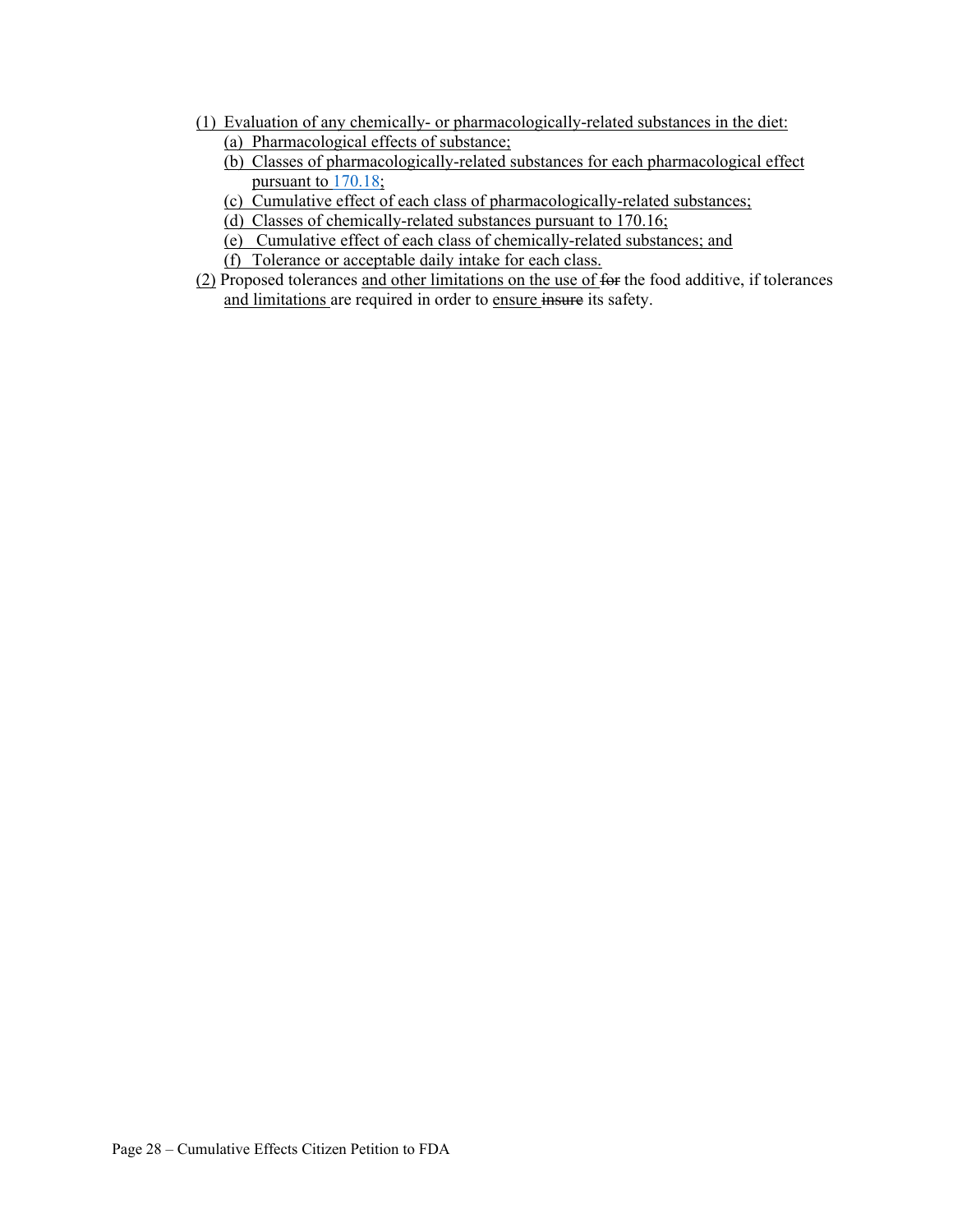- (1) Evaluation of any chemically- or pharmacologically-related substances in the diet: (a) Pharmacological effects of substance;
	- (b) Classes of pharmacologically-related substances for each pharmacological effect pursuant to 170.18;
	- (c) Cumulative effect of each class of pharmacologically-related substances;
	- (d) Classes of chemically-related substances pursuant to 170.16;
	- (e) Cumulative effect of each class of chemically-related substances; and
	- (f) Tolerance or acceptable daily intake for each class.
- (2) Proposed tolerances and other limitations on the use of for the food additive, if tolerances and limitations are required in order to ensure insure its safety.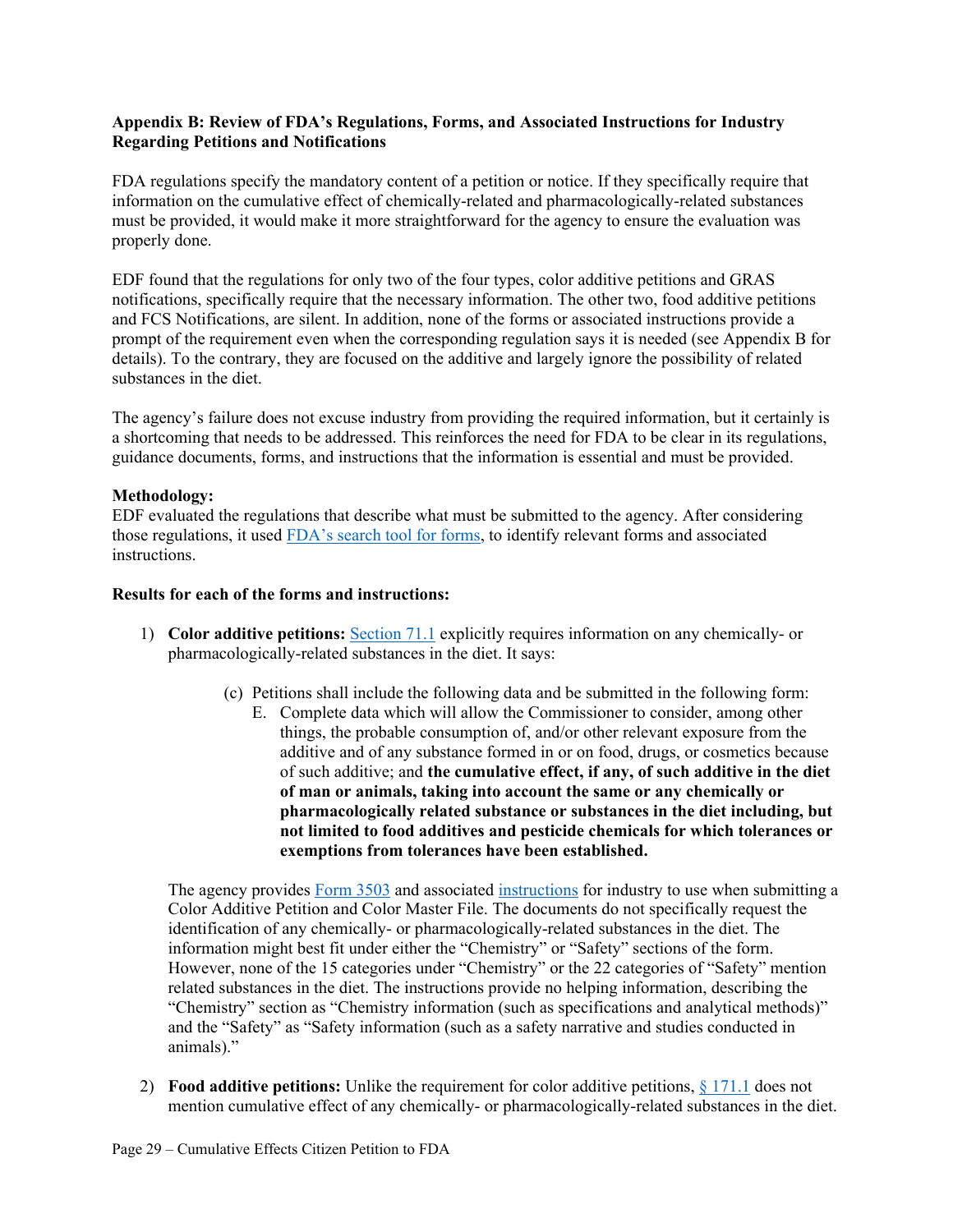#### **Appendix B: Review of FDA's Regulations, Forms, and Associated Instructions for Industry Regarding Petitions and Notifications**

FDA regulations specify the mandatory content of a petition or notice. If they specifically require that information on the cumulative effect of chemically-related and pharmacologically-related substances must be provided, it would make it more straightforward for the agency to ensure the evaluation was properly done.

EDF found that the regulations for only two of the four types, color additive petitions and GRAS notifications, specifically require that the necessary information. The other two, food additive petitions and FCS Notifications, are silent. In addition, none of the forms or associated instructions provide a prompt of the requirement even when the corresponding regulation says it is needed (see Appendix B for details). To the contrary, they are focused on the additive and largely ignore the possibility of related substances in the diet.

The agency's failure does not excuse industry from providing the required information, but it certainly is a shortcoming that needs to be addressed. This reinforces the need for FDA to be clear in its regulations, guidance documents, forms, and instructions that the information is essential and must be provided.

#### **Methodology:**

EDF evaluated the regulations that describe what must be submitted to the agency. After considering those regulations, it used FDA's search tool for forms, to identify relevant forms and associated instructions.

#### **Results for each of the forms and instructions:**

- 1) **Color additive petitions:** Section 71.1 explicitly requires information on any chemically- or pharmacologically-related substances in the diet. It says:
	- (c) Petitions shall include the following data and be submitted in the following form:
		- E. Complete data which will allow the Commissioner to consider, among other things, the probable consumption of, and/or other relevant exposure from the additive and of any substance formed in or on food, drugs, or cosmetics because of such additive; and **the cumulative effect, if any, of such additive in the diet of man or animals, taking into account the same or any chemically or pharmacologically related substance or substances in the diet including, but not limited to food additives and pesticide chemicals for which tolerances or exemptions from tolerances have been established.**

The agency provides Form 3503 and associated instructions for industry to use when submitting a Color Additive Petition and Color Master File. The documents do not specifically request the identification of any chemically- or pharmacologically-related substances in the diet. The information might best fit under either the "Chemistry" or "Safety" sections of the form. However, none of the 15 categories under "Chemistry" or the 22 categories of "Safety" mention related substances in the diet. The instructions provide no helping information, describing the "Chemistry" section as "Chemistry information (such as specifications and analytical methods)" and the "Safety" as "Safety information (such as a safety narrative and studies conducted in animals)."

2) **Food additive petitions:** Unlike the requirement for color additive petitions, § 171.1 does not mention cumulative effect of any chemically- or pharmacologically-related substances in the diet.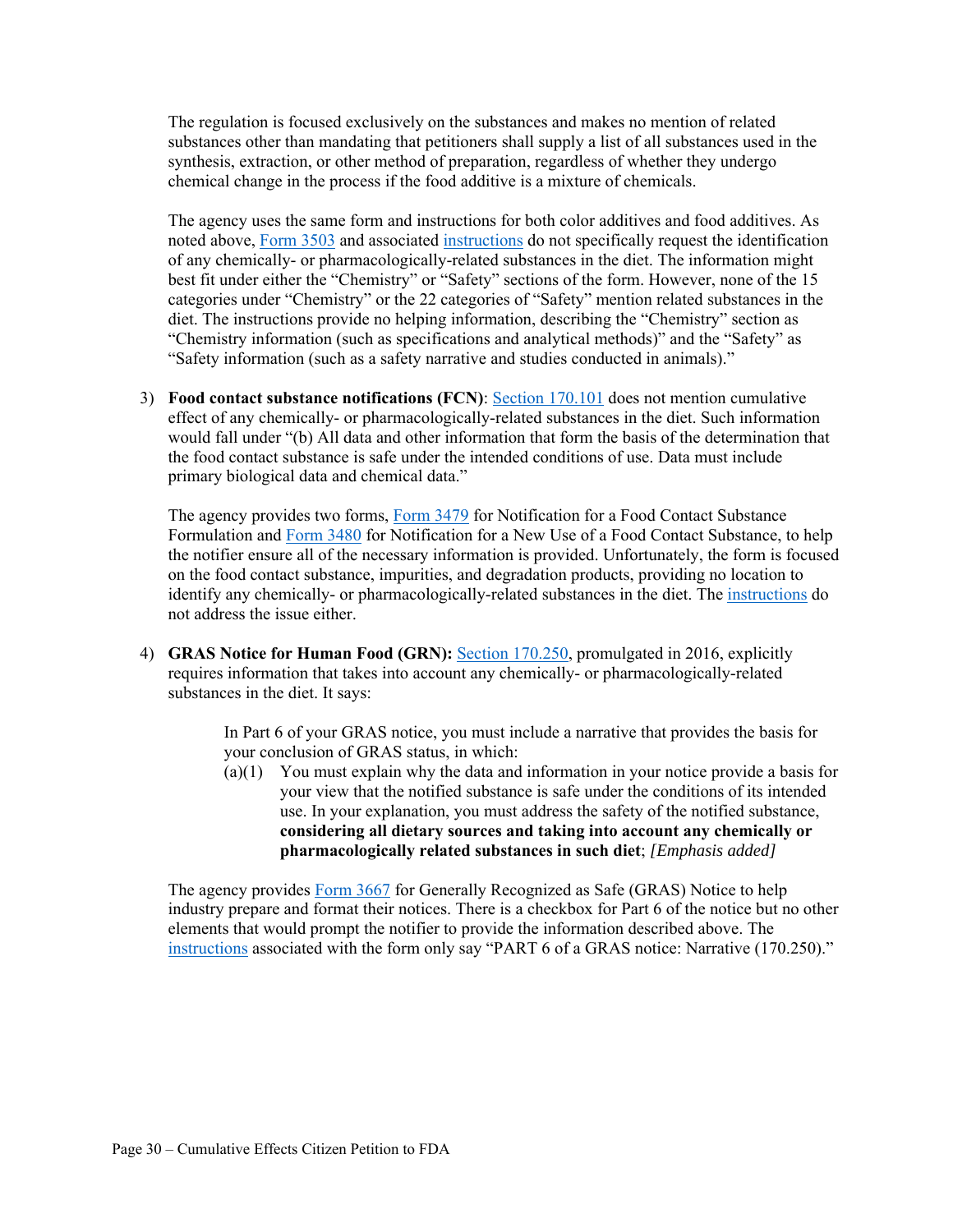The regulation is focused exclusively on the substances and makes no mention of related substances other than mandating that petitioners shall supply a list of all substances used in the synthesis, extraction, or other method of preparation, regardless of whether they undergo chemical change in the process if the food additive is a mixture of chemicals.

The agency uses the same form and instructions for both color additives and food additives. As noted above, Form 3503 and associated instructions do not specifically request the identification of any chemically- or pharmacologically-related substances in the diet. The information might best fit under either the "Chemistry" or "Safety" sections of the form. However, none of the 15 categories under "Chemistry" or the 22 categories of "Safety" mention related substances in the diet. The instructions provide no helping information, describing the "Chemistry" section as "Chemistry information (such as specifications and analytical methods)" and the "Safety" as "Safety information (such as a safety narrative and studies conducted in animals)."

3) **Food contact substance notifications (FCN)**: Section 170.101 does not mention cumulative effect of any chemically- or pharmacologically-related substances in the diet. Such information would fall under "(b) All data and other information that form the basis of the determination that the food contact substance is safe under the intended conditions of use. Data must include primary biological data and chemical data."

The agency provides two forms, Form 3479 for Notification for a Food Contact Substance Formulation and Form 3480 for Notification for a New Use of a Food Contact Substance, to help the notifier ensure all of the necessary information is provided. Unfortunately, the form is focused on the food contact substance, impurities, and degradation products, providing no location to identify any chemically- or pharmacologically-related substances in the diet. The instructions do not address the issue either.

4) **GRAS Notice for Human Food (GRN):** Section 170.250, promulgated in 2016, explicitly requires information that takes into account any chemically- or pharmacologically-related substances in the diet. It says:

> In Part 6 of your GRAS notice, you must include a narrative that provides the basis for your conclusion of GRAS status, in which:

 $(a)(1)$  You must explain why the data and information in your notice provide a basis for your view that the notified substance is safe under the conditions of its intended use. In your explanation, you must address the safety of the notified substance, **considering all dietary sources and taking into account any chemically or pharmacologically related substances in such diet**; *[Emphasis added]*

The agency provides Form 3667 for Generally Recognized as Safe (GRAS) Notice to help industry prepare and format their notices. There is a checkbox for Part 6 of the notice but no other elements that would prompt the notifier to provide the information described above. The instructions associated with the form only say "PART 6 of a GRAS notice: Narrative (170.250)."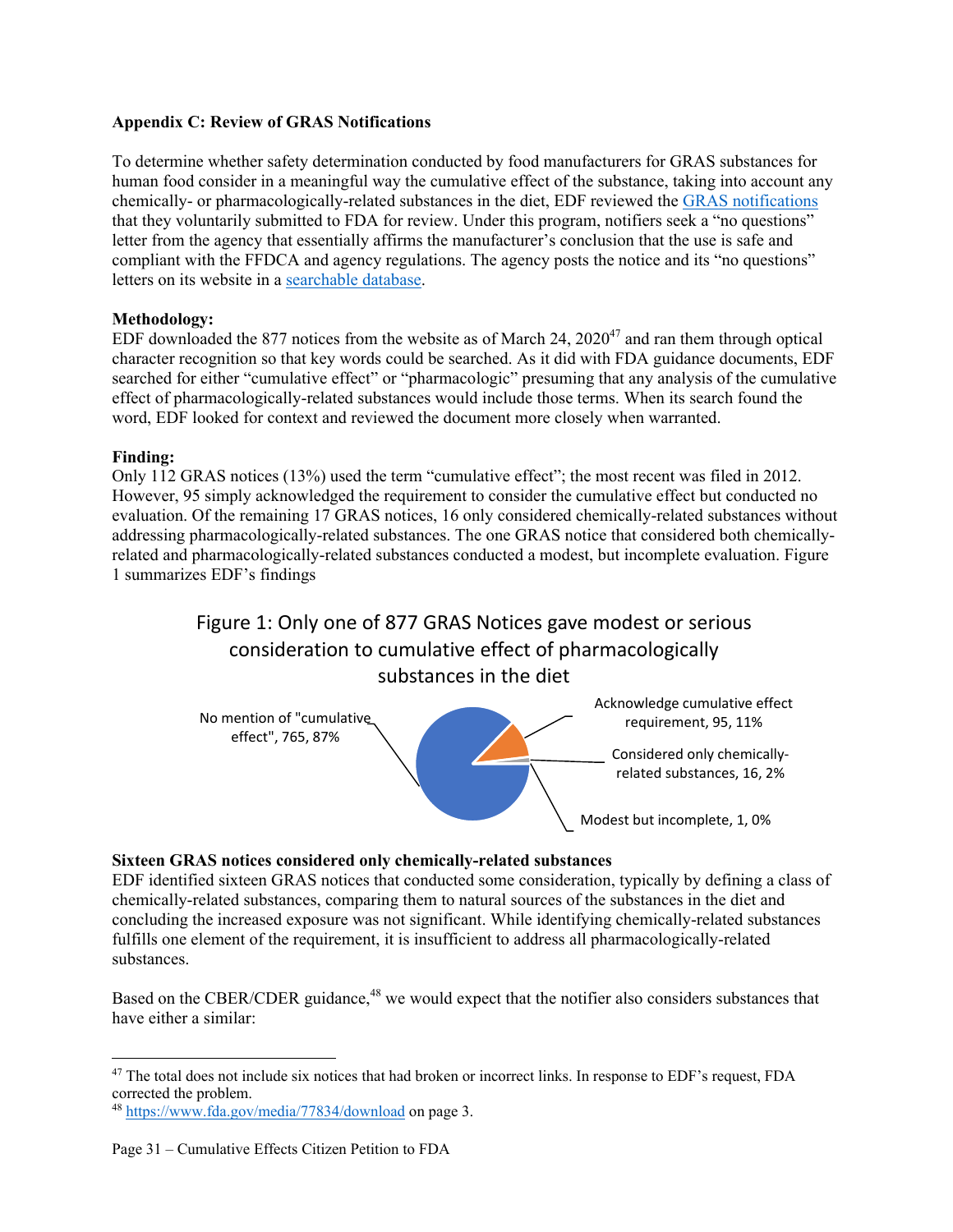#### **Appendix C: Review of GRAS Notifications**

To determine whether safety determination conducted by food manufacturers for GRAS substances for human food consider in a meaningful way the cumulative effect of the substance, taking into account any chemically- or pharmacologically-related substances in the diet, EDF reviewed the GRAS notifications that they voluntarily submitted to FDA for review. Under this program, notifiers seek a "no questions" letter from the agency that essentially affirms the manufacturer's conclusion that the use is safe and compliant with the FFDCA and agency regulations. The agency posts the notice and its "no questions" letters on its website in a searchable database.

## **Methodology:**

EDF downloaded the 877 notices from the website as of March 24,  $2020^{47}$  and ran them through optical character recognition so that key words could be searched. As it did with FDA guidance documents, EDF searched for either "cumulative effect" or "pharmacologic" presuming that any analysis of the cumulative effect of pharmacologically-related substances would include those terms. When its search found the word, EDF looked for context and reviewed the document more closely when warranted.

## **Finding:**

Only 112 GRAS notices (13%) used the term "cumulative effect"; the most recent was filed in 2012. However, 95 simply acknowledged the requirement to consider the cumulative effect but conducted no evaluation. Of the remaining 17 GRAS notices, 16 only considered chemically-related substances without addressing pharmacologically-related substances. The one GRAS notice that considered both chemicallyrelated and pharmacologically-related substances conducted a modest, but incomplete evaluation. Figure 1 summarizes EDF's findings

# Figure 1: Only one of 877 GRAS Notices gave modest or serious consideration to cumulative effect of pharmacologically substances in the diet



#### **Sixteen GRAS notices considered only chemically-related substances**

EDF identified sixteen GRAS notices that conducted some consideration, typically by defining a class of chemically-related substances, comparing them to natural sources of the substances in the diet and concluding the increased exposure was not significant. While identifying chemically-related substances fulfills one element of the requirement, it is insufficient to address all pharmacologically-related substances.

Based on the CBER/CDER guidance,<sup>48</sup> we would expect that the notifier also considers substances that have either a similar:

<sup>&</sup>lt;sup>47</sup> The total does not include six notices that had broken or incorrect links. In response to EDF's request, FDA corrected the problem.

<sup>48</sup> https://www.fda.gov/media/77834/download on page 3.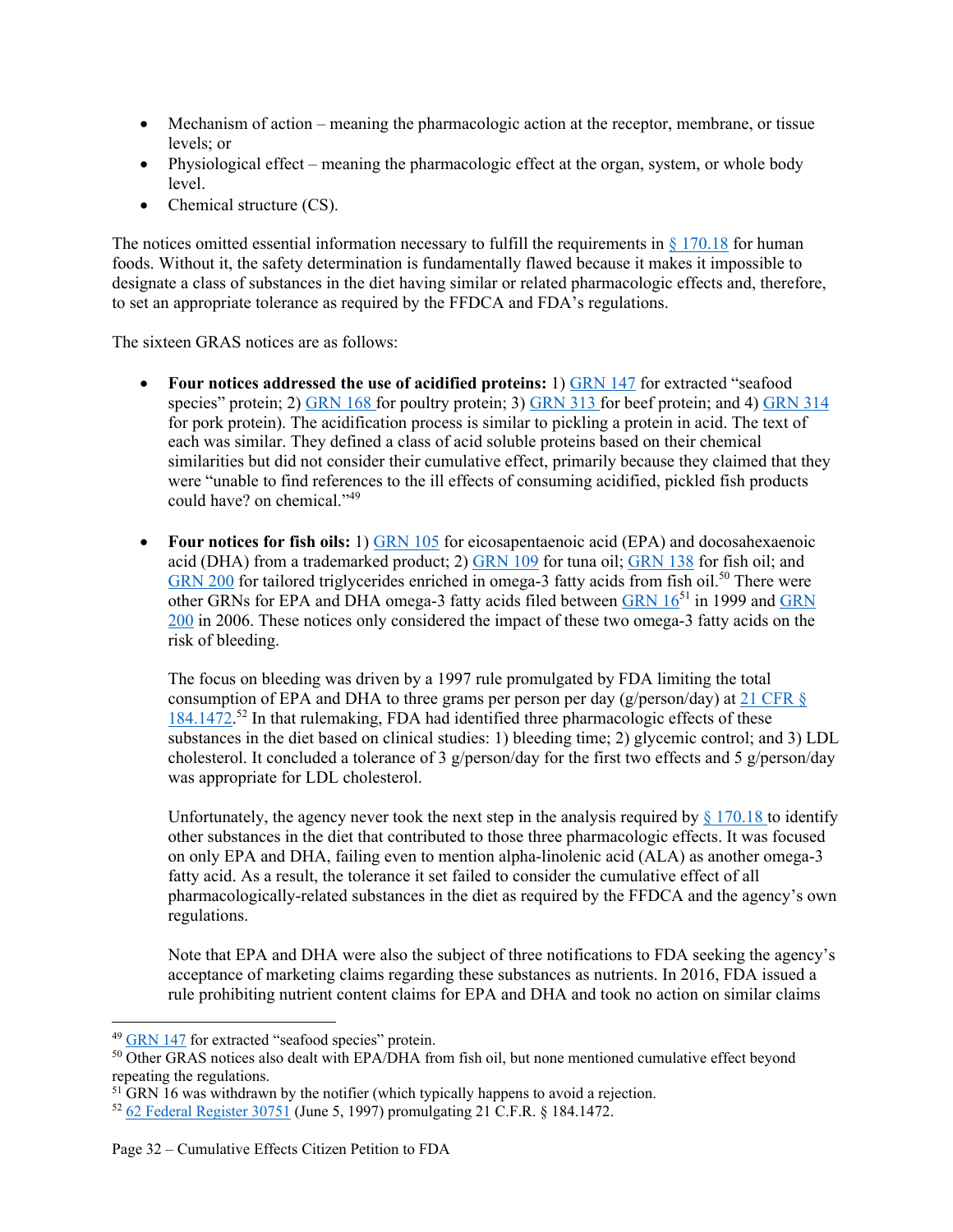- Mechanism of action meaning the pharmacologic action at the receptor, membrane, or tissue levels; or
- Physiological effect meaning the pharmacologic effect at the organ, system, or whole body level.
- Chemical structure (CS).

The notices omitted essential information necessary to fulfill the requirements in  $\S 170.18$  for human foods. Without it, the safety determination is fundamentally flawed because it makes it impossible to designate a class of substances in the diet having similar or related pharmacologic effects and, therefore, to set an appropriate tolerance as required by the FFDCA and FDA's regulations.

The sixteen GRAS notices are as follows:

- **Four notices addressed the use of acidified proteins:** 1) GRN 147 for extracted "seafood species" protein; 2) GRN 168 for poultry protein; 3) GRN 313 for beef protein; and 4) GRN 314 for pork protein). The acidification process is similar to pickling a protein in acid. The text of each was similar. They defined a class of acid soluble proteins based on their chemical similarities but did not consider their cumulative effect, primarily because they claimed that they were "unable to find references to the ill effects of consuming acidified, pickled fish products could have? on chemical."<sup>49</sup>
- **Four notices for fish oils:** 1) GRN 105 for eicosapentaenoic acid (EPA) and docosahexaenoic acid (DHA) from a trademarked product; 2) GRN 109 for tuna oil; GRN 138 for fish oil; and GRN 200 for tailored triglycerides enriched in omega-3 fatty acids from fish oil.<sup>50</sup> There were other GRNs for EPA and DHA omega-3 fatty acids filed between GRN 16<sup>51</sup> in 1999 and GRN 200 in 2006. These notices only considered the impact of these two omega-3 fatty acids on the risk of bleeding.

The focus on bleeding was driven by a 1997 rule promulgated by FDA limiting the total consumption of EPA and DHA to three grams per person per day (g/person/day) at 21 CFR  $\S$ 184.1472.<sup>52</sup> In that rulemaking, FDA had identified three pharmacologic effects of these substances in the diet based on clinical studies: 1) bleeding time; 2) glycemic control; and 3) LDL cholesterol. It concluded a tolerance of 3  $g$ /person/day for the first two effects and 5  $g$ /person/day was appropriate for LDL cholesterol.

Unfortunately, the agency never took the next step in the analysis required by  $\S 170.18$  to identify other substances in the diet that contributed to those three pharmacologic effects. It was focused on only EPA and DHA, failing even to mention alpha-linolenic acid (ALA) as another omega-3 fatty acid. As a result, the tolerance it set failed to consider the cumulative effect of all pharmacologically-related substances in the diet as required by the FFDCA and the agency's own regulations.

Note that EPA and DHA were also the subject of three notifications to FDA seeking the agency's acceptance of marketing claims regarding these substances as nutrients. In 2016, FDA issued a rule prohibiting nutrient content claims for EPA and DHA and took no action on similar claims

<sup>&</sup>lt;sup>49</sup> GRN 147 for extracted "seafood species" protein.

<sup>50</sup> Other GRAS notices also dealt with EPA/DHA from fish oil, but none mentioned cumulative effect beyond repeating the regulations.

<sup>&</sup>lt;sup>51</sup> GRN 16 was withdrawn by the notifier (which typically happens to avoid a rejection.

<sup>52</sup> 62 Federal Register 30751 (June 5, 1997) promulgating 21 C.F.R. § 184.1472.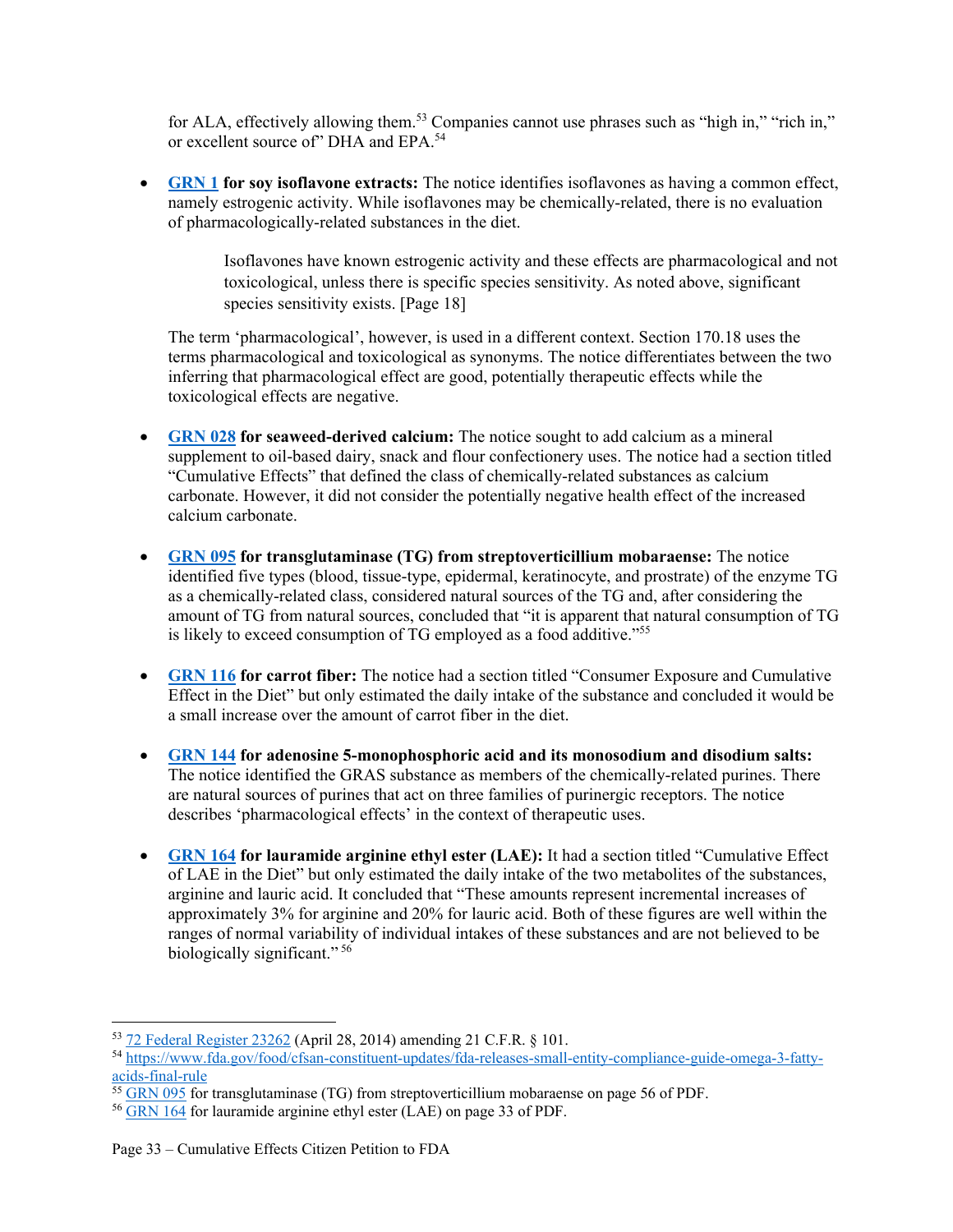for ALA, effectively allowing them.<sup>53</sup> Companies cannot use phrases such as "high in," "rich in," or excellent source of" DHA and EPA.<sup>54</sup>

 **GRN 1 for soy isoflavone extracts:** The notice identifies isoflavones as having a common effect, namely estrogenic activity. While isoflavones may be chemically-related, there is no evaluation of pharmacologically-related substances in the diet.

> Isoflavones have known estrogenic activity and these effects are pharmacological and not toxicological, unless there is specific species sensitivity. As noted above, significant species sensitivity exists. [Page 18]

The term 'pharmacological', however, is used in a different context. Section 170.18 uses the terms pharmacological and toxicological as synonyms. The notice differentiates between the two inferring that pharmacological effect are good, potentially therapeutic effects while the toxicological effects are negative.

- **GRN 028 for seaweed-derived calcium:** The notice sought to add calcium as a mineral supplement to oil-based dairy, snack and flour confectionery uses. The notice had a section titled "Cumulative Effects" that defined the class of chemically-related substances as calcium carbonate. However, it did not consider the potentially negative health effect of the increased calcium carbonate.
- **GRN 095 for transglutaminase (TG) from streptoverticillium mobaraense:** The notice identified five types (blood, tissue-type, epidermal, keratinocyte, and prostrate) of the enzyme TG as a chemically-related class, considered natural sources of the TG and, after considering the amount of TG from natural sources, concluded that "it is apparent that natural consumption of TG is likely to exceed consumption of TG employed as a food additive."<sup>55</sup>
- **GRN 116 for carrot fiber:** The notice had a section titled "Consumer Exposure and Cumulative Effect in the Diet" but only estimated the daily intake of the substance and concluded it would be a small increase over the amount of carrot fiber in the diet.
- **GRN 144 for adenosine 5-monophosphoric acid and its monosodium and disodium salts:**  The notice identified the GRAS substance as members of the chemically-related purines. There are natural sources of purines that act on three families of purinergic receptors. The notice describes 'pharmacological effects' in the context of therapeutic uses.
- **GRN 164 for lauramide arginine ethyl ester (LAE):** It had a section titled "Cumulative Effect" of LAE in the Diet" but only estimated the daily intake of the two metabolites of the substances, arginine and lauric acid. It concluded that "These amounts represent incremental increases of approximately 3% for arginine and 20% for lauric acid. Both of these figures are well within the ranges of normal variability of individual intakes of these substances and are not believed to be biologically significant." 56

<sup>53</sup> 72 Federal Register 23262 (April 28, 2014) amending 21 C.F.R. § 101.

<sup>54</sup> https://www.fda.gov/food/cfsan-constituent-updates/fda-releases-small-entity-compliance-guide-omega-3-fattyacids-final-rule<br><sup>55</sup> GRN 095 for transglutaminase (TG) from streptoverticillium mobaraense on page 56 of PDF.

<sup>&</sup>lt;sup>56</sup> GRN 164 for lauramide arginine ethyl ester (LAE) on page 33 of PDF.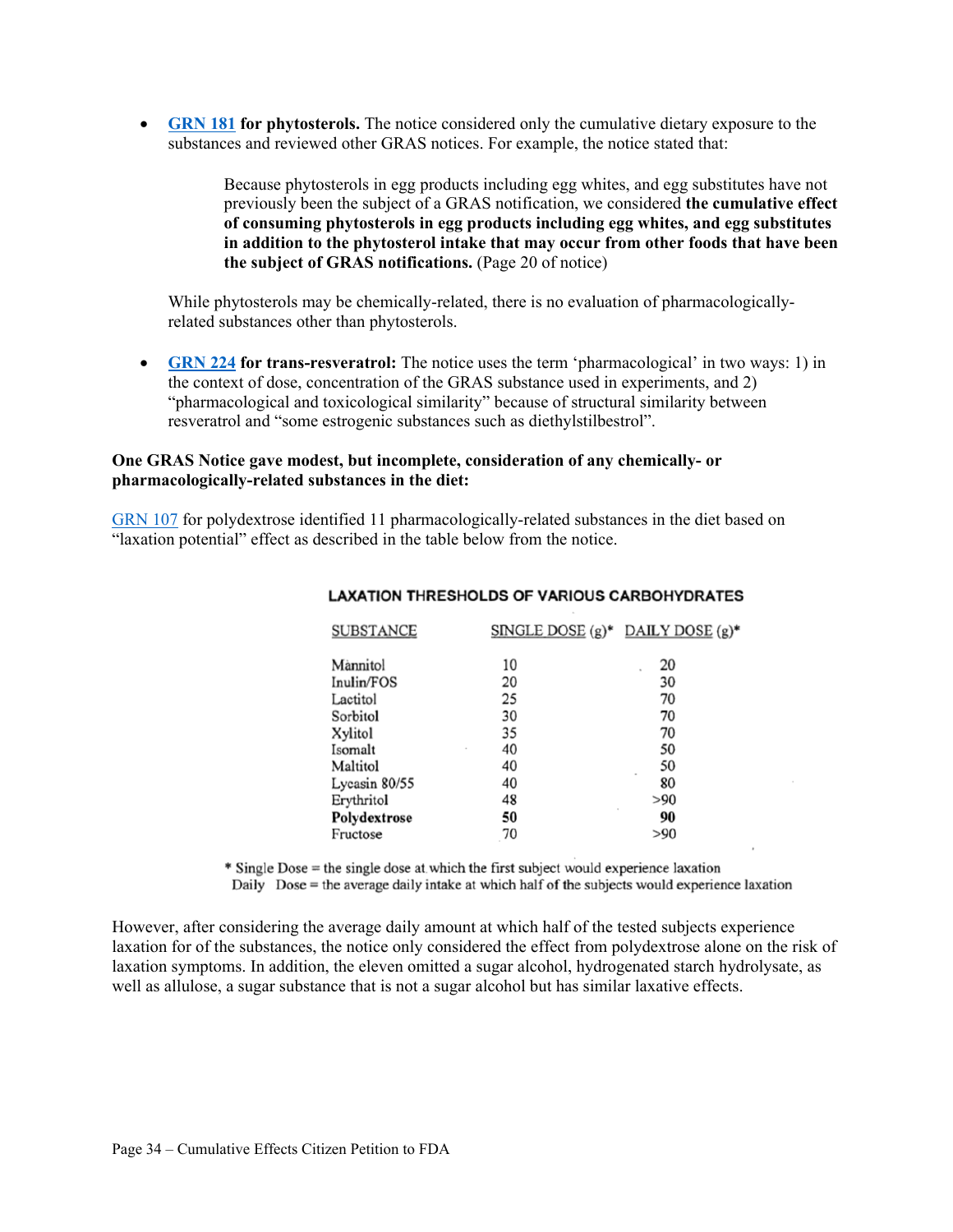**GRN 181 for phytosterols.** The notice considered only the cumulative dietary exposure to the substances and reviewed other GRAS notices. For example, the notice stated that:

> Because phytosterols in egg products including egg whites, and egg substitutes have not previously been the subject of a GRAS notification, we considered **the cumulative effect of consuming phytosterols in egg products including egg whites, and egg substitutes in addition to the phytosterol intake that may occur from other foods that have been the subject of GRAS notifications.** (Page 20 of notice)

While phytosterols may be chemically-related, there is no evaluation of pharmacologicallyrelated substances other than phytosterols.

 **GRN 224 for trans-resveratrol:** The notice uses the term 'pharmacological' in two ways: 1) in the context of dose, concentration of the GRAS substance used in experiments, and 2) "pharmacological and toxicological similarity" because of structural similarity between resveratrol and "some estrogenic substances such as diethylstilbestrol".

#### **One GRAS Notice gave modest, but incomplete, consideration of any chemically- or pharmacologically-related substances in the diet:**

GRN 107 for polydextrose identified 11 pharmacologically-related substances in the diet based on "laxation potential" effect as described in the table below from the notice.

| <b>SUBSTANCE</b> | SINGLE DOSE $(g)^*$ DAILY DOSE $(g)^*$ |              |
|------------------|----------------------------------------|--------------|
| Mannitol         | 10                                     | 20           |
| Inulin/FOS       | 20                                     | 30           |
| Lactitol         | 25                                     | 70           |
| Sorbitol         | 30                                     | 70           |
| Xylitol          | 35                                     | 70           |
| Isomalt          | 40                                     | 50           |
| Maltitol         | 40                                     | 50           |
| Lycasin 80/55    | 40                                     | 80           |
| Erythritol       | 48                                     | >90          |
| Polydextrose     | 50                                     | $\sim$<br>90 |
| Fructose         | 70                                     | >90          |
|                  |                                        |              |

#### **LAXATION THRESHOLDS OF VARIOUS CARBOHYDRATES**

\* Single Dose = the single dose at which the first subject would experience laxation

Daily Dose = the average daily intake at which half of the subjects would experience laxation

However, after considering the average daily amount at which half of the tested subjects experience laxation for of the substances, the notice only considered the effect from polydextrose alone on the risk of laxation symptoms. In addition, the eleven omitted a sugar alcohol, hydrogenated starch hydrolysate, as well as allulose, a sugar substance that is not a sugar alcohol but has similar laxative effects.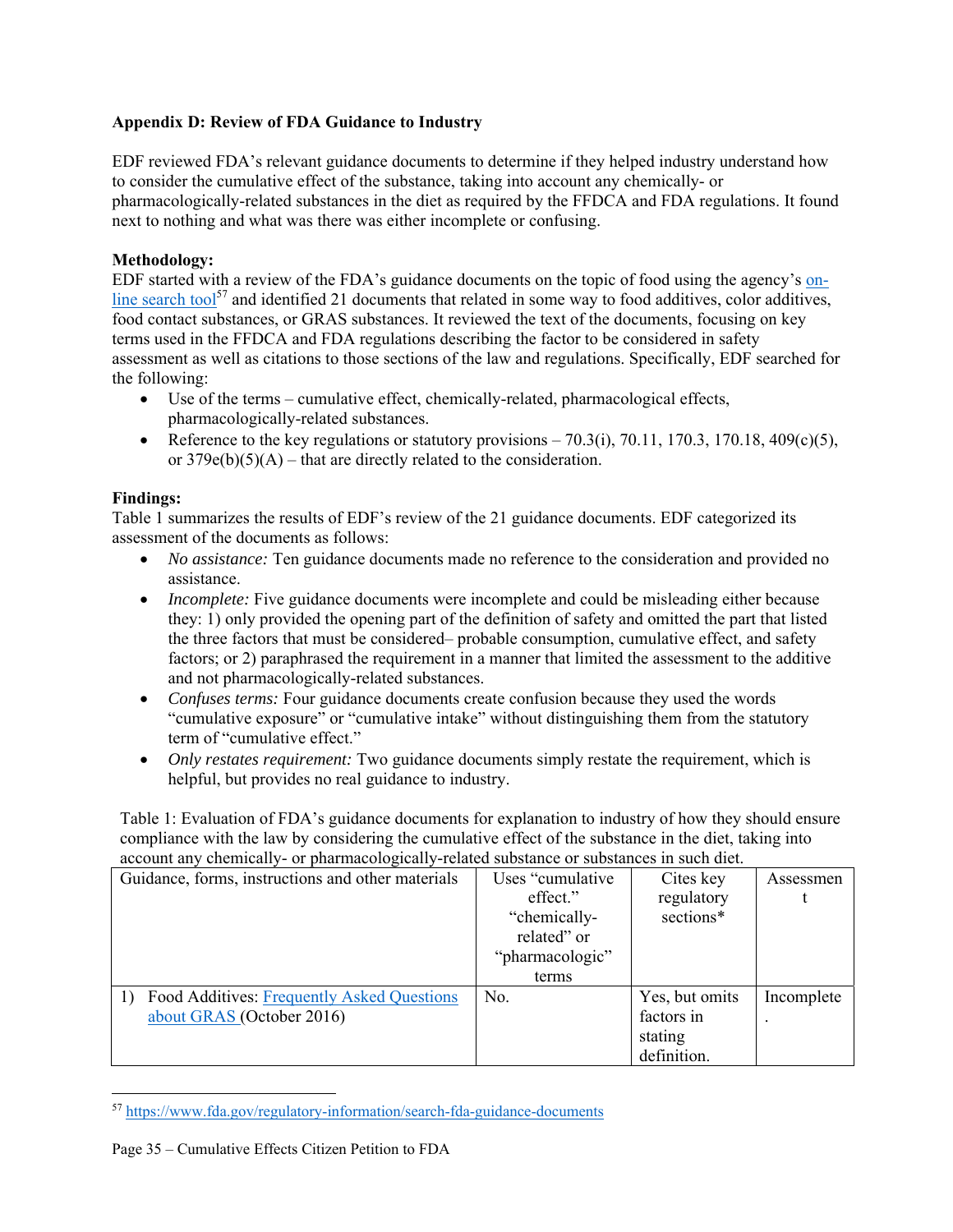## **Appendix D: Review of FDA Guidance to Industry**

EDF reviewed FDA's relevant guidance documents to determine if they helped industry understand how to consider the cumulative effect of the substance, taking into account any chemically- or pharmacologically-related substances in the diet as required by the FFDCA and FDA regulations. It found next to nothing and what was there was either incomplete or confusing.

#### **Methodology:**

EDF started with a review of the FDA's guidance documents on the topic of food using the agency's online search tool<sup>57</sup> and identified 21 documents that related in some way to food additives, color additives, food contact substances, or GRAS substances. It reviewed the text of the documents, focusing on key terms used in the FFDCA and FDA regulations describing the factor to be considered in safety assessment as well as citations to those sections of the law and regulations. Specifically, EDF searched for the following:

- Use of the terms cumulative effect, chemically-related, pharmacological effects, pharmacologically-related substances.
- Reference to the key regulations or statutory provisions  $-70.3(i)$ ,  $70.11$ ,  $170.3$ ,  $170.18$ ,  $409(c)(5)$ , or  $379e(b)(5)(A)$  – that are directly related to the consideration.

#### **Findings:**

Table 1 summarizes the results of EDF's review of the 21 guidance documents. EDF categorized its assessment of the documents as follows:

- *No assistance:* Ten guidance documents made no reference to the consideration and provided no assistance.
- *Incomplete:* Five guidance documents were incomplete and could be misleading either because they: 1) only provided the opening part of the definition of safety and omitted the part that listed the three factors that must be considered– probable consumption, cumulative effect, and safety factors; or 2) paraphrased the requirement in a manner that limited the assessment to the additive and not pharmacologically-related substances.
- Confuses terms: Four guidance documents create confusion because they used the words "cumulative exposure" or "cumulative intake" without distinguishing them from the statutory term of "cumulative effect."
- *Only restates requirement:* Two guidance documents simply restate the requirement, which is helpful, but provides no real guidance to industry.

Table 1: Evaluation of FDA's guidance documents for explanation to industry of how they should ensure compliance with the law by considering the cumulative effect of the substance in the diet, taking into account any chemically- or pharmacologically-related substance or substances in such diet.

| Guidance, forms, instructions and other materials | Uses "cumulative" | Cites key      | Assessmen  |  |
|---------------------------------------------------|-------------------|----------------|------------|--|
|                                                   | effect."          | regulatory     |            |  |
|                                                   | "chemically-      | sections*      |            |  |
|                                                   | related" or       |                |            |  |
|                                                   | "pharmacologic"   |                |            |  |
|                                                   | terms             |                |            |  |
| Food Additives: Frequently Asked Questions        | No.               | Yes, but omits | Incomplete |  |
| about GRAS (October 2016)                         |                   | factors in     |            |  |
|                                                   |                   | stating        |            |  |
|                                                   |                   | definition.    |            |  |

<sup>57</sup> https://www.fda.gov/regulatory-information/search-fda-guidance-documents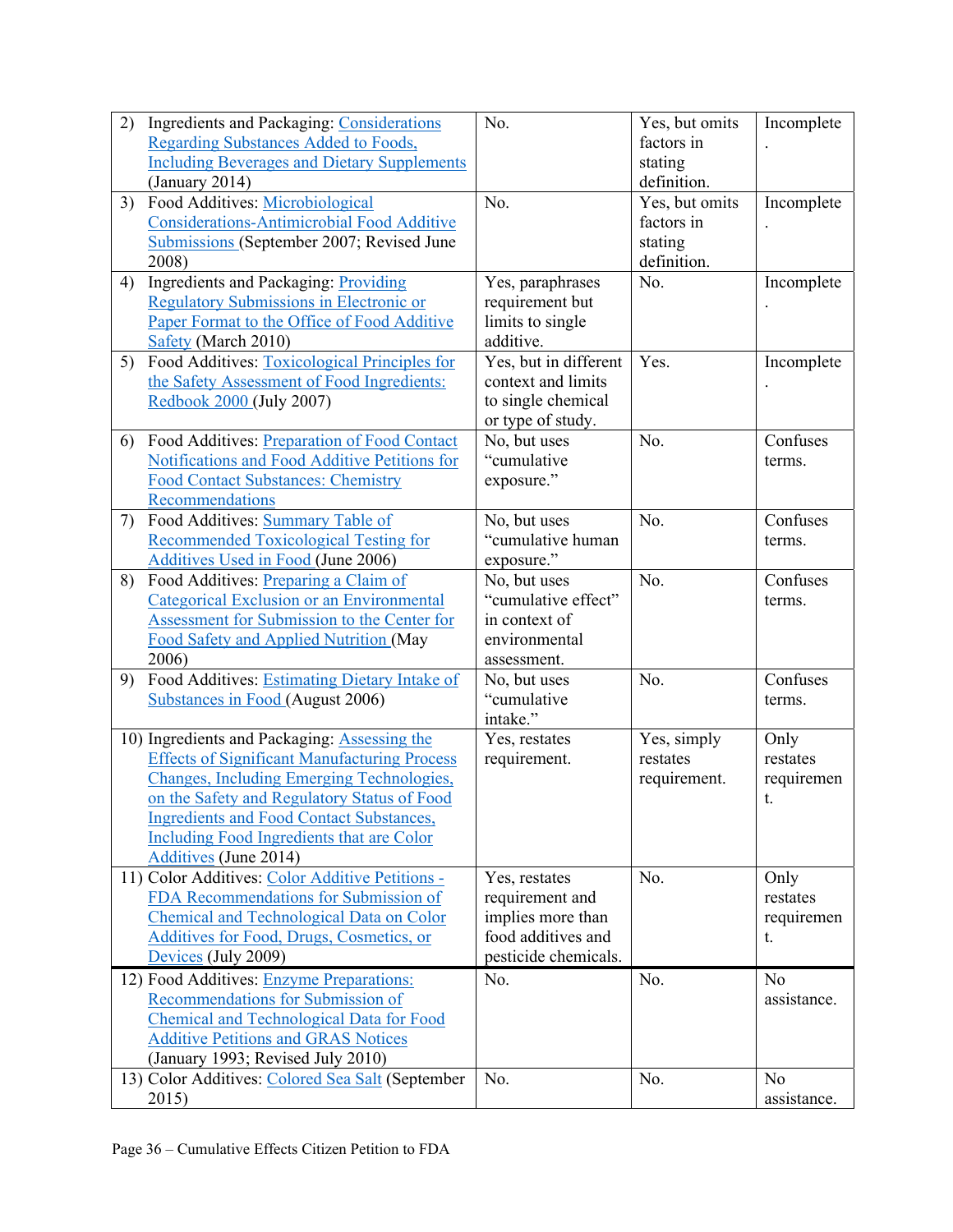| 2) | <b>Ingredients and Packaging: Considerations</b><br>Regarding Substances Added to Foods,<br><b>Including Beverages and Dietary Supplements</b><br>(January 2014)                                                                                                                                                                | No.                                                                                                 | Yes, but omits<br>factors in<br>stating<br>definition. | Incomplete                           |
|----|---------------------------------------------------------------------------------------------------------------------------------------------------------------------------------------------------------------------------------------------------------------------------------------------------------------------------------|-----------------------------------------------------------------------------------------------------|--------------------------------------------------------|--------------------------------------|
| 3) | Food Additives: Microbiological<br><b>Considerations-Antimicrobial Food Additive</b><br>Submissions (September 2007; Revised June<br>2008)                                                                                                                                                                                      | No.                                                                                                 | Yes, but omits<br>factors in<br>stating<br>definition. | Incomplete                           |
| 4) | <b>Ingredients and Packaging: Providing</b><br><b>Regulatory Submissions in Electronic or</b><br>Paper Format to the Office of Food Additive<br>Safety (March 2010)                                                                                                                                                             | Yes, paraphrases<br>requirement but<br>limits to single<br>additive.                                | No.                                                    | Incomplete                           |
| 5) | Food Additives: Toxicological Principles for<br>the Safety Assessment of Food Ingredients:<br>Redbook 2000 (July 2007)                                                                                                                                                                                                          | Yes, but in different<br>context and limits<br>to single chemical<br>or type of study.              | Yes.                                                   | Incomplete                           |
| 6) | Food Additives: Preparation of Food Contact<br>Notifications and Food Additive Petitions for<br><b>Food Contact Substances: Chemistry</b><br>Recommendations                                                                                                                                                                    | No, but uses<br>"cumulative<br>exposure."                                                           | No.                                                    | Confuses<br>terms.                   |
| 7) | Food Additives: Summary Table of<br><b>Recommended Toxicological Testing for</b><br>Additives Used in Food (June 2006)                                                                                                                                                                                                          | No, but uses<br>"cumulative human<br>exposure."                                                     | No.                                                    | Confuses<br>terms.                   |
| 8) | Food Additives: Preparing a Claim of<br>Categorical Exclusion or an Environmental<br>Assessment for Submission to the Center for<br>Food Safety and Applied Nutrition (May<br>2006)                                                                                                                                             | No, but uses<br>"cumulative effect"<br>in context of<br>environmental<br>assessment.                | No.                                                    | Confuses<br>terms.                   |
| 9) | Food Additives: Estimating Dietary Intake of<br><b>Substances in Food (August 2006)</b>                                                                                                                                                                                                                                         | No, but uses<br>"cumulative<br>intake."                                                             | No.                                                    | Confuses<br>terms.                   |
|    | 10) Ingredients and Packaging: Assessing the<br><b>Effects of Significant Manufacturing Process</b><br><b>Changes, Including Emerging Technologies,</b><br>on the Safety and Regulatory Status of Food<br><b>Ingredients and Food Contact Substances,</b><br>Including Food Ingredients that are Color<br>Additives (June 2014) | Yes, restates<br>requirement.                                                                       | Yes, simply<br>restates<br>requirement.                | Only<br>restates<br>requiremen<br>t. |
|    | 11) Color Additives: Color Additive Petitions -<br>FDA Recommendations for Submission of<br>Chemical and Technological Data on Color<br>Additives for Food, Drugs, Cosmetics, or<br>Devices (July 2009)                                                                                                                         | Yes, restates<br>requirement and<br>implies more than<br>food additives and<br>pesticide chemicals. | No.                                                    | Only<br>restates<br>requiremen<br>t. |
|    | 12) Food Additives: Enzyme Preparations:<br>Recommendations for Submission of<br><b>Chemical and Technological Data for Food</b><br><b>Additive Petitions and GRAS Notices</b><br>(January 1993; Revised July 2010)                                                                                                             | No.                                                                                                 | No.                                                    | N <sub>o</sub><br>assistance.        |
|    | 13) Color Additives: Colored Sea Salt (September<br>2015)                                                                                                                                                                                                                                                                       | No.                                                                                                 | No.                                                    | No<br>assistance.                    |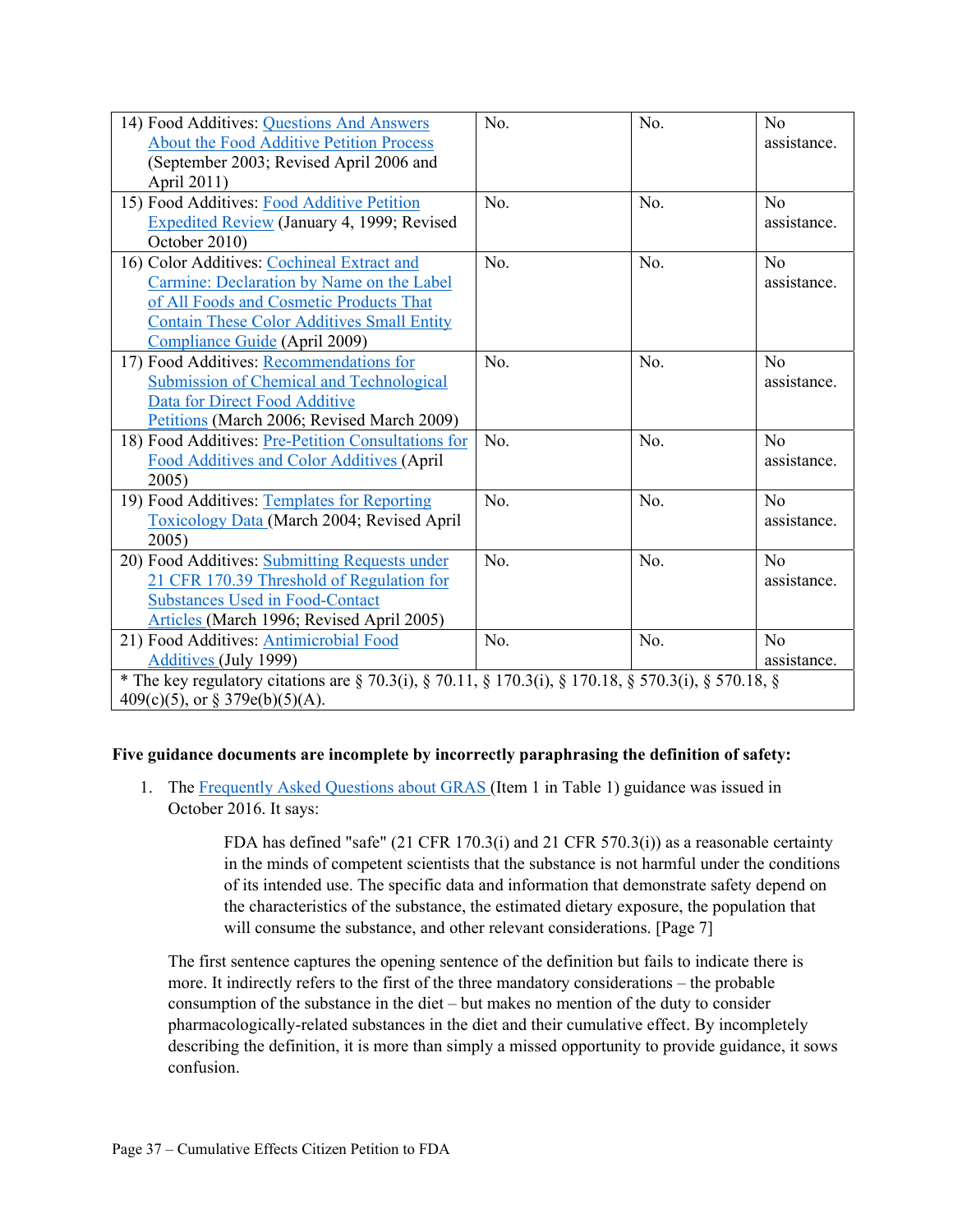| 14) Food Additives: Questions And Answers<br>About the Food Additive Petition Process<br>(September 2003; Revised April 2006 and<br>April 2011)                                                                          | No. | No. | N <sub>o</sub><br>assistance. |  |  |
|--------------------------------------------------------------------------------------------------------------------------------------------------------------------------------------------------------------------------|-----|-----|-------------------------------|--|--|
| 15) Food Additives: Food Additive Petition<br><b>Expedited Review (January 4, 1999; Revised</b><br>October 2010)                                                                                                         | No. | No. | $\rm N_{0}$<br>assistance.    |  |  |
| 16) Color Additives: Cochineal Extract and<br>Carmine: Declaration by Name on the Label<br>of All Foods and Cosmetic Products That<br><b>Contain These Color Additives Small Entity</b><br>Compliance Guide (April 2009) | No. | No. | N <sub>o</sub><br>assistance. |  |  |
| 17) Food Additives: Recommendations for<br><b>Submission of Chemical and Technological</b><br>Data for Direct Food Additive<br>Petitions (March 2006; Revised March 2009)                                                | No. | No. | No<br>assistance.             |  |  |
| 18) Food Additives: Pre-Petition Consultations for<br>Food Additives and Color Additives (April<br>2005)                                                                                                                 | No. | No. | No<br>assistance.             |  |  |
| 19) Food Additives: Templates for Reporting<br>Toxicology Data (March 2004; Revised April<br>2005)                                                                                                                       | No. | No. | N <sub>o</sub><br>assistance. |  |  |
| 20) Food Additives: Submitting Requests under<br>21 CFR 170.39 Threshold of Regulation for<br><b>Substances Used in Food-Contact</b><br>Articles (March 1996; Revised April 2005)                                        | No. | No. | N <sub>o</sub><br>assistance. |  |  |
| 21) Food Additives: Antimicrobial Food<br>Additives (July 1999)                                                                                                                                                          | No. | No. | N <sub>o</sub><br>assistance. |  |  |
| * The key regulatory citations are § 70.3(i), § 70.11, § 170.3(i), § 170.18, § 570.3(i), § 570.18, §<br>$409(c)(5)$ , or § 379e(b)(5)(A).                                                                                |     |     |                               |  |  |

## **Five guidance documents are incomplete by incorrectly paraphrasing the definition of safety:**

1. The Frequently Asked Questions about GRAS (Item 1 in Table 1) guidance was issued in October 2016. It says:

> FDA has defined "safe" (21 CFR 170.3(i) and 21 CFR 570.3(i)) as a reasonable certainty in the minds of competent scientists that the substance is not harmful under the conditions of its intended use. The specific data and information that demonstrate safety depend on the characteristics of the substance, the estimated dietary exposure, the population that will consume the substance, and other relevant considerations. [Page 7]

The first sentence captures the opening sentence of the definition but fails to indicate there is more. It indirectly refers to the first of the three mandatory considerations – the probable consumption of the substance in the diet – but makes no mention of the duty to consider pharmacologically-related substances in the diet and their cumulative effect. By incompletely describing the definition, it is more than simply a missed opportunity to provide guidance, it sows confusion.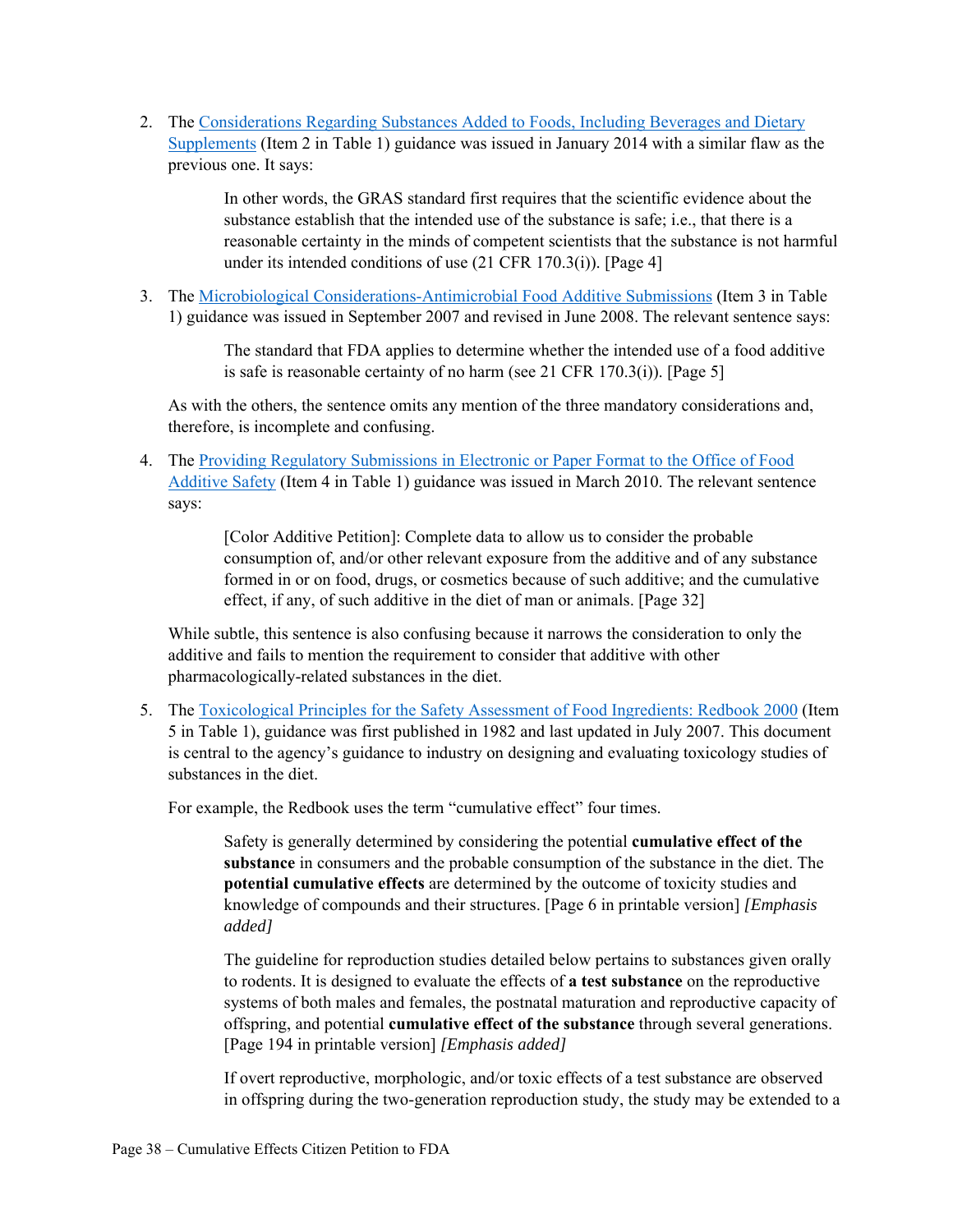2. The Considerations Regarding Substances Added to Foods, Including Beverages and Dietary Supplements (Item 2 in Table 1) guidance was issued in January 2014 with a similar flaw as the previous one. It says:

> In other words, the GRAS standard first requires that the scientific evidence about the substance establish that the intended use of the substance is safe; i.e., that there is a reasonable certainty in the minds of competent scientists that the substance is not harmful under its intended conditions of use (21 CFR 170.3(i)). [Page 4]

3. The Microbiological Considerations-Antimicrobial Food Additive Submissions (Item 3 in Table 1) guidance was issued in September 2007 and revised in June 2008. The relevant sentence says:

> The standard that FDA applies to determine whether the intended use of a food additive is safe is reasonable certainty of no harm (see 21 CFR 170.3(i)). [Page 5]

As with the others, the sentence omits any mention of the three mandatory considerations and, therefore, is incomplete and confusing.

4. The Providing Regulatory Submissions in Electronic or Paper Format to the Office of Food Additive Safety (Item 4 in Table 1) guidance was issued in March 2010. The relevant sentence says:

> [Color Additive Petition]: Complete data to allow us to consider the probable consumption of, and/or other relevant exposure from the additive and of any substance formed in or on food, drugs, or cosmetics because of such additive; and the cumulative effect, if any, of such additive in the diet of man or animals. [Page 32]

While subtle, this sentence is also confusing because it narrows the consideration to only the additive and fails to mention the requirement to consider that additive with other pharmacologically-related substances in the diet.

5. The Toxicological Principles for the Safety Assessment of Food Ingredients: Redbook 2000 (Item 5 in Table 1), guidance was first published in 1982 and last updated in July 2007. This document is central to the agency's guidance to industry on designing and evaluating toxicology studies of substances in the diet.

For example, the Redbook uses the term "cumulative effect" four times.

Safety is generally determined by considering the potential **cumulative effect of the substance** in consumers and the probable consumption of the substance in the diet. The **potential cumulative effects** are determined by the outcome of toxicity studies and knowledge of compounds and their structures. [Page 6 in printable version] *[Emphasis added]*

The guideline for reproduction studies detailed below pertains to substances given orally to rodents. It is designed to evaluate the effects of **a test substance** on the reproductive systems of both males and females, the postnatal maturation and reproductive capacity of offspring, and potential **cumulative effect of the substance** through several generations. [Page 194 in printable version] *[Emphasis added]*

If overt reproductive, morphologic, and/or toxic effects of a test substance are observed in offspring during the two-generation reproduction study, the study may be extended to a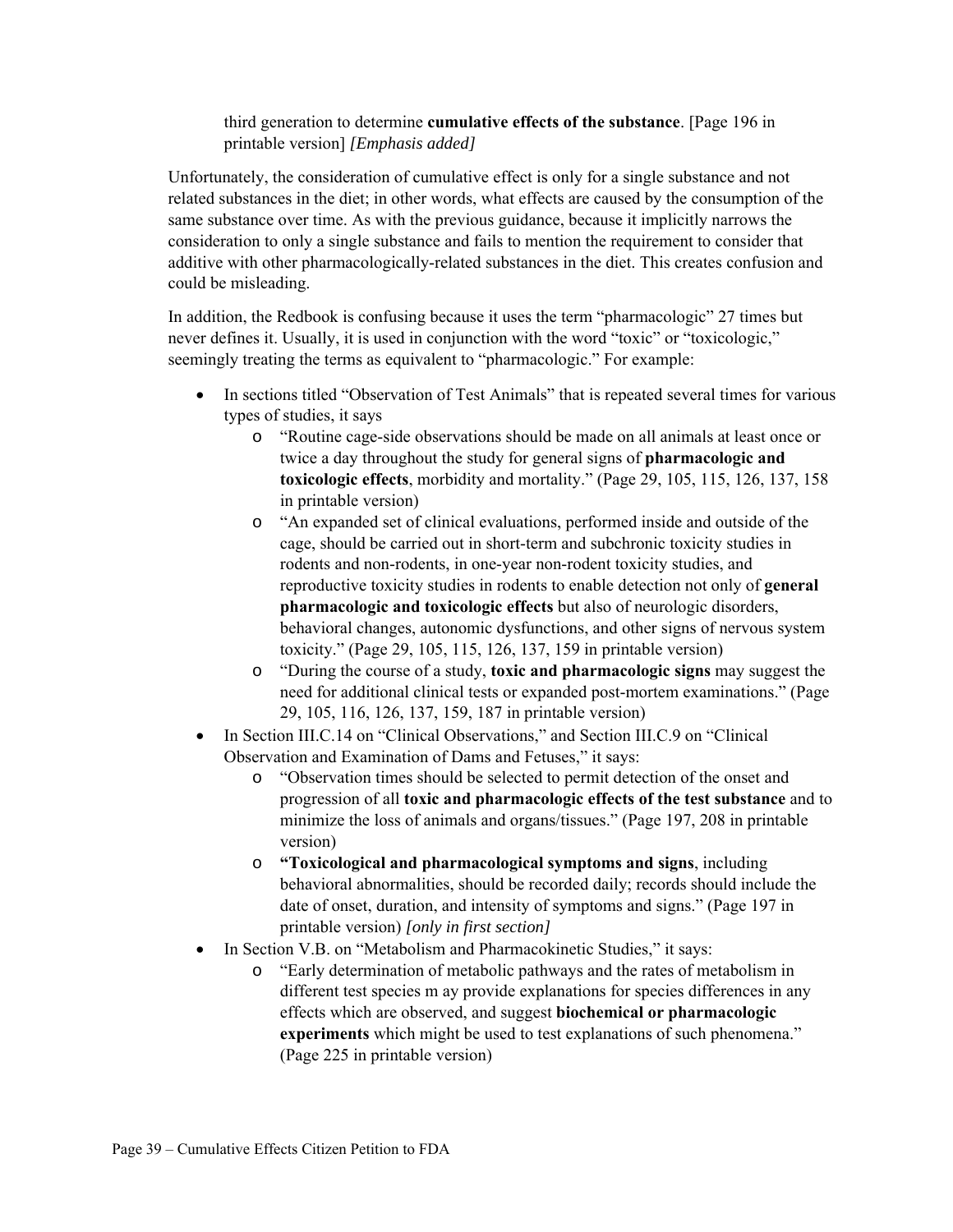## third generation to determine **cumulative effects of the substance**. [Page 196 in printable version] *[Emphasis added]*

Unfortunately, the consideration of cumulative effect is only for a single substance and not related substances in the diet; in other words, what effects are caused by the consumption of the same substance over time. As with the previous guidance, because it implicitly narrows the consideration to only a single substance and fails to mention the requirement to consider that additive with other pharmacologically-related substances in the diet. This creates confusion and could be misleading.

In addition, the Redbook is confusing because it uses the term "pharmacologic" 27 times but never defines it. Usually, it is used in conjunction with the word "toxic" or "toxicologic," seemingly treating the terms as equivalent to "pharmacologic." For example:

- In sections titled "Observation of Test Animals" that is repeated several times for various types of studies, it says
	- o "Routine cage-side observations should be made on all animals at least once or twice a day throughout the study for general signs of **pharmacologic and toxicologic effects**, morbidity and mortality." (Page 29, 105, 115, 126, 137, 158 in printable version)
	- o "An expanded set of clinical evaluations, performed inside and outside of the cage, should be carried out in short-term and subchronic toxicity studies in rodents and non-rodents, in one-year non-rodent toxicity studies, and reproductive toxicity studies in rodents to enable detection not only of **general pharmacologic and toxicologic effects** but also of neurologic disorders, behavioral changes, autonomic dysfunctions, and other signs of nervous system toxicity." (Page 29, 105, 115, 126, 137, 159 in printable version)
	- o "During the course of a study, **toxic and pharmacologic signs** may suggest the need for additional clinical tests or expanded post-mortem examinations." (Page 29, 105, 116, 126, 137, 159, 187 in printable version)
- In Section III.C.14 on "Clinical Observations," and Section III.C.9 on "Clinical Observation and Examination of Dams and Fetuses," it says:
	- o "Observation times should be selected to permit detection of the onset and progression of all **toxic and pharmacologic effects of the test substance** and to minimize the loss of animals and organs/tissues." (Page 197, 208 in printable version)
	- o **"Toxicological and pharmacological symptoms and signs**, including behavioral abnormalities, should be recorded daily; records should include the date of onset, duration, and intensity of symptoms and signs." (Page 197 in printable version) *[only in first section]*
- In Section V.B. on "Metabolism and Pharmacokinetic Studies," it says:
	- o "Early determination of metabolic pathways and the rates of metabolism in different test species m ay provide explanations for species differences in any effects which are observed, and suggest **biochemical or pharmacologic experiments** which might be used to test explanations of such phenomena." (Page 225 in printable version)